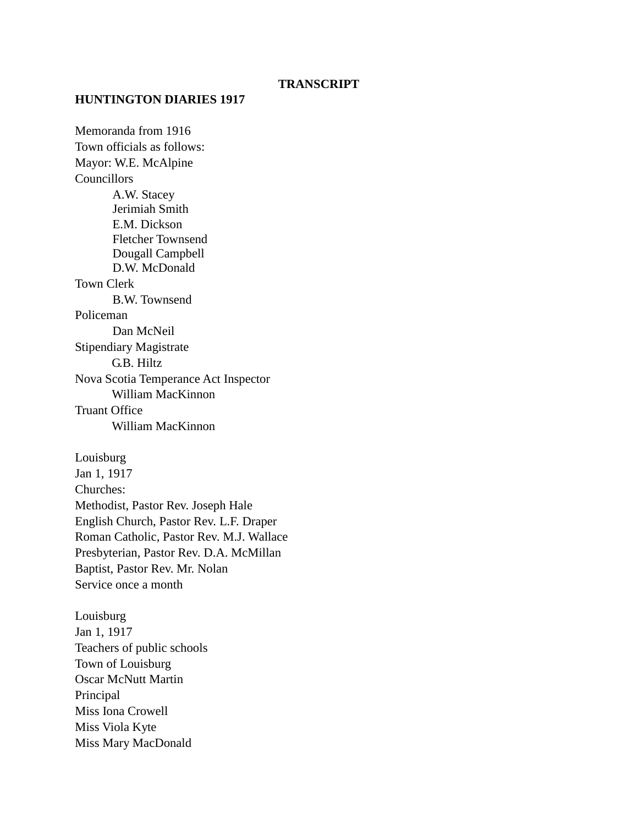#### **TRANSCRIPT**

#### **HUNTINGTON DIARIES 1917**

Memoranda from 1916 Town officials as follows: Mayor: W.E. McAlpine **Councillors** A.W. Stacey Jerimiah Smith E.M. Dickson Fletcher Townsend Dougall Campbell D.W. McDonald Town Clerk B.W. Townsend Policeman Dan McNeil Stipendiary Magistrate G.B. Hiltz Nova Scotia Temperance Act Inspector William MacKinnon Truant Office William MacKinnon Louisburg Jan 1, 1917 Churches: Methodist, Pastor Rev. Joseph Hale

English Church, Pastor Rev. L.F. Draper Roman Catholic, Pastor Rev. M.J. Wallace Presbyterian, Pastor Rev. D.A. McMillan Baptist, Pastor Rev. Mr. Nolan Service once a month

Louisburg Jan 1, 1917 Teachers of public schools Town of Louisburg Oscar McNutt Martin Principal Miss Iona Crowell Miss Viola Kyte Miss Mary MacDonald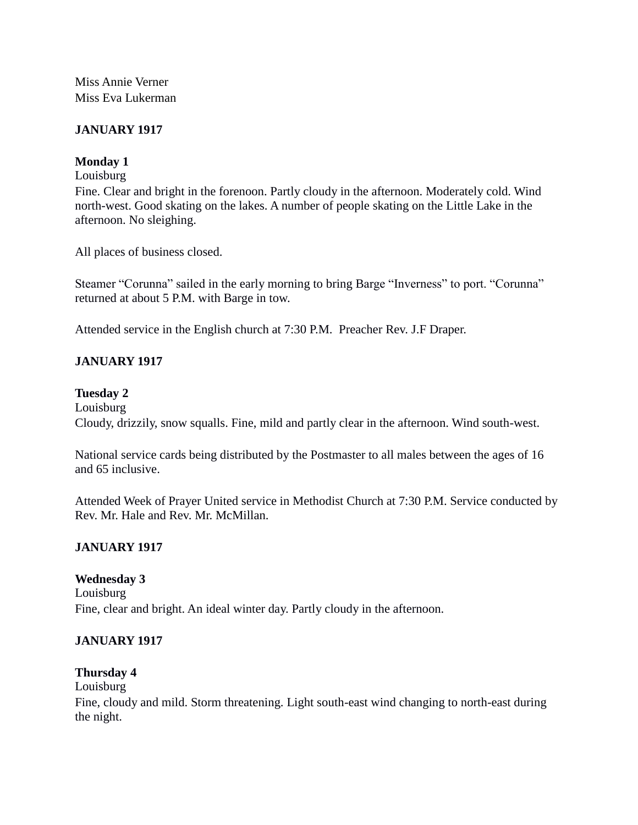Miss Annie Verner Miss Eva Lukerman

# **JANUARY 1917**

### **Monday 1**

Louisburg

Fine. Clear and bright in the forenoon. Partly cloudy in the afternoon. Moderately cold. Wind north-west. Good skating on the lakes. A number of people skating on the Little Lake in the afternoon. No sleighing.

All places of business closed.

Steamer "Corunna" sailed in the early morning to bring Barge "Inverness" to port. "Corunna" returned at about 5 P.M. with Barge in tow.

Attended service in the English church at 7:30 P.M. Preacher Rev. J.F Draper.

# **JANUARY 1917**

### **Tuesday 2**

Louisburg Cloudy, drizzily, snow squalls. Fine, mild and partly clear in the afternoon. Wind south-west.

National service cards being distributed by the Postmaster to all males between the ages of 16 and 65 inclusive.

Attended Week of Prayer United service in Methodist Church at 7:30 P.M. Service conducted by Rev. Mr. Hale and Rev. Mr. McMillan.

### **JANUARY 1917**

### **Wednesday 3**

Louisburg Fine, clear and bright. An ideal winter day. Partly cloudy in the afternoon.

## **JANUARY 1917**

### **Thursday 4**

### Louisburg

Fine, cloudy and mild. Storm threatening. Light south-east wind changing to north-east during the night.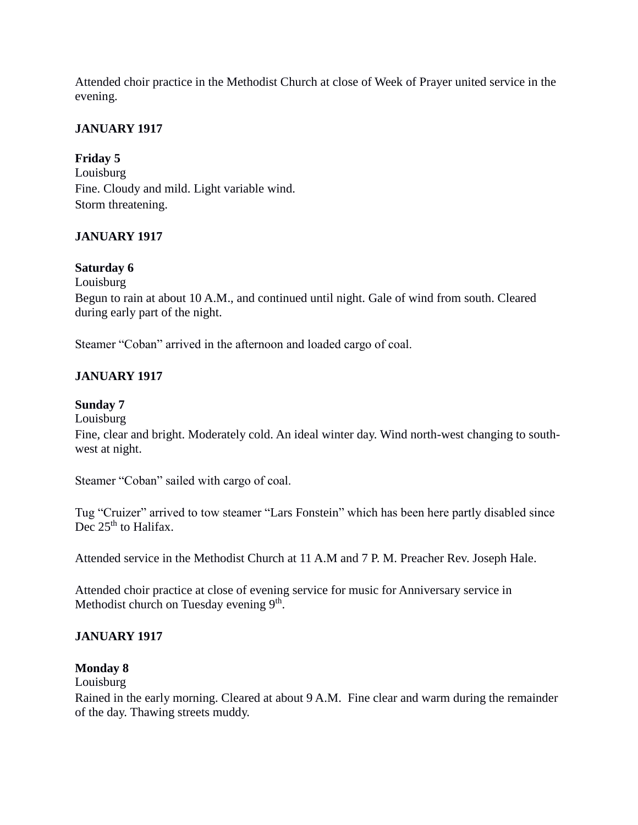Attended choir practice in the Methodist Church at close of Week of Prayer united service in the evening.

# **JANUARY 1917**

### **Friday 5**

Louisburg Fine. Cloudy and mild. Light variable wind. Storm threatening.

# **JANUARY 1917**

### **Saturday 6**

Louisburg

Begun to rain at about 10 A.M., and continued until night. Gale of wind from south. Cleared during early part of the night.

Steamer "Coban" arrived in the afternoon and loaded cargo of coal.

# **JANUARY 1917**

# **Sunday 7**

Louisburg

Fine, clear and bright. Moderately cold. An ideal winter day. Wind north-west changing to southwest at night.

Steamer "Coban" sailed with cargo of coal.

Tug "Cruizer" arrived to tow steamer "Lars Fonstein" which has been here partly disabled since Dec  $25<sup>th</sup>$  to Halifax.

Attended service in the Methodist Church at 11 A.M and 7 P. M. Preacher Rev. Joseph Hale.

Attended choir practice at close of evening service for music for Anniversary service in Methodist church on Tuesday evening 9<sup>th</sup>.

# **JANUARY 1917**

### **Monday 8**

Louisburg

Rained in the early morning. Cleared at about 9 A.M. Fine clear and warm during the remainder of the day. Thawing streets muddy.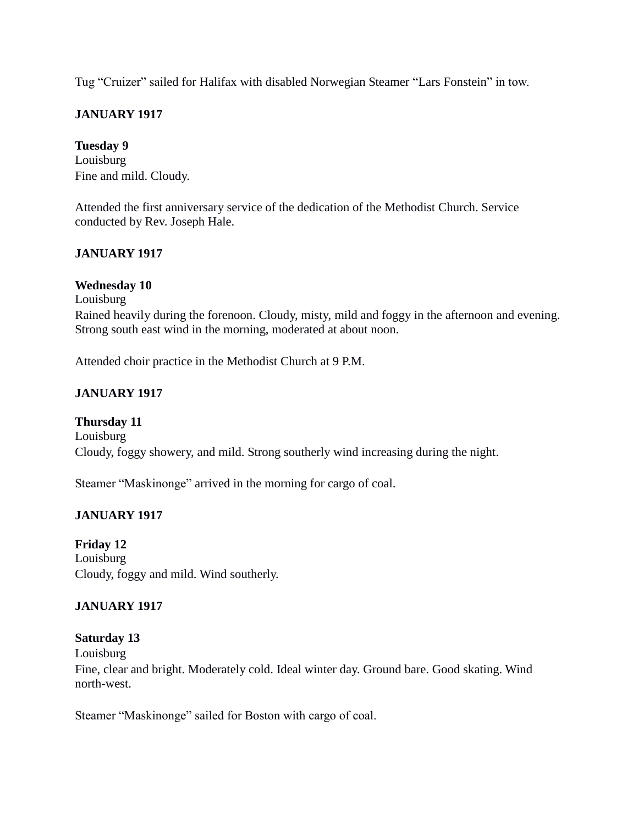Tug "Cruizer" sailed for Halifax with disabled Norwegian Steamer "Lars Fonstein" in tow.

# **JANUARY 1917**

### **Tuesday 9**

Louisburg Fine and mild. Cloudy.

Attended the first anniversary service of the dedication of the Methodist Church. Service conducted by Rev. Joseph Hale.

### **JANUARY 1917**

### **Wednesday 10**

Louisburg

Rained heavily during the forenoon. Cloudy, misty, mild and foggy in the afternoon and evening. Strong south east wind in the morning, moderated at about noon.

Attended choir practice in the Methodist Church at 9 P.M.

# **JANUARY 1917**

**Thursday 11** Louisburg Cloudy, foggy showery, and mild. Strong southerly wind increasing during the night.

Steamer "Maskinonge" arrived in the morning for cargo of coal.

# **JANUARY 1917**

**Friday 12** Louisburg Cloudy, foggy and mild. Wind southerly.

### **JANUARY 1917**

### **Saturday 13**

Louisburg

Fine, clear and bright. Moderately cold. Ideal winter day. Ground bare. Good skating. Wind north-west.

Steamer "Maskinonge" sailed for Boston with cargo of coal.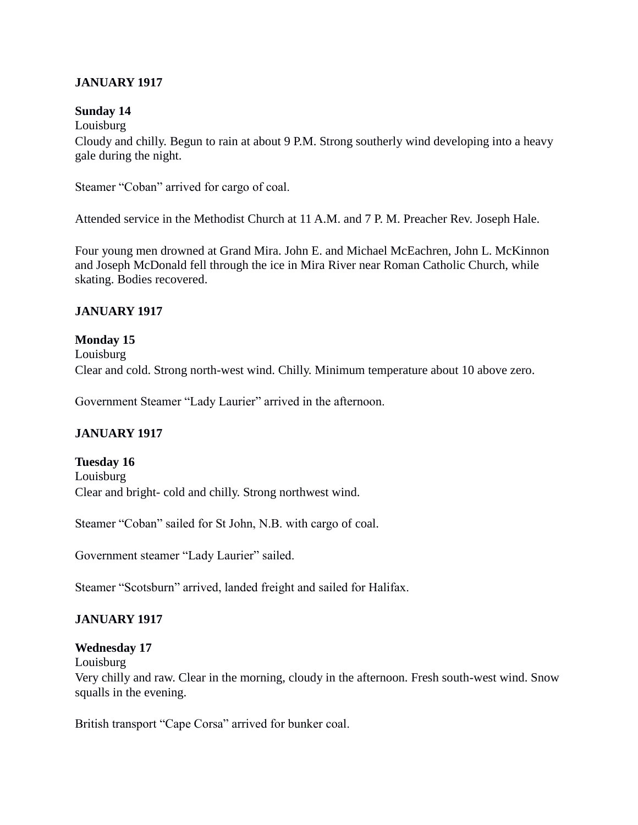## **JANUARY 1917**

### **Sunday 14**

Louisburg

Cloudy and chilly. Begun to rain at about 9 P.M. Strong southerly wind developing into a heavy gale during the night.

Steamer "Coban" arrived for cargo of coal.

Attended service in the Methodist Church at 11 A.M. and 7 P. M. Preacher Rev. Joseph Hale.

Four young men drowned at Grand Mira. John E. and Michael McEachren, John L. McKinnon and Joseph McDonald fell through the ice in Mira River near Roman Catholic Church, while skating. Bodies recovered.

### **JANUARY 1917**

#### **Monday 15**

Louisburg

Clear and cold. Strong north-west wind. Chilly. Minimum temperature about 10 above zero.

Government Steamer "Lady Laurier" arrived in the afternoon.

### **JANUARY 1917**

**Tuesday 16** Louisburg Clear and bright- cold and chilly. Strong northwest wind.

Steamer "Coban" sailed for St John, N.B. with cargo of coal.

Government steamer "Lady Laurier" sailed.

Steamer "Scotsburn" arrived, landed freight and sailed for Halifax.

# **JANUARY 1917**

### **Wednesday 17**

Louisburg

Very chilly and raw. Clear in the morning, cloudy in the afternoon. Fresh south-west wind. Snow squalls in the evening.

British transport "Cape Corsa" arrived for bunker coal.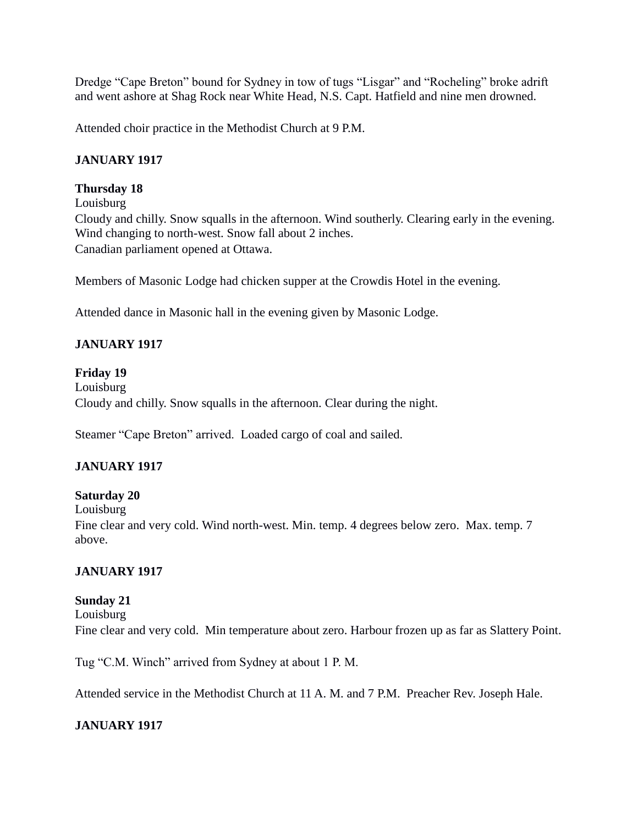Dredge "Cape Breton" bound for Sydney in tow of tugs "Lisgar" and "Rocheling" broke adrift and went ashore at Shag Rock near White Head, N.S. Capt. Hatfield and nine men drowned.

Attended choir practice in the Methodist Church at 9 P.M.

# **JANUARY 1917**

## **Thursday 18**

Louisburg

Cloudy and chilly. Snow squalls in the afternoon. Wind southerly. Clearing early in the evening. Wind changing to north-west. Snow fall about 2 inches. Canadian parliament opened at Ottawa.

Members of Masonic Lodge had chicken supper at the Crowdis Hotel in the evening.

Attended dance in Masonic hall in the evening given by Masonic Lodge.

# **JANUARY 1917**

**Friday 19** Louisburg Cloudy and chilly. Snow squalls in the afternoon. Clear during the night.

Steamer "Cape Breton" arrived. Loaded cargo of coal and sailed.

# **JANUARY 1917**

### **Saturday 20**

Louisburg

Fine clear and very cold. Wind north-west. Min. temp. 4 degrees below zero. Max. temp. 7 above.

### **JANUARY 1917**

### **Sunday 21**

Louisburg Fine clear and very cold. Min temperature about zero. Harbour frozen up as far as Slattery Point.

Tug "C.M. Winch" arrived from Sydney at about 1 P. M.

Attended service in the Methodist Church at 11 A. M. and 7 P.M. Preacher Rev. Joseph Hale.

# **JANUARY 1917**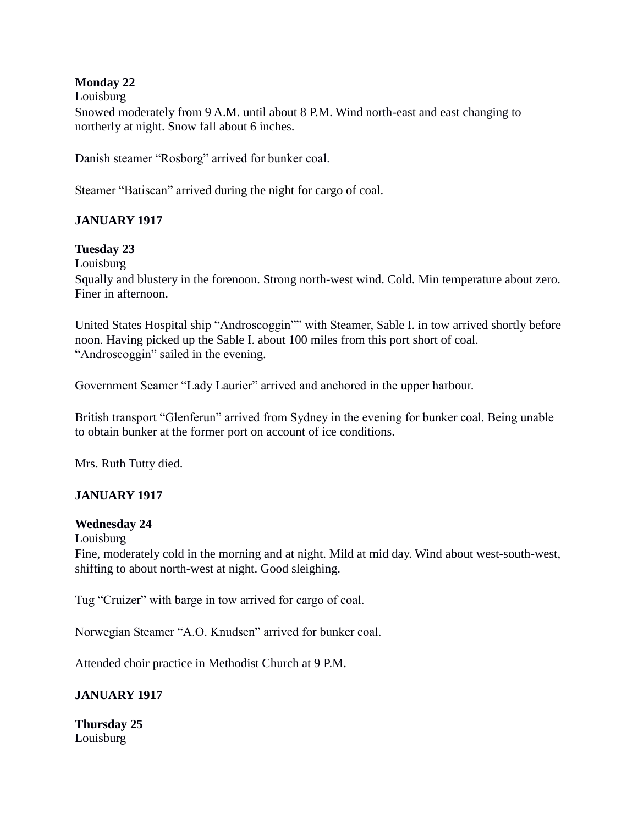## **Monday 22**

Louisburg

Snowed moderately from 9 A.M. until about 8 P.M. Wind north-east and east changing to northerly at night. Snow fall about 6 inches.

Danish steamer "Rosborg" arrived for bunker coal.

Steamer "Batiscan" arrived during the night for cargo of coal.

# **JANUARY 1917**

### **Tuesday 23**

Louisburg

Squally and blustery in the forenoon. Strong north-west wind. Cold. Min temperature about zero. Finer in afternoon.

United States Hospital ship "Androscoggin"" with Steamer, Sable I. in tow arrived shortly before noon. Having picked up the Sable I. about 100 miles from this port short of coal. "Androscoggin" sailed in the evening.

Government Seamer "Lady Laurier" arrived and anchored in the upper harbour.

British transport "Glenferun" arrived from Sydney in the evening for bunker coal. Being unable to obtain bunker at the former port on account of ice conditions.

Mrs. Ruth Tutty died.

### **JANUARY 1917**

#### **Wednesday 24**

Louisburg

Fine, moderately cold in the morning and at night. Mild at mid day. Wind about west-south-west, shifting to about north-west at night. Good sleighing.

Tug "Cruizer" with barge in tow arrived for cargo of coal.

Norwegian Steamer "A.O. Knudsen" arrived for bunker coal.

Attended choir practice in Methodist Church at 9 P.M.

### **JANUARY 1917**

**Thursday 25** Louisburg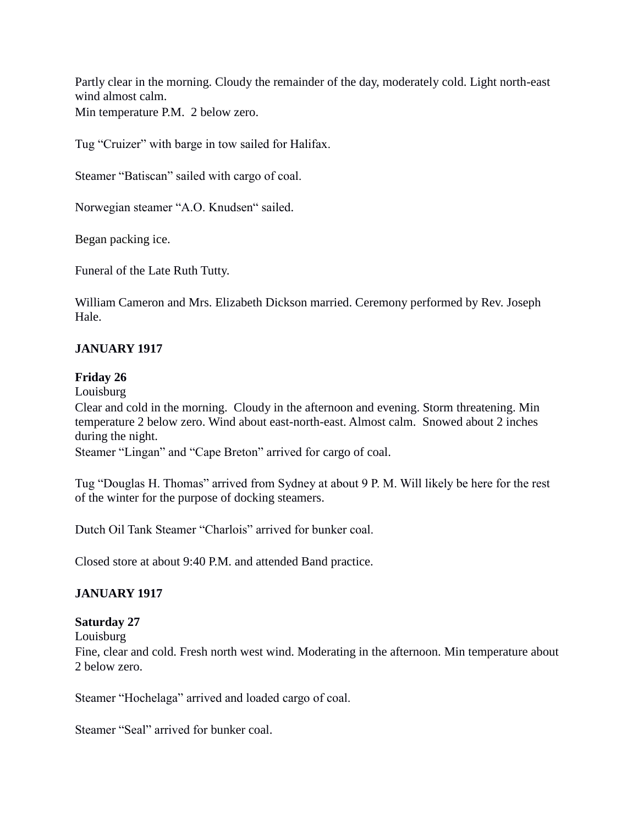Partly clear in the morning. Cloudy the remainder of the day, moderately cold. Light north-east wind almost calm. Min temperature P.M. 2 below zero.

Tug "Cruizer" with barge in tow sailed for Halifax.

Steamer "Batiscan" sailed with cargo of coal.

Norwegian steamer "A.O. Knudsen" sailed.

Began packing ice.

Funeral of the Late Ruth Tutty.

William Cameron and Mrs. Elizabeth Dickson married. Ceremony performed by Rev. Joseph Hale.

### **JANUARY 1917**

### **Friday 26**

Louisburg

Clear and cold in the morning. Cloudy in the afternoon and evening. Storm threatening. Min temperature 2 below zero. Wind about east-north-east. Almost calm. Snowed about 2 inches during the night.

Steamer "Lingan" and "Cape Breton" arrived for cargo of coal.

Tug "Douglas H. Thomas" arrived from Sydney at about 9 P. M. Will likely be here for the rest of the winter for the purpose of docking steamers.

Dutch Oil Tank Steamer "Charlois" arrived for bunker coal.

Closed store at about 9:40 P.M. and attended Band practice.

### **JANUARY 1917**

### **Saturday 27**

Louisburg

Fine, clear and cold. Fresh north west wind. Moderating in the afternoon. Min temperature about 2 below zero.

Steamer "Hochelaga" arrived and loaded cargo of coal.

Steamer "Seal" arrived for bunker coal.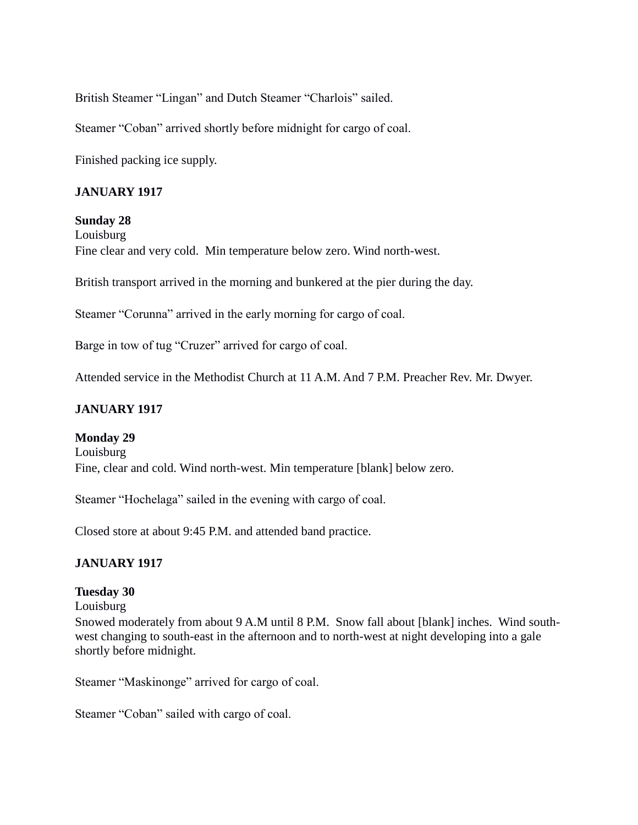British Steamer "Lingan" and Dutch Steamer "Charlois" sailed.

Steamer "Coban" arrived shortly before midnight for cargo of coal.

Finished packing ice supply.

### **JANUARY 1917**

**Sunday 28** Louisburg Fine clear and very cold. Min temperature below zero. Wind north-west.

British transport arrived in the morning and bunkered at the pier during the day.

Steamer "Corunna" arrived in the early morning for cargo of coal.

Barge in tow of tug "Cruzer" arrived for cargo of coal.

Attended service in the Methodist Church at 11 A.M. And 7 P.M. Preacher Rev. Mr. Dwyer.

### **JANUARY 1917**

#### **Monday 29**

Louisburg Fine, clear and cold. Wind north-west. Min temperature [blank] below zero.

Steamer "Hochelaga" sailed in the evening with cargo of coal.

Closed store at about 9:45 P.M. and attended band practice.

#### **JANUARY 1917**

#### **Tuesday 30**

Louisburg

Snowed moderately from about 9 A.M until 8 P.M. Snow fall about [blank] inches. Wind southwest changing to south-east in the afternoon and to north-west at night developing into a gale shortly before midnight.

Steamer "Maskinonge" arrived for cargo of coal.

Steamer "Coban" sailed with cargo of coal.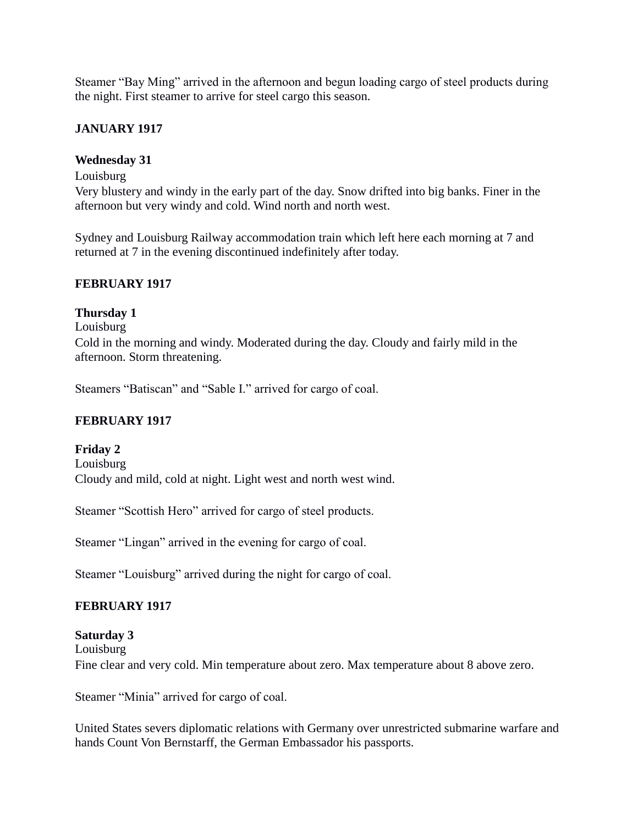Steamer "Bay Ming" arrived in the afternoon and begun loading cargo of steel products during the night. First steamer to arrive for steel cargo this season.

# **JANUARY 1917**

### **Wednesday 31**

Louisburg

Very blustery and windy in the early part of the day. Snow drifted into big banks. Finer in the afternoon but very windy and cold. Wind north and north west.

Sydney and Louisburg Railway accommodation train which left here each morning at 7 and returned at 7 in the evening discontinued indefinitely after today.

### **FEBRUARY 1917**

### **Thursday 1**

Louisburg Cold in the morning and windy. Moderated during the day. Cloudy and fairly mild in the afternoon. Storm threatening.

Steamers "Batiscan" and "Sable I." arrived for cargo of coal.

# **FEBRUARY 1917**

**Friday 2** Louisburg Cloudy and mild, cold at night. Light west and north west wind.

Steamer "Scottish Hero" arrived for cargo of steel products.

Steamer "Lingan" arrived in the evening for cargo of coal.

Steamer "Louisburg" arrived during the night for cargo of coal.

# **FEBRUARY 1917**

**Saturday 3** Louisburg Fine clear and very cold. Min temperature about zero. Max temperature about 8 above zero.

Steamer "Minia" arrived for cargo of coal.

United States severs diplomatic relations with Germany over unrestricted submarine warfare and hands Count Von Bernstarff, the German Embassador his passports.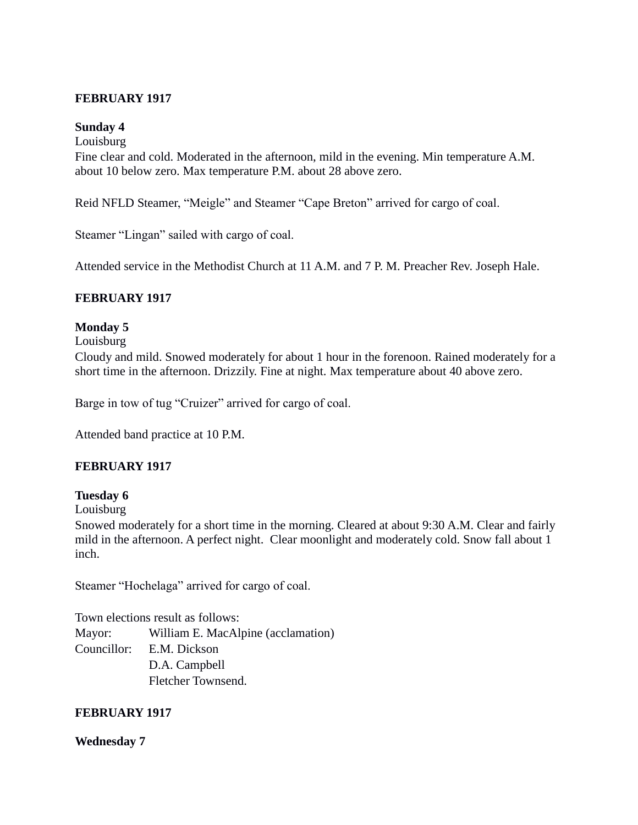### **FEBRUARY 1917**

### **Sunday 4**

Louisburg

Fine clear and cold. Moderated in the afternoon, mild in the evening. Min temperature A.M. about 10 below zero. Max temperature P.M. about 28 above zero.

Reid NFLD Steamer, "Meigle" and Steamer "Cape Breton" arrived for cargo of coal.

Steamer "Lingan" sailed with cargo of coal.

Attended service in the Methodist Church at 11 A.M. and 7 P. M. Preacher Rev. Joseph Hale.

### **FEBRUARY 1917**

### **Monday 5**

Louisburg

Cloudy and mild. Snowed moderately for about 1 hour in the forenoon. Rained moderately for a short time in the afternoon. Drizzily. Fine at night. Max temperature about 40 above zero.

Barge in tow of tug "Cruizer" arrived for cargo of coal.

Attended band practice at 10 P.M.

### **FEBRUARY 1917**

#### **Tuesday 6**

Louisburg

Snowed moderately for a short time in the morning. Cleared at about 9:30 A.M. Clear and fairly mild in the afternoon. A perfect night. Clear moonlight and moderately cold. Snow fall about 1 inch.

Steamer "Hochelaga" arrived for cargo of coal.

Town elections result as follows: Mayor: William E. MacAlpine (acclamation) Councillor: E.M. Dickson D.A. Campbell Fletcher Townsend.

### **FEBRUARY 1917**

#### **Wednesday 7**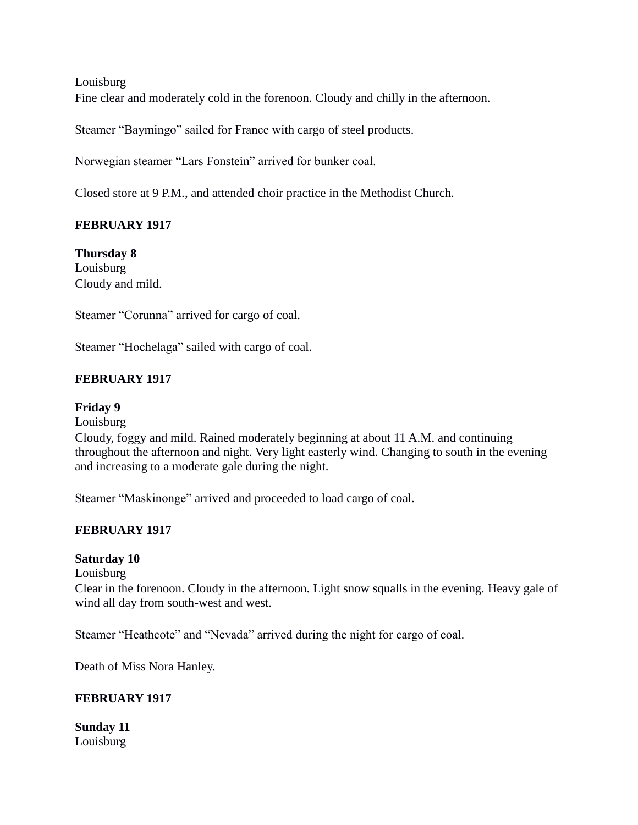Louisburg Fine clear and moderately cold in the forenoon. Cloudy and chilly in the afternoon.

Steamer "Baymingo" sailed for France with cargo of steel products.

Norwegian steamer "Lars Fonstein" arrived for bunker coal.

Closed store at 9 P.M., and attended choir practice in the Methodist Church.

### **FEBRUARY 1917**

**Thursday 8** Louisburg Cloudy and mild.

Steamer "Corunna" arrived for cargo of coal.

Steamer "Hochelaga" sailed with cargo of coal.

### **FEBRUARY 1917**

#### **Friday 9**

Louisburg

Cloudy, foggy and mild. Rained moderately beginning at about 11 A.M. and continuing throughout the afternoon and night. Very light easterly wind. Changing to south in the evening and increasing to a moderate gale during the night.

Steamer "Maskinonge" arrived and proceeded to load cargo of coal.

#### **FEBRUARY 1917**

#### **Saturday 10**

Louisburg

Clear in the forenoon. Cloudy in the afternoon. Light snow squalls in the evening. Heavy gale of wind all day from south-west and west.

Steamer "Heathcote" and "Nevada" arrived during the night for cargo of coal.

Death of Miss Nora Hanley.

#### **FEBRUARY 1917**

**Sunday 11** Louisburg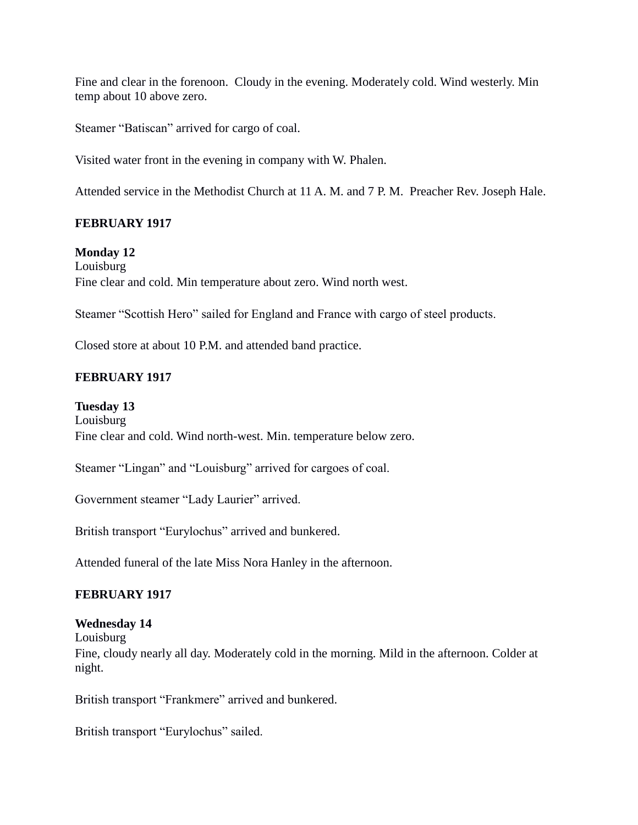Fine and clear in the forenoon. Cloudy in the evening. Moderately cold. Wind westerly. Min temp about 10 above zero.

Steamer "Batiscan" arrived for cargo of coal.

Visited water front in the evening in company with W. Phalen.

Attended service in the Methodist Church at 11 A. M. and 7 P. M. Preacher Rev. Joseph Hale.

### **FEBRUARY 1917**

**Monday 12**

Louisburg Fine clear and cold. Min temperature about zero. Wind north west.

Steamer "Scottish Hero" sailed for England and France with cargo of steel products.

Closed store at about 10 P.M. and attended band practice.

### **FEBRUARY 1917**

**Tuesday 13**

Louisburg Fine clear and cold. Wind north-west. Min. temperature below zero.

Steamer "Lingan" and "Louisburg" arrived for cargoes of coal.

Government steamer "Lady Laurier" arrived.

British transport "Eurylochus" arrived and bunkered.

Attended funeral of the late Miss Nora Hanley in the afternoon.

#### **FEBRUARY 1917**

#### **Wednesday 14**

Louisburg

Fine, cloudy nearly all day. Moderately cold in the morning. Mild in the afternoon. Colder at night.

British transport "Frankmere" arrived and bunkered.

British transport "Eurylochus" sailed.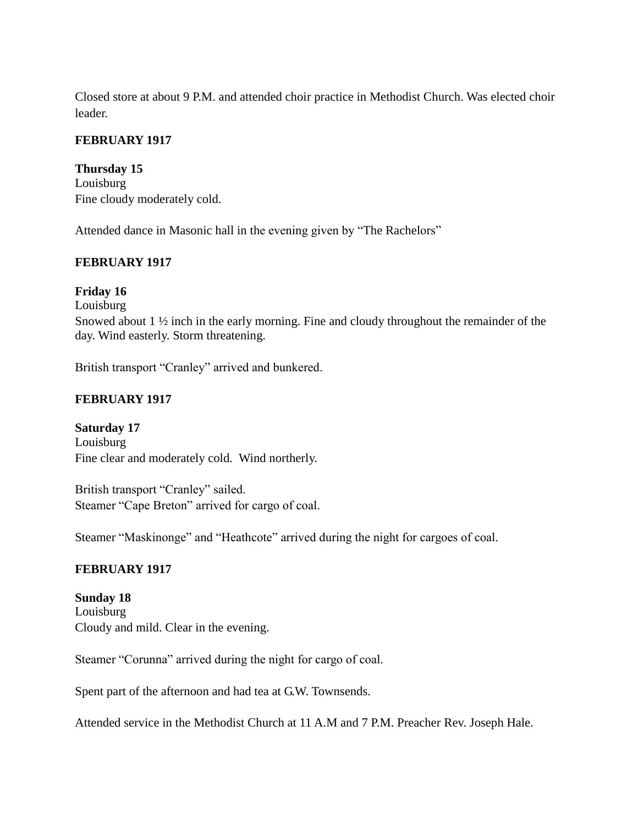Closed store at about 9 P.M. and attended choir practice in Methodist Church. Was elected choir leader.

# **FEBRUARY 1917**

### **Thursday 15**

Louisburg Fine cloudy moderately cold.

Attended dance in Masonic hall in the evening given by "The Rachelors"

### **FEBRUARY 1917**

# **Friday 16**

Louisburg

Snowed about 1 ½ inch in the early morning. Fine and cloudy throughout the remainder of the day. Wind easterly. Storm threatening.

British transport "Cranley" arrived and bunkered.

# **FEBRUARY 1917**

**Saturday 17** Louisburg Fine clear and moderately cold. Wind northerly.

British transport "Cranley" sailed. Steamer "Cape Breton" arrived for cargo of coal.

Steamer "Maskinonge" and "Heathcote" arrived during the night for cargoes of coal.

### **FEBRUARY 1917**

**Sunday 18** Louisburg Cloudy and mild. Clear in the evening.

Steamer "Corunna" arrived during the night for cargo of coal.

Spent part of the afternoon and had tea at G.W. Townsends.

Attended service in the Methodist Church at 11 A.M and 7 P.M. Preacher Rev. Joseph Hale.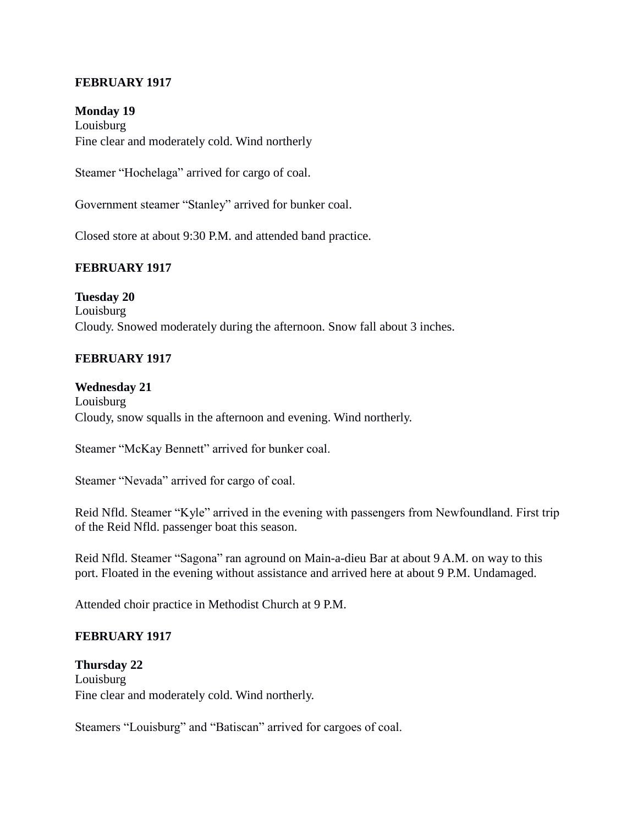### **FEBRUARY 1917**

**Monday 19** Louisburg Fine clear and moderately cold. Wind northerly

Steamer "Hochelaga" arrived for cargo of coal.

Government steamer "Stanley" arrived for bunker coal.

Closed store at about 9:30 P.M. and attended band practice.

#### **FEBRUARY 1917**

**Tuesday 20** Louisburg Cloudy. Snowed moderately during the afternoon. Snow fall about 3 inches.

#### **FEBRUARY 1917**

#### **Wednesday 21**

Louisburg Cloudy, snow squalls in the afternoon and evening. Wind northerly.

Steamer "McKay Bennett" arrived for bunker coal.

Steamer "Nevada" arrived for cargo of coal.

Reid Nfld. Steamer "Kyle" arrived in the evening with passengers from Newfoundland. First trip of the Reid Nfld. passenger boat this season.

Reid Nfld. Steamer "Sagona" ran aground on Main-a-dieu Bar at about 9 A.M. on way to this port. Floated in the evening without assistance and arrived here at about 9 P.M. Undamaged.

Attended choir practice in Methodist Church at 9 P.M.

#### **FEBRUARY 1917**

#### **Thursday 22**

Louisburg Fine clear and moderately cold. Wind northerly.

Steamers "Louisburg" and "Batiscan" arrived for cargoes of coal.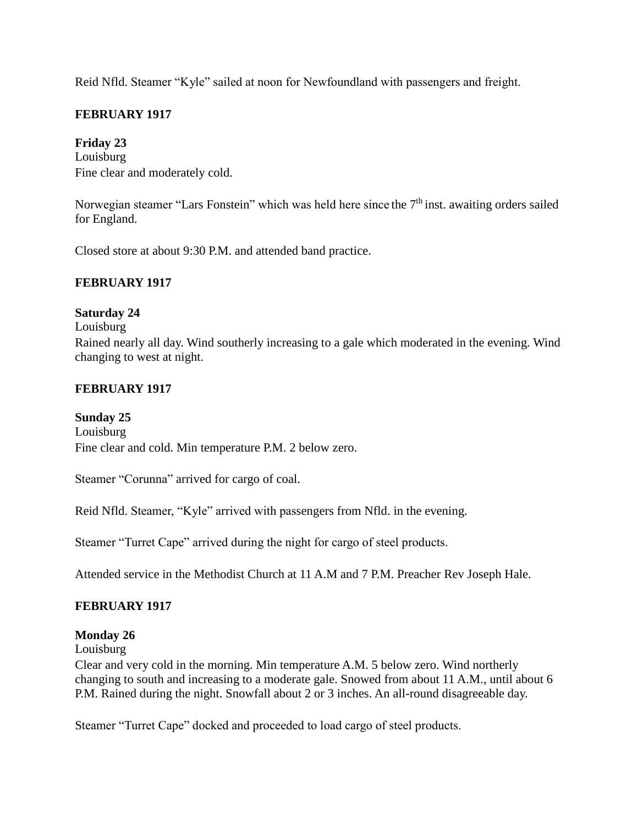Reid Nfld. Steamer "Kyle" sailed at noon for Newfoundland with passengers and freight.

### **FEBRUARY 1917**

### **Friday 23**

Louisburg Fine clear and moderately cold.

Norwegian steamer "Lars Fonstein" which was held here since the 7<sup>th</sup> inst. awaiting orders sailed for England.

Closed store at about 9:30 P.M. and attended band practice.

### **FEBRUARY 1917**

### **Saturday 24**

Louisburg

Rained nearly all day. Wind southerly increasing to a gale which moderated in the evening. Wind changing to west at night.

### **FEBRUARY 1917**

#### **Sunday 25**

Louisburg Fine clear and cold. Min temperature P.M. 2 below zero.

Steamer "Corunna" arrived for cargo of coal.

Reid Nfld. Steamer, "Kyle" arrived with passengers from Nfld. in the evening.

Steamer "Turret Cape" arrived during the night for cargo of steel products.

Attended service in the Methodist Church at 11 A.M and 7 P.M. Preacher Rev Joseph Hale.

#### **FEBRUARY 1917**

### **Monday 26**

Louisburg

Clear and very cold in the morning. Min temperature A.M. 5 below zero. Wind northerly changing to south and increasing to a moderate gale. Snowed from about 11 A.M., until about 6 P.M. Rained during the night. Snowfall about 2 or 3 inches. An all-round disagreeable day.

Steamer "Turret Cape" docked and proceeded to load cargo of steel products.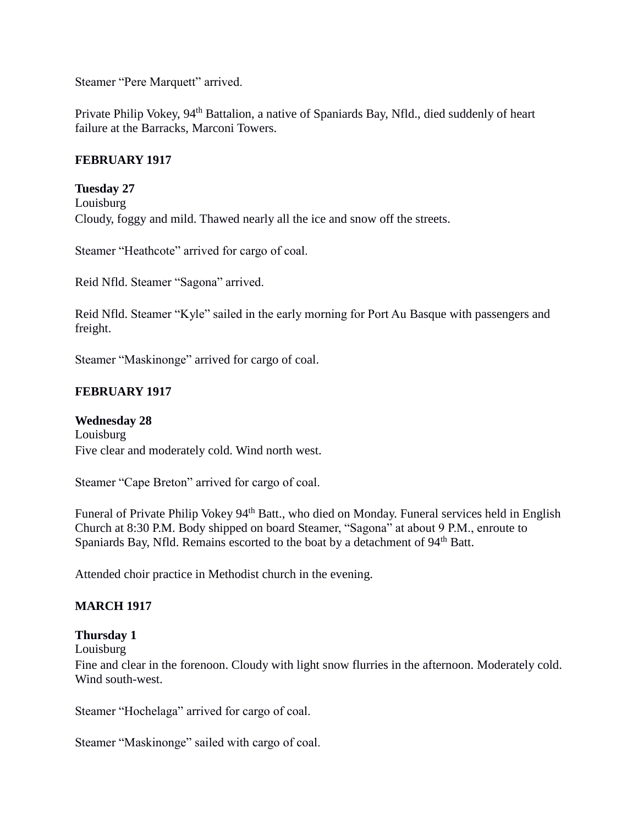Steamer "Pere Marquett" arrived.

Private Philip Vokey, 94<sup>th</sup> Battalion, a native of Spaniards Bay, Nfld., died suddenly of heart failure at the Barracks, Marconi Towers.

### **FEBRUARY 1917**

**Tuesday 27**

Louisburg Cloudy, foggy and mild. Thawed nearly all the ice and snow off the streets.

Steamer "Heathcote" arrived for cargo of coal.

Reid Nfld. Steamer "Sagona" arrived.

Reid Nfld. Steamer "Kyle" sailed in the early morning for Port Au Basque with passengers and freight.

Steamer "Maskinonge" arrived for cargo of coal.

# **FEBRUARY 1917**

**Wednesday 28** Louisburg Five clear and moderately cold. Wind north west.

Steamer "Cape Breton" arrived for cargo of coal.

Funeral of Private Philip Vokey 94<sup>th</sup> Batt., who died on Monday. Funeral services held in English Church at 8:30 P.M. Body shipped on board Steamer, "Sagona" at about 9 P.M., enroute to Spaniards Bay, Nfld. Remains escorted to the boat by a detachment of  $94<sup>th</sup>$  Batt.

Attended choir practice in Methodist church in the evening.

### **MARCH 1917**

### **Thursday 1**

Louisburg

Fine and clear in the forenoon. Cloudy with light snow flurries in the afternoon. Moderately cold. Wind south-west.

Steamer "Hochelaga" arrived for cargo of coal.

Steamer "Maskinonge" sailed with cargo of coal.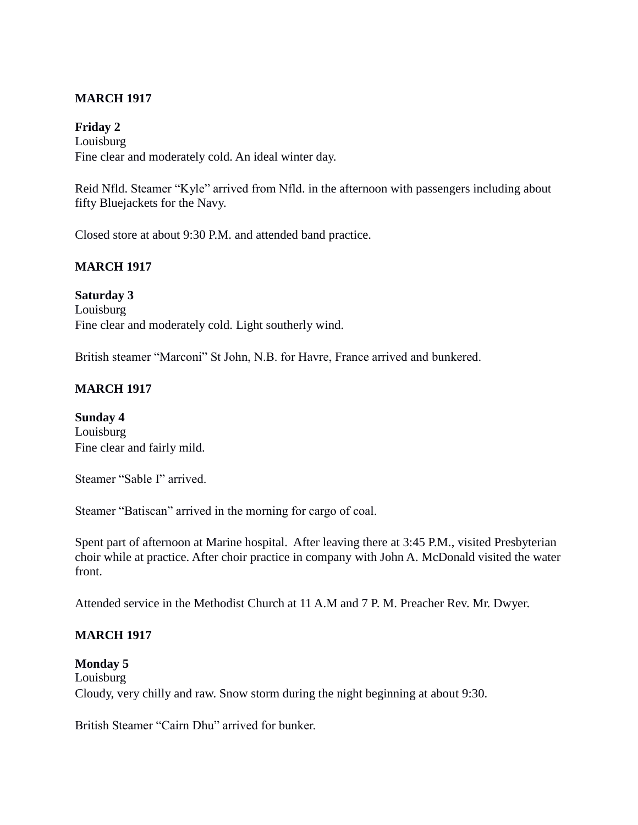# **MARCH 1917**

### **Friday 2**

Louisburg Fine clear and moderately cold. An ideal winter day.

Reid Nfld. Steamer "Kyle" arrived from Nfld. in the afternoon with passengers including about fifty Bluejackets for the Navy.

Closed store at about 9:30 P.M. and attended band practice.

### **MARCH 1917**

**Saturday 3** Louisburg Fine clear and moderately cold. Light southerly wind.

British steamer "Marconi" St John, N.B. for Havre, France arrived and bunkered.

### **MARCH 1917**

**Sunday 4** Louisburg Fine clear and fairly mild.

Steamer "Sable I" arrived.

Steamer "Batiscan" arrived in the morning for cargo of coal.

Spent part of afternoon at Marine hospital. After leaving there at 3:45 P.M., visited Presbyterian choir while at practice. After choir practice in company with John A. McDonald visited the water front.

Attended service in the Methodist Church at 11 A.M and 7 P. M. Preacher Rev. Mr. Dwyer.

### **MARCH 1917**

#### **Monday 5**

Louisburg Cloudy, very chilly and raw. Snow storm during the night beginning at about 9:30.

British Steamer "Cairn Dhu" arrived for bunker.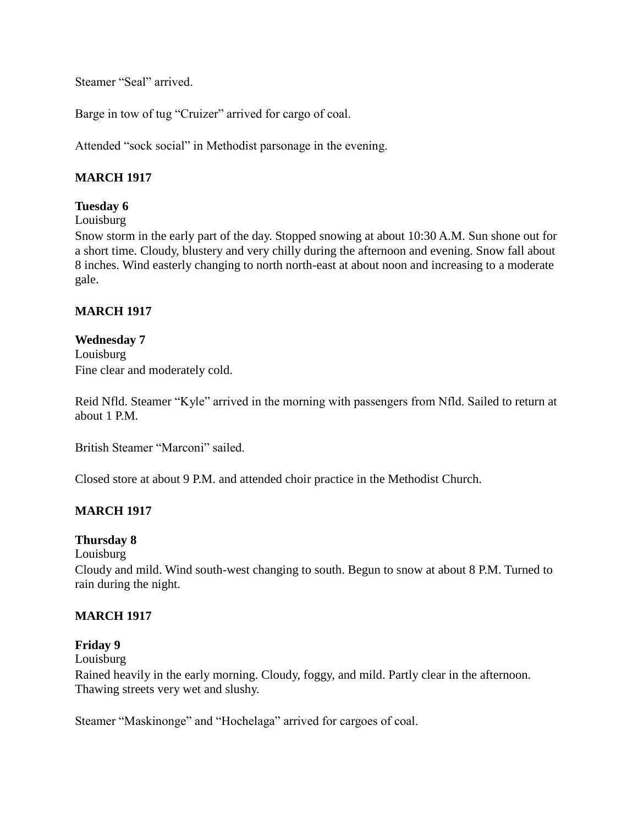Steamer "Seal" arrived.

Barge in tow of tug "Cruizer" arrived for cargo of coal.

Attended "sock social" in Methodist parsonage in the evening.

# **MARCH 1917**

# **Tuesday 6**

Louisburg

Snow storm in the early part of the day. Stopped snowing at about 10:30 A.M. Sun shone out for a short time. Cloudy, blustery and very chilly during the afternoon and evening. Snow fall about 8 inches. Wind easterly changing to north north-east at about noon and increasing to a moderate gale.

### **MARCH 1917**

### **Wednesday 7** Louisburg Fine clear and moderately cold.

Reid Nfld. Steamer "Kyle" arrived in the morning with passengers from Nfld. Sailed to return at about 1 P.M.

British Steamer "Marconi" sailed.

Closed store at about 9 P.M. and attended choir practice in the Methodist Church.

# **MARCH 1917**

### **Thursday 8**

Louisburg

Cloudy and mild. Wind south-west changing to south. Begun to snow at about 8 P.M. Turned to rain during the night.

### **MARCH 1917**

### **Friday 9**

Louisburg

Rained heavily in the early morning. Cloudy, foggy, and mild. Partly clear in the afternoon. Thawing streets very wet and slushy.

Steamer "Maskinonge" and "Hochelaga" arrived for cargoes of coal.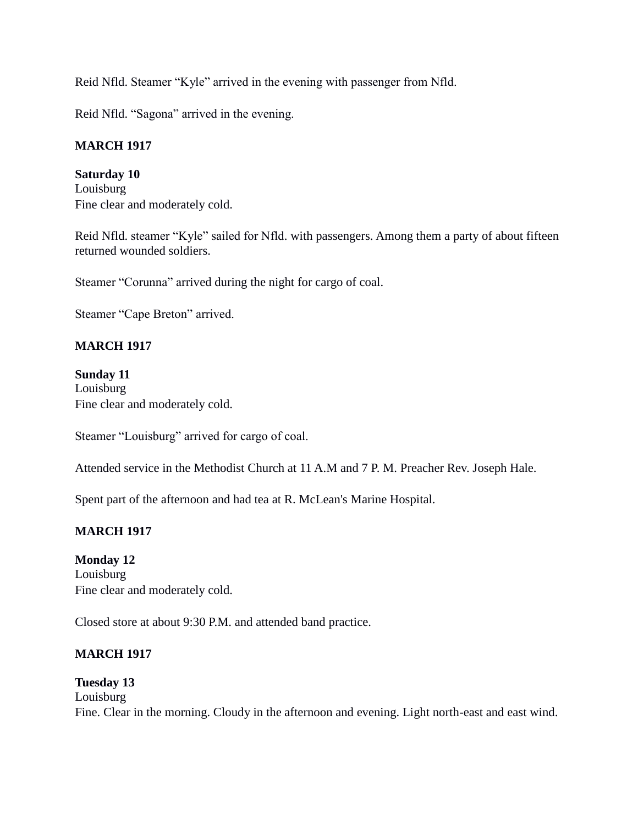Reid Nfld. Steamer "Kyle" arrived in the evening with passenger from Nfld.

Reid Nfld. "Sagona" arrived in the evening.

### **MARCH 1917**

**Saturday 10** Louisburg Fine clear and moderately cold.

Reid Nfld. steamer "Kyle" sailed for Nfld. with passengers. Among them a party of about fifteen returned wounded soldiers.

Steamer "Corunna" arrived during the night for cargo of coal.

Steamer "Cape Breton" arrived.

### **MARCH 1917**

**Sunday 11** Louisburg Fine clear and moderately cold.

Steamer "Louisburg" arrived for cargo of coal.

Attended service in the Methodist Church at 11 A.M and 7 P. M. Preacher Rev. Joseph Hale.

Spent part of the afternoon and had tea at R. McLean's Marine Hospital.

#### **MARCH 1917**

**Monday 12** Louisburg Fine clear and moderately cold.

Closed store at about 9:30 P.M. and attended band practice.

#### **MARCH 1917**

### **Tuesday 13**

Louisburg Fine. Clear in the morning. Cloudy in the afternoon and evening. Light north-east and east wind.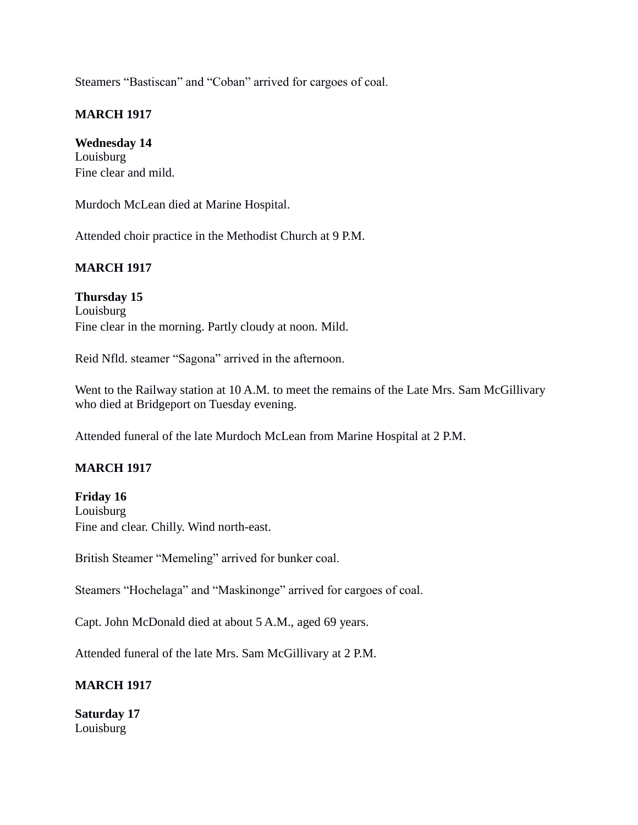Steamers "Bastiscan" and "Coban" arrived for cargoes of coal.

## **MARCH 1917**

## **Wednesday 14**

Louisburg Fine clear and mild.

Murdoch McLean died at Marine Hospital.

Attended choir practice in the Methodist Church at 9 P.M.

# **MARCH 1917**

**Thursday 15** Louisburg Fine clear in the morning. Partly cloudy at noon. Mild.

Reid Nfld. steamer "Sagona" arrived in the afternoon.

Went to the Railway station at 10 A.M. to meet the remains of the Late Mrs. Sam McGillivary who died at Bridgeport on Tuesday evening.

Attended funeral of the late Murdoch McLean from Marine Hospital at 2 P.M.

### **MARCH 1917**

**Friday 16** Louisburg Fine and clear. Chilly. Wind north-east.

British Steamer "Memeling" arrived for bunker coal.

Steamers "Hochelaga" and "Maskinonge" arrived for cargoes of coal.

Capt. John McDonald died at about 5 A.M., aged 69 years.

Attended funeral of the late Mrs. Sam McGillivary at 2 P.M.

### **MARCH 1917**

**Saturday 17** Louisburg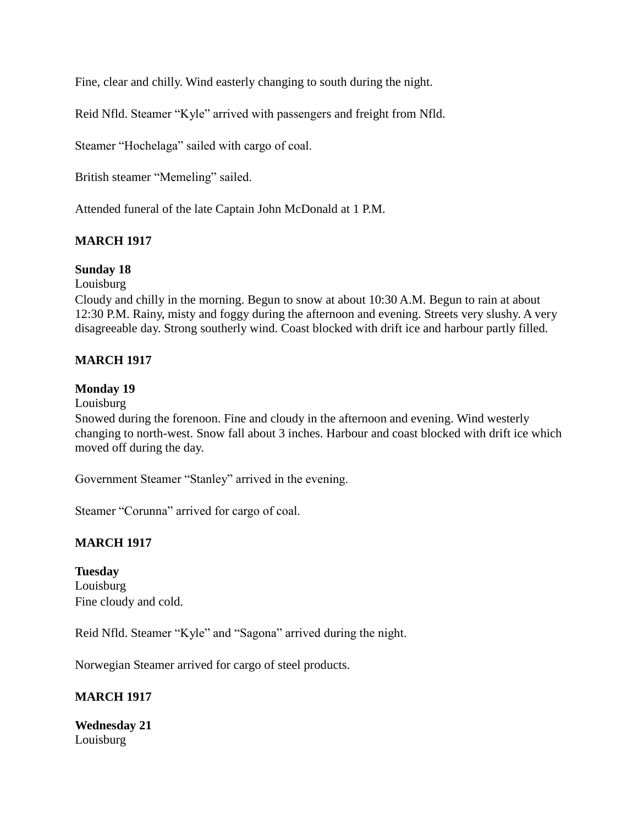Fine, clear and chilly. Wind easterly changing to south during the night.

Reid Nfld. Steamer "Kyle" arrived with passengers and freight from Nfld.

Steamer "Hochelaga" sailed with cargo of coal.

British steamer "Memeling" sailed.

Attended funeral of the late Captain John McDonald at 1 P.M.

### **MARCH 1917**

#### **Sunday 18**

Louisburg

Cloudy and chilly in the morning. Begun to snow at about 10:30 A.M. Begun to rain at about 12:30 P.M. Rainy, misty and foggy during the afternoon and evening. Streets very slushy. A very disagreeable day. Strong southerly wind. Coast blocked with drift ice and harbour partly filled.

#### **MARCH 1917**

#### **Monday 19**

Louisburg

Snowed during the forenoon. Fine and cloudy in the afternoon and evening. Wind westerly changing to north-west. Snow fall about 3 inches. Harbour and coast blocked with drift ice which moved off during the day.

Government Steamer "Stanley" arrived in the evening.

Steamer "Corunna" arrived for cargo of coal.

#### **MARCH 1917**

**Tuesday** Louisburg Fine cloudy and cold.

Reid Nfld. Steamer "Kyle" and "Sagona" arrived during the night.

Norwegian Steamer arrived for cargo of steel products.

#### **MARCH 1917**

**Wednesday 21** Louisburg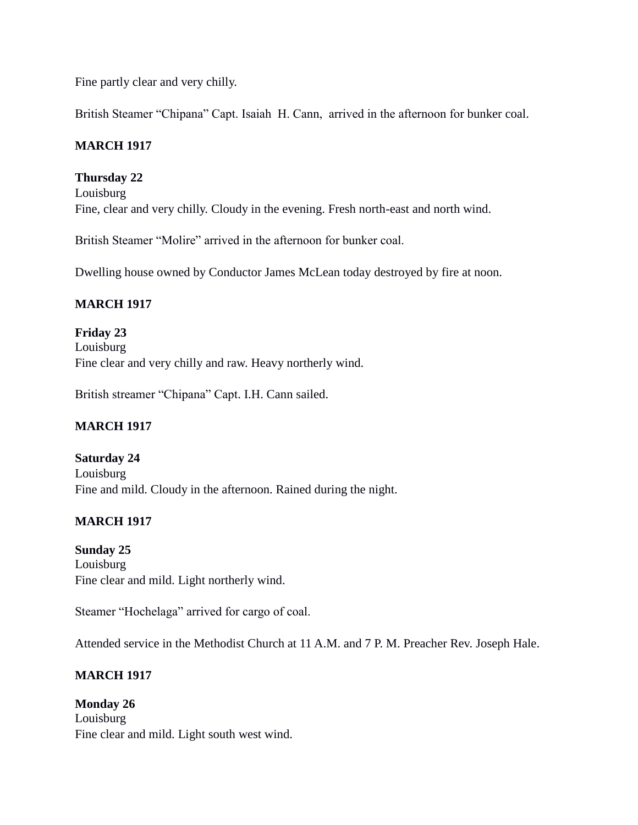Fine partly clear and very chilly.

British Steamer "Chipana" Capt. Isaiah H. Cann, arrived in the afternoon for bunker coal.

# **MARCH 1917**

# **Thursday 22**

Louisburg Fine, clear and very chilly. Cloudy in the evening. Fresh north-east and north wind.

British Steamer "Molire" arrived in the afternoon for bunker coal.

Dwelling house owned by Conductor James McLean today destroyed by fire at noon.

# **MARCH 1917**

**Friday 23** Louisburg Fine clear and very chilly and raw. Heavy northerly wind.

British streamer "Chipana" Capt. I.H. Cann sailed.

# **MARCH 1917**

# **Saturday 24** Louisburg Fine and mild. Cloudy in the afternoon. Rained during the night.

# **MARCH 1917**

**Sunday 25** Louisburg Fine clear and mild. Light northerly wind.

Steamer "Hochelaga" arrived for cargo of coal.

Attended service in the Methodist Church at 11 A.M. and 7 P. M. Preacher Rev. Joseph Hale.

# **MARCH 1917**

**Monday 26** Louisburg Fine clear and mild. Light south west wind.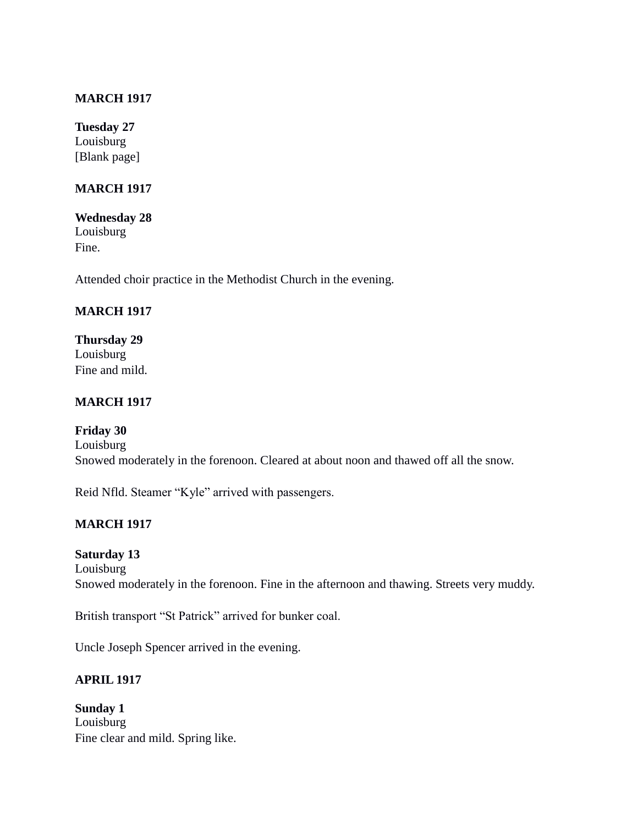### **MARCH 1917**

**Tuesday 27** Louisburg [Blank page]

## **MARCH 1917**

#### **Wednesday 28** Louisburg

Fine.

Attended choir practice in the Methodist Church in the evening.

# **MARCH 1917**

**Thursday 29** Louisburg Fine and mild.

# **MARCH 1917**

**Friday 30** Louisburg Snowed moderately in the forenoon. Cleared at about noon and thawed off all the snow.

Reid Nfld. Steamer "Kyle" arrived with passengers.

# **MARCH 1917**

### **Saturday 13**

Louisburg Snowed moderately in the forenoon. Fine in the afternoon and thawing. Streets very muddy.

British transport "St Patrick" arrived for bunker coal.

Uncle Joseph Spencer arrived in the evening.

### **APRIL 1917**

**Sunday 1** Louisburg Fine clear and mild. Spring like.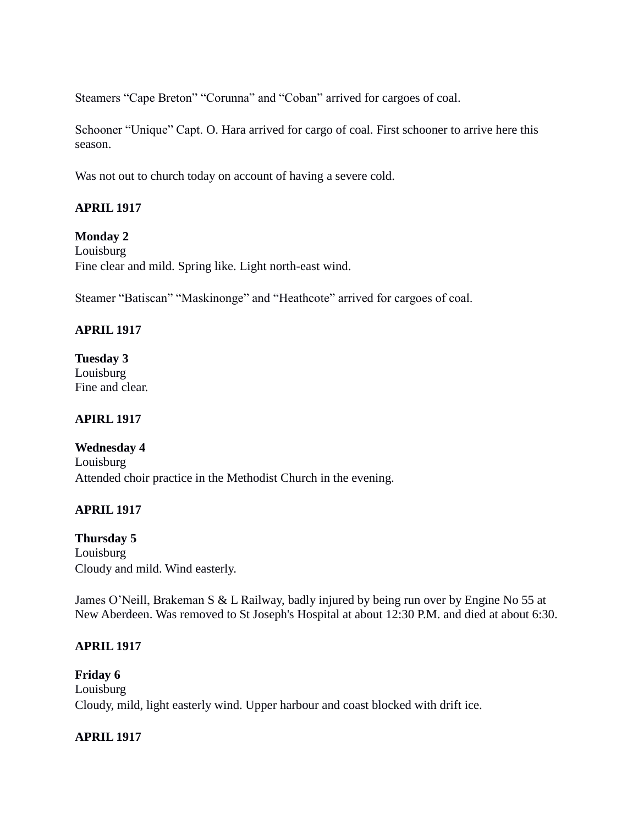Steamers "Cape Breton" "Corunna" and "Coban" arrived for cargoes of coal.

Schooner "Unique" Capt. O. Hara arrived for cargo of coal. First schooner to arrive here this season.

Was not out to church today on account of having a severe cold.

# **APRIL 1917**

### **Monday 2**

Louisburg Fine clear and mild. Spring like. Light north-east wind.

Steamer "Batiscan" "Maskinonge" and "Heathcote" arrived for cargoes of coal.

# **APRIL 1917**

**Tuesday 3** Louisburg Fine and clear.

# **APIRL 1917**

# **Wednesday 4**

Louisburg Attended choir practice in the Methodist Church in the evening.

# **APRIL 1917**

**Thursday 5** Louisburg Cloudy and mild. Wind easterly.

James O'Neill, Brakeman S & L Railway, badly injured by being run over by Engine No 55 at New Aberdeen. Was removed to St Joseph's Hospital at about 12:30 P.M. and died at about 6:30.

# **APRIL 1917**

**Friday 6** Louisburg Cloudy, mild, light easterly wind. Upper harbour and coast blocked with drift ice.

### **APRIL 1917**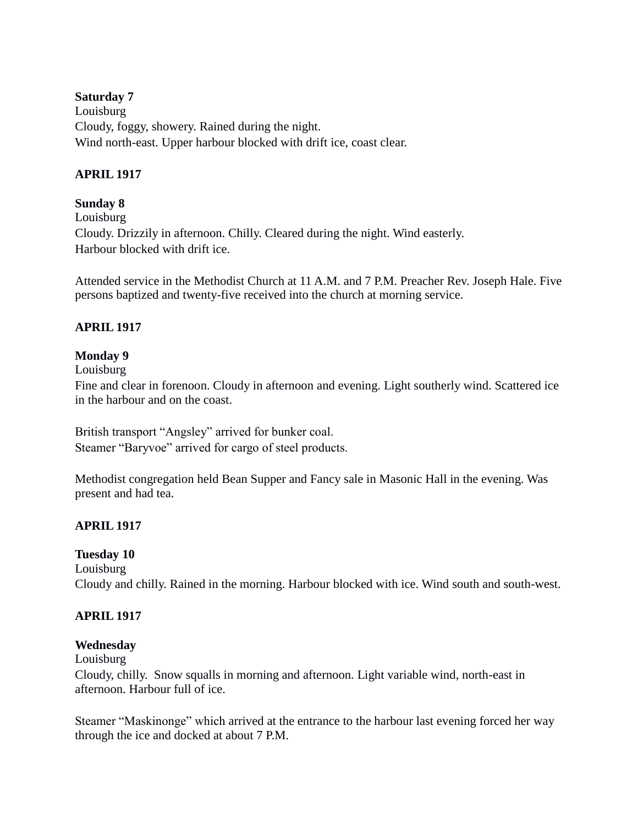### **Saturday 7**

Louisburg Cloudy, foggy, showery. Rained during the night. Wind north-east. Upper harbour blocked with drift ice, coast clear.

# **APRIL 1917**

## **Sunday 8**

Louisburg Cloudy. Drizzily in afternoon. Chilly. Cleared during the night. Wind easterly. Harbour blocked with drift ice.

Attended service in the Methodist Church at 11 A.M. and 7 P.M. Preacher Rev. Joseph Hale. Five persons baptized and twenty-five received into the church at morning service.

# **APRIL 1917**

### **Monday 9**

Louisburg

Fine and clear in forenoon. Cloudy in afternoon and evening. Light southerly wind. Scattered ice in the harbour and on the coast.

British transport "Angsley" arrived for bunker coal. Steamer "Baryvoe" arrived for cargo of steel products.

Methodist congregation held Bean Supper and Fancy sale in Masonic Hall in the evening. Was present and had tea.

# **APRIL 1917**

### **Tuesday 10**

Louisburg Cloudy and chilly. Rained in the morning. Harbour blocked with ice. Wind south and south-west.

### **APRIL 1917**

### **Wednesday**

Louisburg

Cloudy, chilly. Snow squalls in morning and afternoon. Light variable wind, north-east in afternoon. Harbour full of ice.

Steamer "Maskinonge" which arrived at the entrance to the harbour last evening forced her way through the ice and docked at about 7 P.M.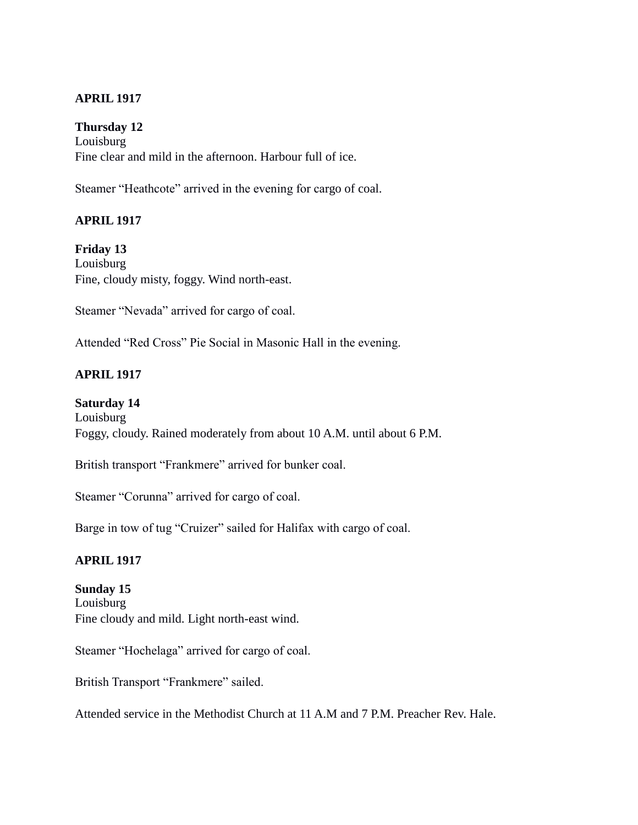## **APRIL 1917**

### **Thursday 12**

Louisburg Fine clear and mild in the afternoon. Harbour full of ice.

Steamer "Heathcote" arrived in the evening for cargo of coal.

### **APRIL 1917**

**Friday 13** Louisburg Fine, cloudy misty, foggy. Wind north-east.

Steamer "Nevada" arrived for cargo of coal.

Attended "Red Cross" Pie Social in Masonic Hall in the evening.

### **APRIL 1917**

#### **Saturday 14**

Louisburg Foggy, cloudy. Rained moderately from about 10 A.M. until about 6 P.M.

British transport "Frankmere" arrived for bunker coal.

Steamer "Corunna" arrived for cargo of coal.

Barge in tow of tug "Cruizer" sailed for Halifax with cargo of coal.

### **APRIL 1917**

#### **Sunday 15**

Louisburg Fine cloudy and mild. Light north-east wind.

Steamer "Hochelaga" arrived for cargo of coal.

British Transport "Frankmere" sailed.

Attended service in the Methodist Church at 11 A.M and 7 P.M. Preacher Rev. Hale.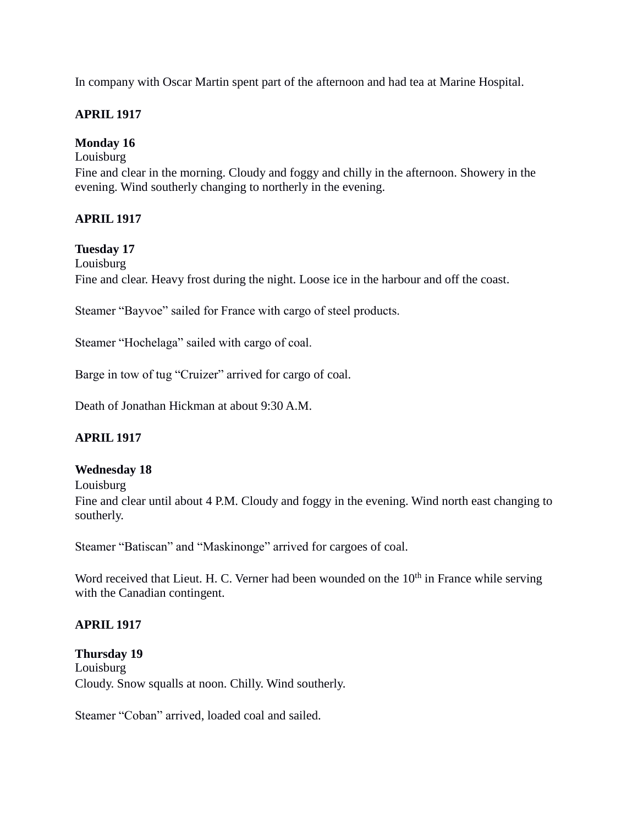In company with Oscar Martin spent part of the afternoon and had tea at Marine Hospital.

## **APRIL 1917**

## **Monday 16**

Louisburg Fine and clear in the morning. Cloudy and foggy and chilly in the afternoon. Showery in the evening. Wind southerly changing to northerly in the evening.

# **APRIL 1917**

### **Tuesday 17**

Louisburg

Fine and clear. Heavy frost during the night. Loose ice in the harbour and off the coast.

Steamer "Bayvoe" sailed for France with cargo of steel products.

Steamer "Hochelaga" sailed with cargo of coal.

Barge in tow of tug "Cruizer" arrived for cargo of coal.

Death of Jonathan Hickman at about 9:30 A.M.

### **APRIL 1917**

#### **Wednesday 18**

Louisburg

Fine and clear until about 4 P.M. Cloudy and foggy in the evening. Wind north east changing to southerly.

Steamer "Batiscan" and "Maskinonge" arrived for cargoes of coal.

Word received that Lieut. H. C. Verner had been wounded on the  $10<sup>th</sup>$  in France while serving with the Canadian contingent.

### **APRIL 1917**

**Thursday 19** Louisburg Cloudy. Snow squalls at noon. Chilly. Wind southerly.

Steamer "Coban" arrived, loaded coal and sailed.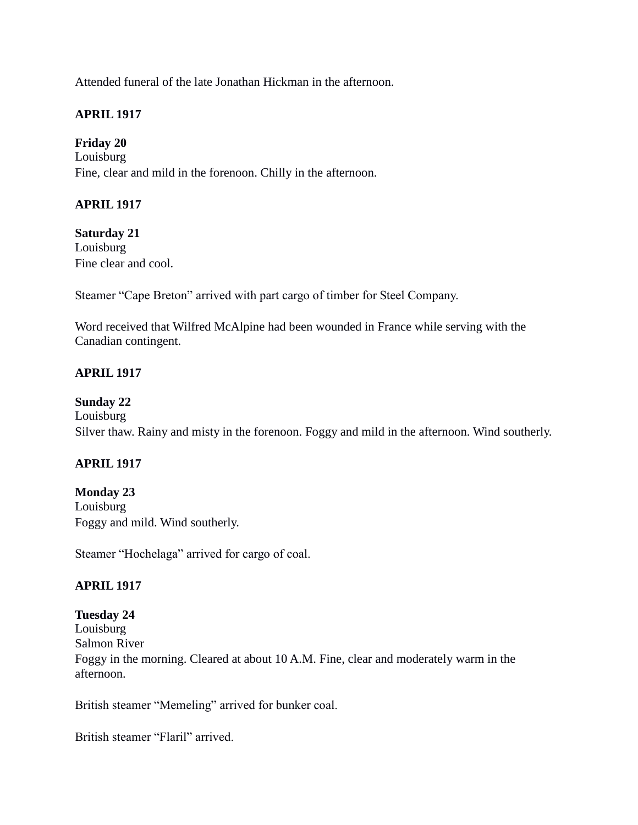Attended funeral of the late Jonathan Hickman in the afternoon.

## **APRIL 1917**

### **Friday 20**

Louisburg Fine, clear and mild in the forenoon. Chilly in the afternoon.

# **APRIL 1917**

**Saturday 21** Louisburg Fine clear and cool.

Steamer "Cape Breton" arrived with part cargo of timber for Steel Company.

Word received that Wilfred McAlpine had been wounded in France while serving with the Canadian contingent.

# **APRIL 1917**

### **Sunday 22**

Louisburg Silver thaw. Rainy and misty in the forenoon. Foggy and mild in the afternoon. Wind southerly.

### **APRIL 1917**

### **Monday 23**

Louisburg Foggy and mild. Wind southerly.

Steamer "Hochelaga" arrived for cargo of coal.

# **APRIL 1917**

# **Tuesday 24**

Louisburg Salmon River

Foggy in the morning. Cleared at about 10 A.M. Fine, clear and moderately warm in the afternoon.

British steamer "Memeling" arrived for bunker coal.

British steamer "Flaril" arrived.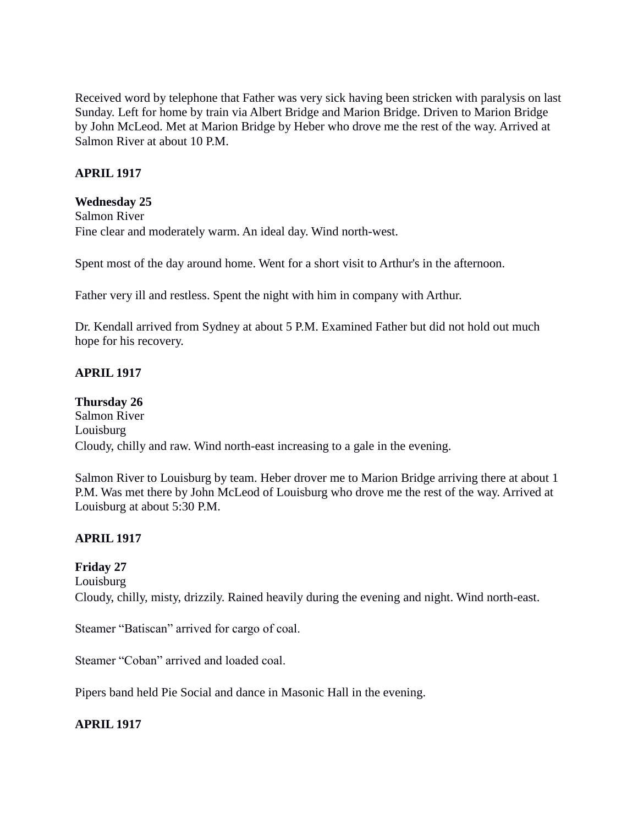Received word by telephone that Father was very sick having been stricken with paralysis on last Sunday. Left for home by train via Albert Bridge and Marion Bridge. Driven to Marion Bridge by John McLeod. Met at Marion Bridge by Heber who drove me the rest of the way. Arrived at Salmon River at about 10 P.M.

# **APRIL 1917**

### **Wednesday 25**

Salmon River Fine clear and moderately warm. An ideal day. Wind north-west.

Spent most of the day around home. Went for a short visit to Arthur's in the afternoon.

Father very ill and restless. Spent the night with him in company with Arthur.

Dr. Kendall arrived from Sydney at about 5 P.M. Examined Father but did not hold out much hope for his recovery.

### **APRIL 1917**

**Thursday 26** Salmon River Louisburg Cloudy, chilly and raw. Wind north-east increasing to a gale in the evening.

Salmon River to Louisburg by team. Heber drover me to Marion Bridge arriving there at about 1 P.M. Was met there by John McLeod of Louisburg who drove me the rest of the way. Arrived at Louisburg at about 5:30 P.M.

### **APRIL 1917**

### **Friday 27**

Louisburg

Cloudy, chilly, misty, drizzily. Rained heavily during the evening and night. Wind north-east.

Steamer "Batiscan" arrived for cargo of coal.

Steamer "Coban" arrived and loaded coal.

Pipers band held Pie Social and dance in Masonic Hall in the evening.

### **APRIL 1917**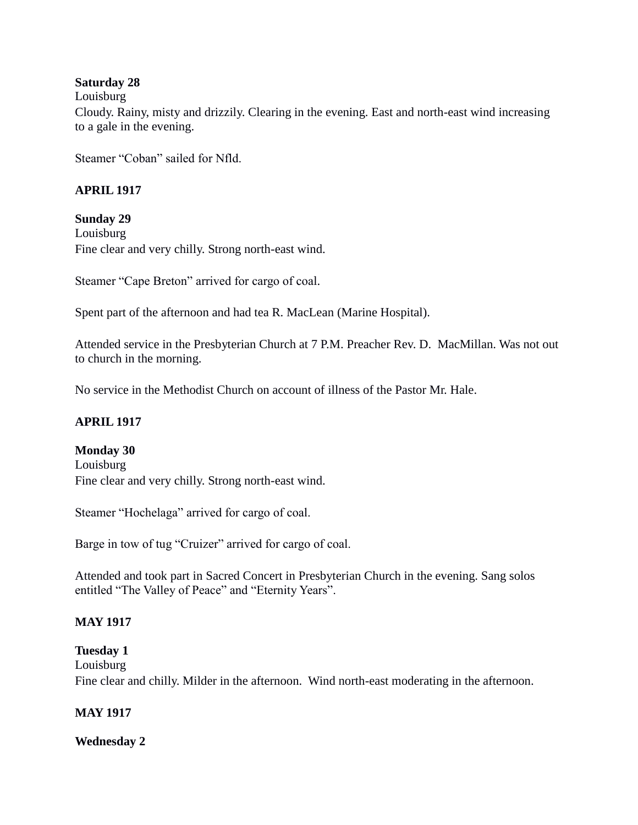### **Saturday 28**

#### Louisburg

Cloudy. Rainy, misty and drizzily. Clearing in the evening. East and north-east wind increasing to a gale in the evening.

Steamer "Coban" sailed for Nfld.

### **APRIL 1917**

### **Sunday 29**

Louisburg Fine clear and very chilly. Strong north-east wind.

Steamer "Cape Breton" arrived for cargo of coal.

Spent part of the afternoon and had tea R. MacLean (Marine Hospital).

Attended service in the Presbyterian Church at 7 P.M. Preacher Rev. D. MacMillan. Was not out to church in the morning.

No service in the Methodist Church on account of illness of the Pastor Mr. Hale.

### **APRIL 1917**

### **Monday 30**

Louisburg Fine clear and very chilly. Strong north-east wind.

Steamer "Hochelaga" arrived for cargo of coal.

Barge in tow of tug "Cruizer" arrived for cargo of coal.

Attended and took part in Sacred Concert in Presbyterian Church in the evening. Sang solos entitled "The Valley of Peace" and "Eternity Years".

### **MAY 1917**

**Tuesday 1** Louisburg Fine clear and chilly. Milder in the afternoon. Wind north-east moderating in the afternoon.

### **MAY 1917**

### **Wednesday 2**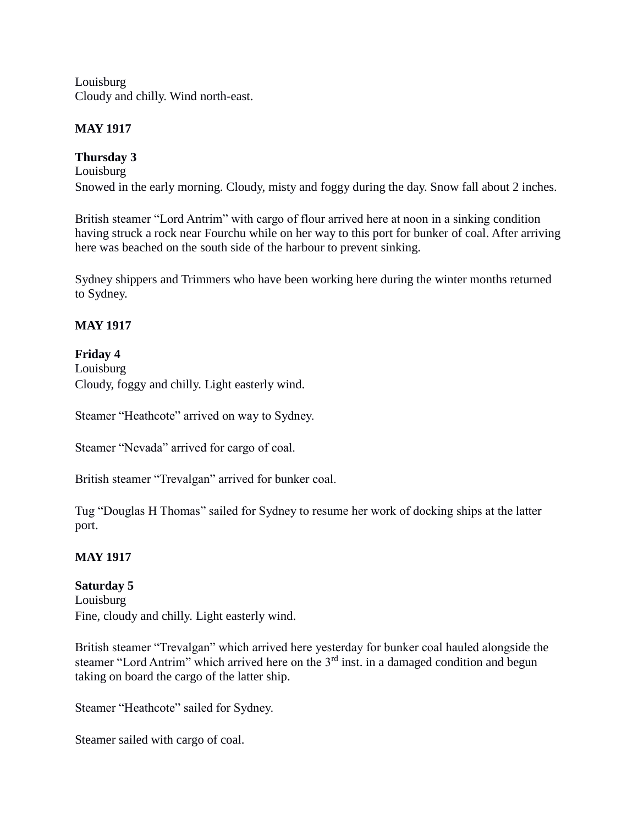Louisburg Cloudy and chilly. Wind north-east.

## **MAY 1917**

# **Thursday 3**

Louisburg Snowed in the early morning. Cloudy, misty and foggy during the day. Snow fall about 2 inches.

British steamer "Lord Antrim" with cargo of flour arrived here at noon in a sinking condition having struck a rock near Fourchu while on her way to this port for bunker of coal. After arriving here was beached on the south side of the harbour to prevent sinking.

Sydney shippers and Trimmers who have been working here during the winter months returned to Sydney.

# **MAY 1917**

### **Friday 4**

Louisburg Cloudy, foggy and chilly. Light easterly wind.

Steamer "Heathcote" arrived on way to Sydney.

Steamer "Nevada" arrived for cargo of coal.

British steamer "Trevalgan" arrived for bunker coal.

Tug "Douglas H Thomas" sailed for Sydney to resume her work of docking ships at the latter port.

# **MAY 1917**

# **Saturday 5**

Louisburg Fine, cloudy and chilly. Light easterly wind.

British steamer "Trevalgan" which arrived here yesterday for bunker coal hauled alongside the steamer "Lord Antrim" which arrived here on the  $3<sup>rd</sup>$  inst. in a damaged condition and begun taking on board the cargo of the latter ship.

Steamer "Heathcote" sailed for Sydney.

Steamer sailed with cargo of coal.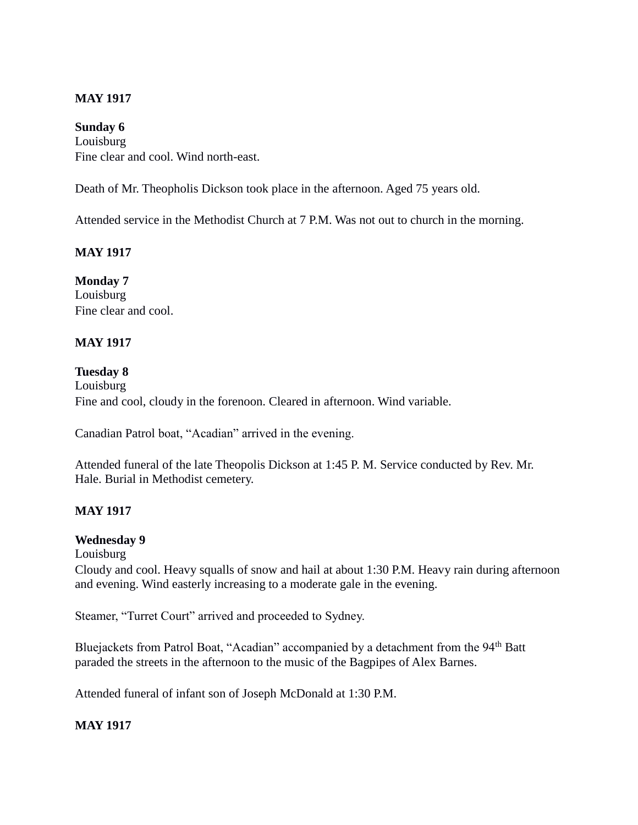# **MAY 1917**

### **Sunday 6**

Louisburg Fine clear and cool. Wind north-east.

Death of Mr. Theopholis Dickson took place in the afternoon. Aged 75 years old.

Attended service in the Methodist Church at 7 P.M. Was not out to church in the morning.

# **MAY 1917**

**Monday 7** Louisburg Fine clear and cool.

# **MAY 1917**

### **Tuesday 8**

Louisburg Fine and cool, cloudy in the forenoon. Cleared in afternoon. Wind variable.

Canadian Patrol boat, "Acadian" arrived in the evening.

Attended funeral of the late Theopolis Dickson at 1:45 P. M. Service conducted by Rev. Mr. Hale. Burial in Methodist cemetery.

### **MAY 1917**

### **Wednesday 9**

Louisburg

Cloudy and cool. Heavy squalls of snow and hail at about 1:30 P.M. Heavy rain during afternoon and evening. Wind easterly increasing to a moderate gale in the evening.

Steamer, "Turret Court" arrived and proceeded to Sydney.

Bluejackets from Patrol Boat, "Acadian" accompanied by a detachment from the 94<sup>th</sup> Batt paraded the streets in the afternoon to the music of the Bagpipes of Alex Barnes.

Attended funeral of infant son of Joseph McDonald at 1:30 P.M.

### **MAY 1917**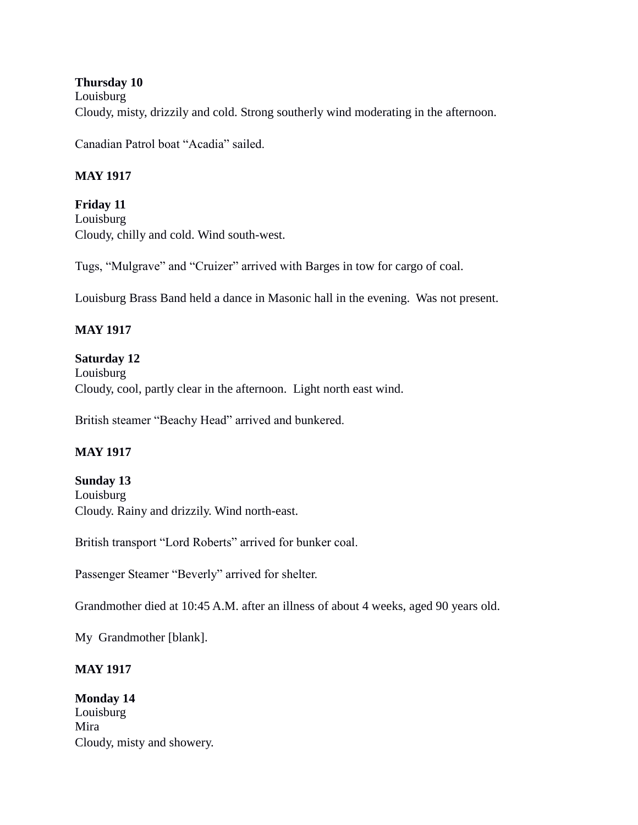**Thursday 10** Louisburg Cloudy, misty, drizzily and cold. Strong southerly wind moderating in the afternoon.

Canadian Patrol boat "Acadia" sailed.

# **MAY 1917**

**Friday 11** Louisburg Cloudy, chilly and cold. Wind south-west.

Tugs, "Mulgrave" and "Cruizer" arrived with Barges in tow for cargo of coal.

Louisburg Brass Band held a dance in Masonic hall in the evening. Was not present.

# **MAY 1917**

**Saturday 12** Louisburg Cloudy, cool, partly clear in the afternoon. Light north east wind.

British steamer "Beachy Head" arrived and bunkered.

# **MAY 1917**

# **Sunday 13**

Louisburg Cloudy. Rainy and drizzily. Wind north-east.

British transport "Lord Roberts" arrived for bunker coal.

Passenger Steamer "Beverly" arrived for shelter.

Grandmother died at 10:45 A.M. after an illness of about 4 weeks, aged 90 years old.

My Grandmother [blank].

# **MAY 1917**

**Monday 14** Louisburg Mira Cloudy, misty and showery.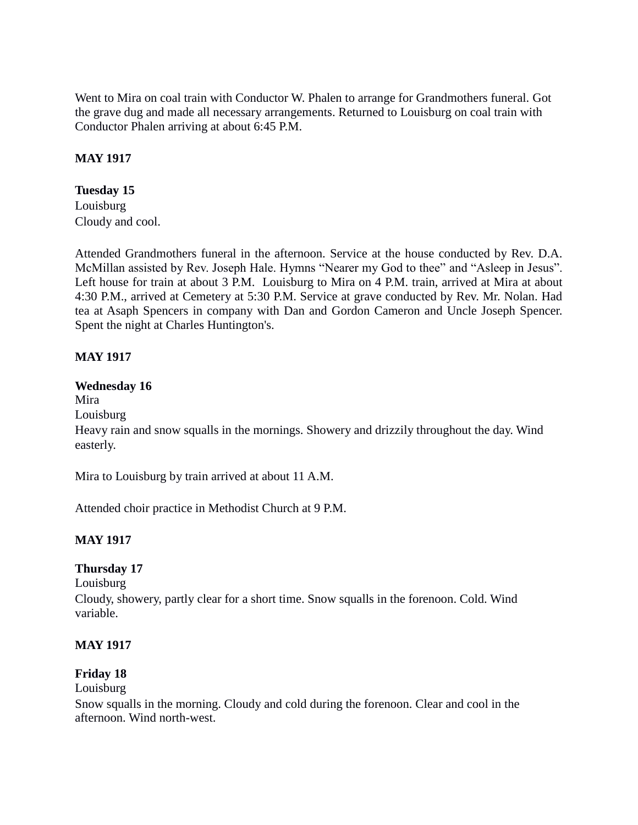Went to Mira on coal train with Conductor W. Phalen to arrange for Grandmothers funeral. Got the grave dug and made all necessary arrangements. Returned to Louisburg on coal train with Conductor Phalen arriving at about 6:45 P.M.

## **MAY 1917**

## **Tuesday 15**

Louisburg Cloudy and cool.

Attended Grandmothers funeral in the afternoon. Service at the house conducted by Rev. D.A. McMillan assisted by Rev. Joseph Hale. Hymns "Nearer my God to thee" and "Asleep in Jesus". Left house for train at about 3 P.M. Louisburg to Mira on 4 P.M. train, arrived at Mira at about 4:30 P.M., arrived at Cemetery at 5:30 P.M. Service at grave conducted by Rev. Mr. Nolan. Had tea at Asaph Spencers in company with Dan and Gordon Cameron and Uncle Joseph Spencer. Spent the night at Charles Huntington's.

# **MAY 1917**

### **Wednesday 16**

Mira

Louisburg

Heavy rain and snow squalls in the mornings. Showery and drizzily throughout the day. Wind easterly.

Mira to Louisburg by train arrived at about 11 A.M.

Attended choir practice in Methodist Church at 9 P.M.

### **MAY 1917**

### **Thursday 17**

Louisburg

Cloudy, showery, partly clear for a short time. Snow squalls in the forenoon. Cold. Wind variable.

### **MAY 1917**

### **Friday 18**

#### Louisburg

Snow squalls in the morning. Cloudy and cold during the forenoon. Clear and cool in the afternoon. Wind north-west.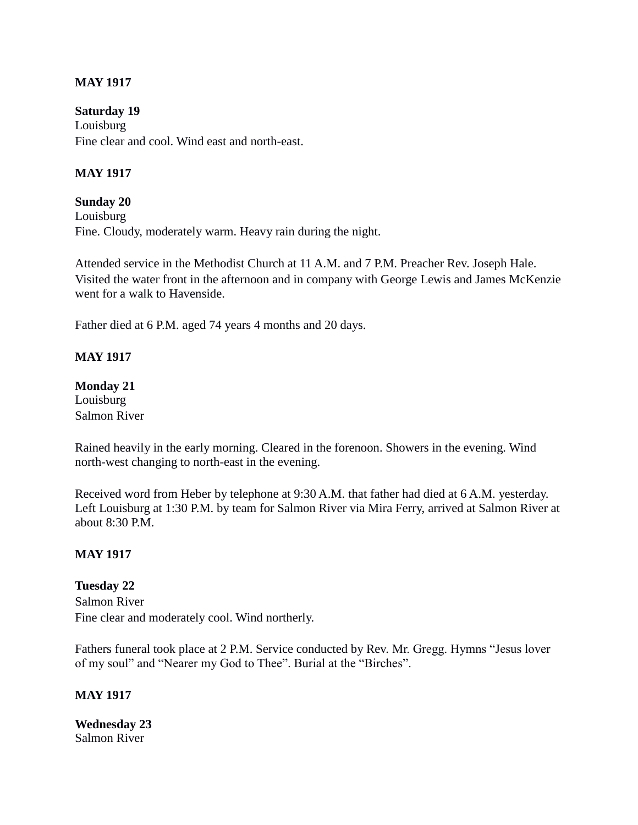### **MAY 1917**

**Saturday 19** Louisburg Fine clear and cool. Wind east and north-east.

## **MAY 1917**

**Sunday 20** Louisburg Fine. Cloudy, moderately warm. Heavy rain during the night.

Attended service in the Methodist Church at 11 A.M. and 7 P.M. Preacher Rev. Joseph Hale. Visited the water front in the afternoon and in company with George Lewis and James McKenzie went for a walk to Havenside.

Father died at 6 P.M. aged 74 years 4 months and 20 days.

### **MAY 1917**

#### **Monday 21** Louisburg

Salmon River

Rained heavily in the early morning. Cleared in the forenoon. Showers in the evening. Wind north-west changing to north-east in the evening.

Received word from Heber by telephone at 9:30 A.M. that father had died at 6 A.M. yesterday. Left Louisburg at 1:30 P.M. by team for Salmon River via Mira Ferry, arrived at Salmon River at about 8:30 P.M.

### **MAY 1917**

**Tuesday 22** Salmon River Fine clear and moderately cool. Wind northerly.

Fathers funeral took place at 2 P.M. Service conducted by Rev. Mr. Gregg. Hymns "Jesus lover of my soul" and "Nearer my God to Thee". Burial at the "Birches".

#### **MAY 1917**

**Wednesday 23** Salmon River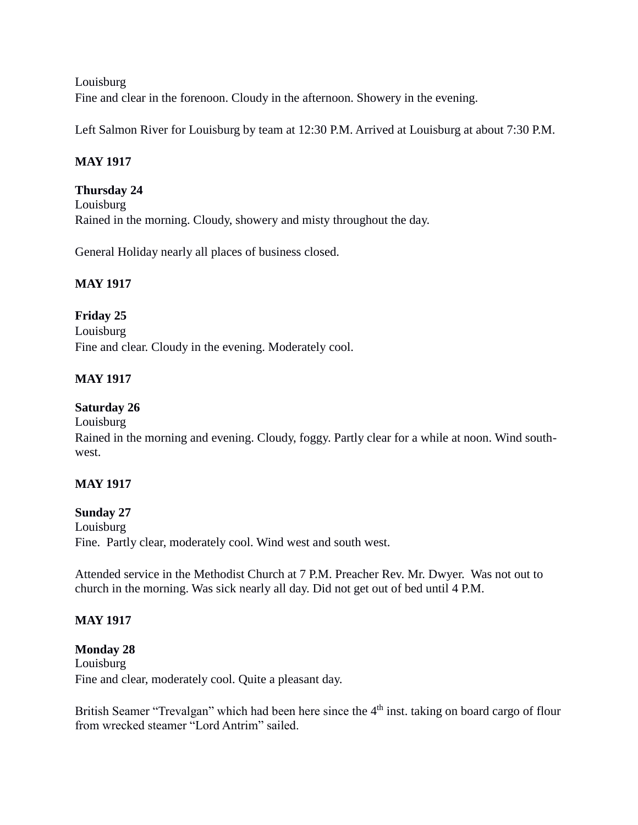Louisburg Fine and clear in the forenoon. Cloudy in the afternoon. Showery in the evening.

Left Salmon River for Louisburg by team at 12:30 P.M. Arrived at Louisburg at about 7:30 P.M.

# **MAY 1917**

# **Thursday 24**

Louisburg Rained in the morning. Cloudy, showery and misty throughout the day.

General Holiday nearly all places of business closed.

# **MAY 1917**

# **Friday 25**

Louisburg Fine and clear. Cloudy in the evening. Moderately cool.

# **MAY 1917**

# **Saturday 26**

Louisburg

Rained in the morning and evening. Cloudy, foggy. Partly clear for a while at noon. Wind southwest.

# **MAY 1917**

# **Sunday 27**

Louisburg Fine. Partly clear, moderately cool. Wind west and south west.

Attended service in the Methodist Church at 7 P.M. Preacher Rev. Mr. Dwyer. Was not out to church in the morning. Was sick nearly all day. Did not get out of bed until 4 P.M.

# **MAY 1917**

#### **Monday 28** Louisburg Fine and clear, moderately cool. Quite a pleasant day.

British Seamer "Trevalgan" which had been here since the 4<sup>th</sup> inst. taking on board cargo of flour from wrecked steamer "Lord Antrim" sailed.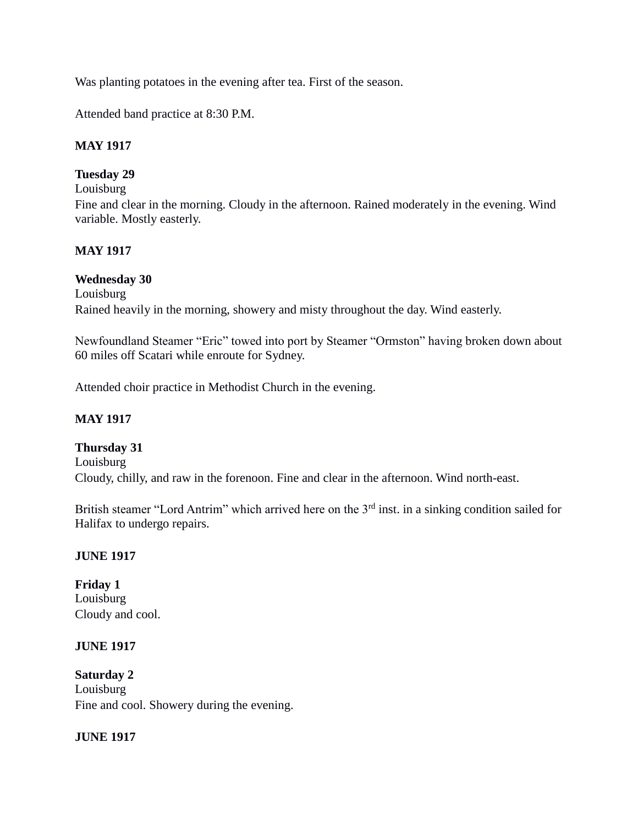Was planting potatoes in the evening after tea. First of the season.

Attended band practice at 8:30 P.M.

### **MAY 1917**

# **Tuesday 29**

Louisburg

Fine and clear in the morning. Cloudy in the afternoon. Rained moderately in the evening. Wind variable. Mostly easterly.

# **MAY 1917**

# **Wednesday 30**

Louisburg

Rained heavily in the morning, showery and misty throughout the day. Wind easterly.

Newfoundland Steamer "Eric" towed into port by Steamer "Ormston" having broken down about 60 miles off Scatari while enroute for Sydney.

Attended choir practice in Methodist Church in the evening.

# **MAY 1917**

**Thursday 31** Louisburg Cloudy, chilly, and raw in the forenoon. Fine and clear in the afternoon. Wind north-east.

British steamer "Lord Antrim" which arrived here on the 3<sup>rd</sup> inst. in a sinking condition sailed for Halifax to undergo repairs.

# **JUNE 1917**

**Friday 1** Louisburg Cloudy and cool.

### **JUNE 1917**

**Saturday 2** Louisburg Fine and cool. Showery during the evening.

### **JUNE 1917**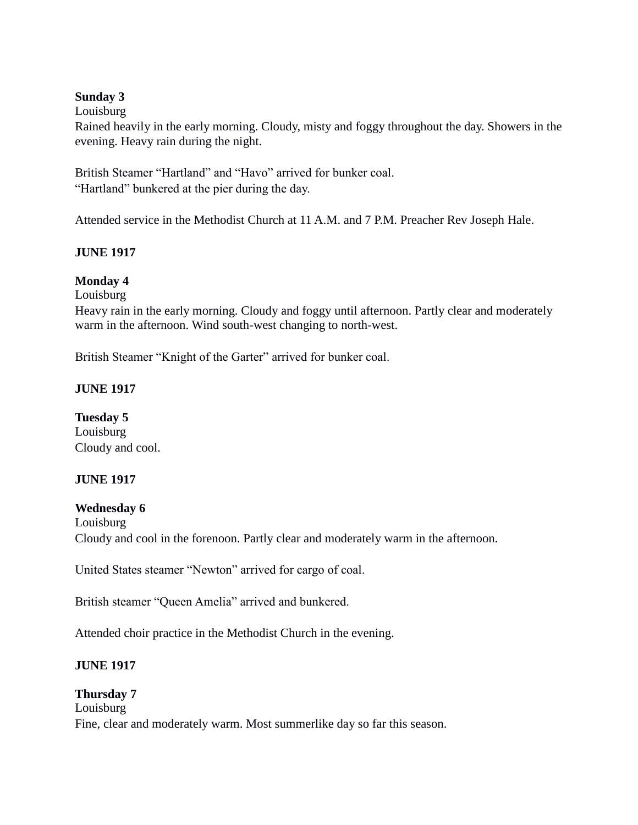### **Sunday 3**

#### Louisburg

Rained heavily in the early morning. Cloudy, misty and foggy throughout the day. Showers in the evening. Heavy rain during the night.

British Steamer "Hartland" and "Havo" arrived for bunker coal. "Hartland" bunkered at the pier during the day.

Attended service in the Methodist Church at 11 A.M. and 7 P.M. Preacher Rev Joseph Hale.

### **JUNE 1917**

### **Monday 4**

Louisburg

Heavy rain in the early morning. Cloudy and foggy until afternoon. Partly clear and moderately warm in the afternoon. Wind south-west changing to north-west.

British Steamer "Knight of the Garter" arrived for bunker coal.

### **JUNE 1917**

**Tuesday 5** Louisburg Cloudy and cool.

### **JUNE 1917**

### **Wednesday 6**

Louisburg Cloudy and cool in the forenoon. Partly clear and moderately warm in the afternoon.

United States steamer "Newton" arrived for cargo of coal.

British steamer "Queen Amelia" arrived and bunkered.

Attended choir practice in the Methodist Church in the evening.

# **JUNE 1917**

# **Thursday 7** Louisburg Fine, clear and moderately warm. Most summerlike day so far this season.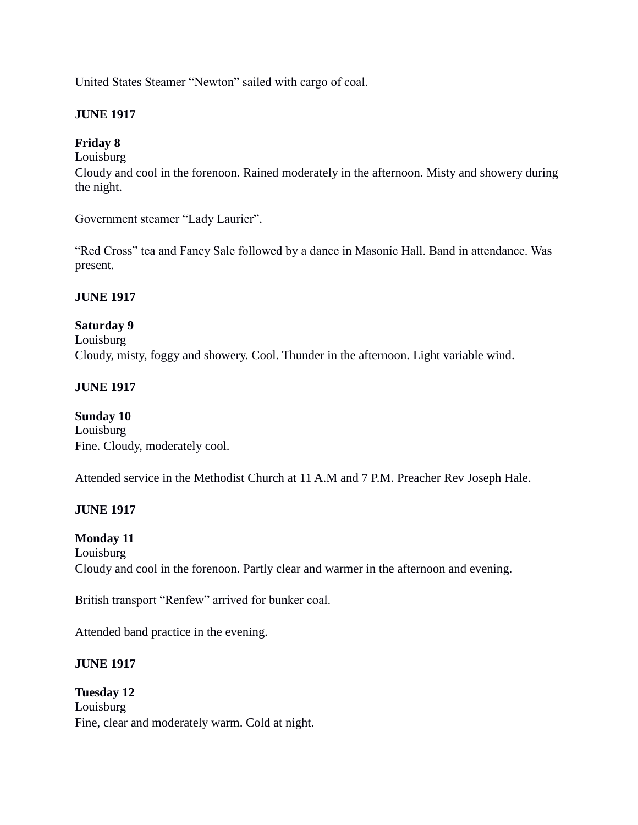United States Steamer "Newton" sailed with cargo of coal.

## **JUNE 1917**

## **Friday 8**

Louisburg

Cloudy and cool in the forenoon. Rained moderately in the afternoon. Misty and showery during the night.

Government steamer "Lady Laurier".

"Red Cross" tea and Fancy Sale followed by a dance in Masonic Hall. Band in attendance. Was present.

### **JUNE 1917**

# **Saturday 9**

Louisburg Cloudy, misty, foggy and showery. Cool. Thunder in the afternoon. Light variable wind.

### **JUNE 1917**

#### **Sunday 10**

Louisburg Fine. Cloudy, moderately cool.

Attended service in the Methodist Church at 11 A.M and 7 P.M. Preacher Rev Joseph Hale.

### **JUNE 1917**

### **Monday 11**

Louisburg Cloudy and cool in the forenoon. Partly clear and warmer in the afternoon and evening.

British transport "Renfew" arrived for bunker coal.

Attended band practice in the evening.

### **JUNE 1917**

**Tuesday 12** Louisburg Fine, clear and moderately warm. Cold at night.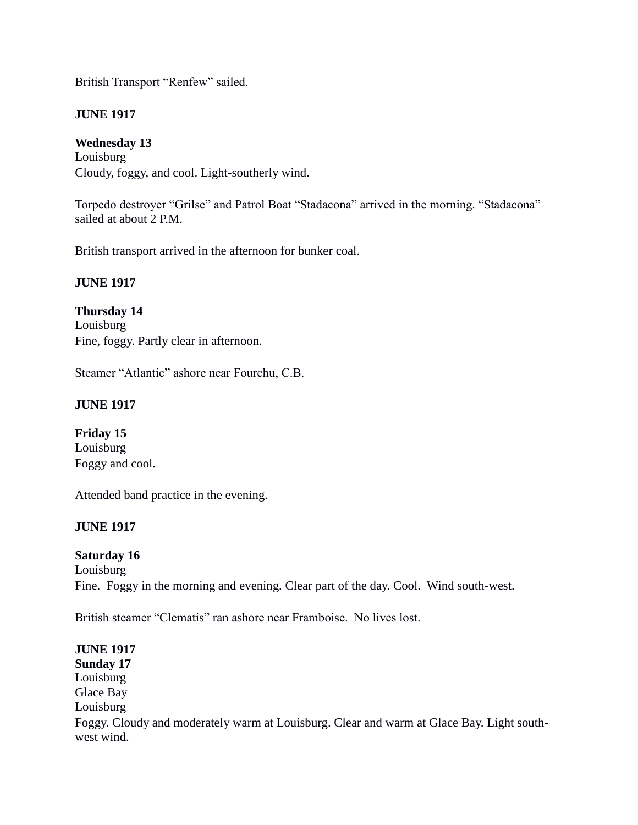British Transport "Renfew" sailed.

# **JUNE 1917**

# **Wednesday 13**

Louisburg Cloudy, foggy, and cool. Light-southerly wind.

Torpedo destroyer "Grilse" and Patrol Boat "Stadacona" arrived in the morning. "Stadacona" sailed at about 2 P.M.

British transport arrived in the afternoon for bunker coal.

# **JUNE 1917**

**Thursday 14** Louisburg Fine, foggy. Partly clear in afternoon.

Steamer "Atlantic" ashore near Fourchu, C.B.

# **JUNE 1917**

**Friday 15** Louisburg Foggy and cool.

Attended band practice in the evening.

# **JUNE 1917**

### **Saturday 16**

Louisburg Fine. Foggy in the morning and evening. Clear part of the day. Cool. Wind south-west.

British steamer "Clematis" ran ashore near Framboise. No lives lost.

### **JUNE 1917**

**Sunday 17** Louisburg Glace Bay Louisburg Foggy. Cloudy and moderately warm at Louisburg. Clear and warm at Glace Bay. Light southwest wind.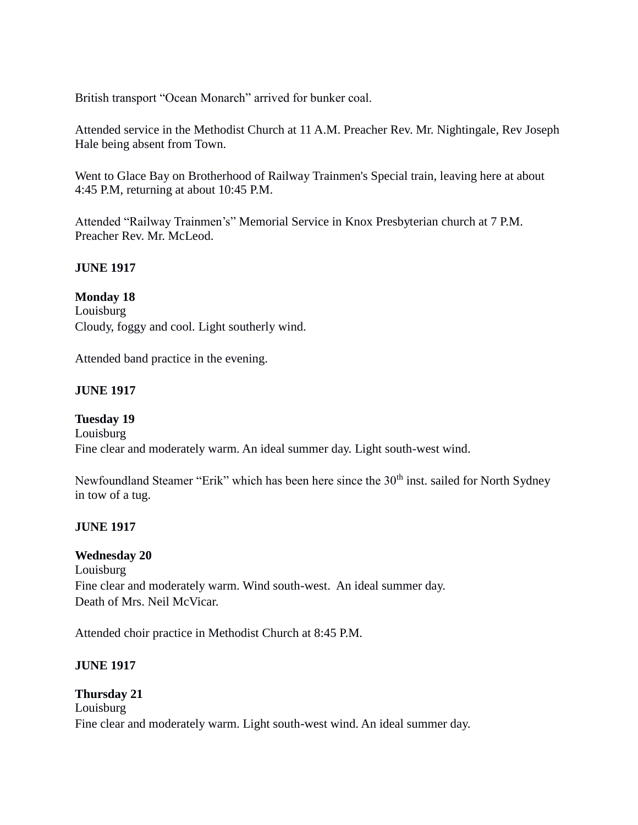British transport "Ocean Monarch" arrived for bunker coal.

Attended service in the Methodist Church at 11 A.M. Preacher Rev. Mr. Nightingale, Rev Joseph Hale being absent from Town.

Went to Glace Bay on Brotherhood of Railway Trainmen's Special train, leaving here at about 4:45 P.M, returning at about 10:45 P.M.

Attended "Railway Trainmen's" Memorial Service in Knox Presbyterian church at 7 P.M. Preacher Rev. Mr. McLeod.

### **JUNE 1917**

### **Monday 18**

Louisburg Cloudy, foggy and cool. Light southerly wind.

Attended band practice in the evening.

# **JUNE 1917**

**Tuesday 19** Louisburg Fine clear and moderately warm. An ideal summer day. Light south-west wind.

Newfoundland Steamer "Erik" which has been here since the 30<sup>th</sup> inst. sailed for North Sydney in tow of a tug.

### **JUNE 1917**

### **Wednesday 20**

Louisburg Fine clear and moderately warm. Wind south-west. An ideal summer day. Death of Mrs. Neil McVicar.

Attended choir practice in Methodist Church at 8:45 P.M.

### **JUNE 1917**

# **Thursday 21** Louisburg Fine clear and moderately warm. Light south-west wind. An ideal summer day.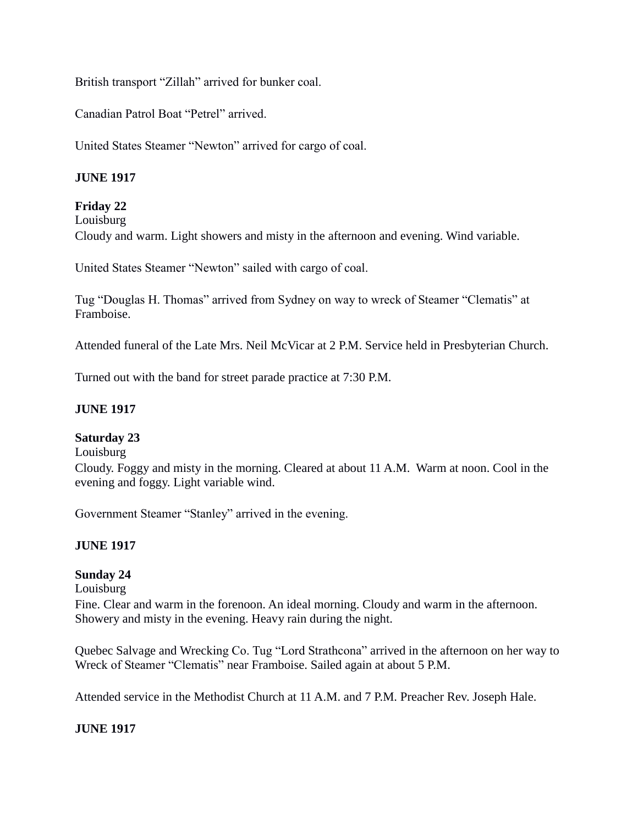British transport "Zillah" arrived for bunker coal.

Canadian Patrol Boat "Petrel" arrived.

United States Steamer "Newton" arrived for cargo of coal.

### **JUNE 1917**

# **Friday 22**

Louisburg

Cloudy and warm. Light showers and misty in the afternoon and evening. Wind variable.

United States Steamer "Newton" sailed with cargo of coal.

Tug "Douglas H. Thomas" arrived from Sydney on way to wreck of Steamer "Clematis" at Framboise.

Attended funeral of the Late Mrs. Neil McVicar at 2 P.M. Service held in Presbyterian Church.

Turned out with the band for street parade practice at 7:30 P.M.

#### **JUNE 1917**

#### **Saturday 23**

Louisburg

Cloudy. Foggy and misty in the morning. Cleared at about 11 A.M. Warm at noon. Cool in the evening and foggy. Light variable wind.

Government Steamer "Stanley" arrived in the evening.

#### **JUNE 1917**

#### **Sunday 24**

Louisburg Fine. Clear and warm in the forenoon. An ideal morning. Cloudy and warm in the afternoon. Showery and misty in the evening. Heavy rain during the night.

Quebec Salvage and Wrecking Co. Tug "Lord Strathcona" arrived in the afternoon on her way to Wreck of Steamer "Clematis" near Framboise. Sailed again at about 5 P.M.

Attended service in the Methodist Church at 11 A.M. and 7 P.M. Preacher Rev. Joseph Hale.

#### **JUNE 1917**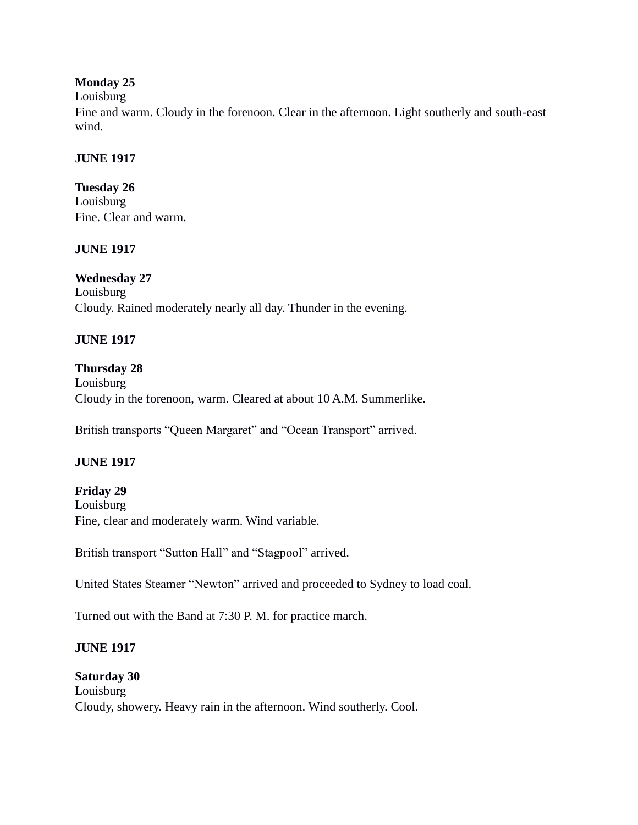### **Monday 25**

#### Louisburg

Fine and warm. Cloudy in the forenoon. Clear in the afternoon. Light southerly and south-east wind.

# **JUNE 1917**

**Tuesday 26** Louisburg Fine. Clear and warm.

# **JUNE 1917**

# **Wednesday 27**

Louisburg Cloudy. Rained moderately nearly all day. Thunder in the evening.

# **JUNE 1917**

### **Thursday 28** Louisburg Cloudy in the forenoon, warm. Cleared at about 10 A.M. Summerlike.

British transports "Queen Margaret" and "Ocean Transport" arrived.

# **JUNE 1917**

## **Friday 29** Louisburg Fine, clear and moderately warm. Wind variable.

British transport "Sutton Hall" and "Stagpool" arrived.

United States Steamer "Newton" arrived and proceeded to Sydney to load coal.

Turned out with the Band at 7:30 P. M. for practice march.

# **JUNE 1917**

### **Saturday 30**

Louisburg Cloudy, showery. Heavy rain in the afternoon. Wind southerly. Cool.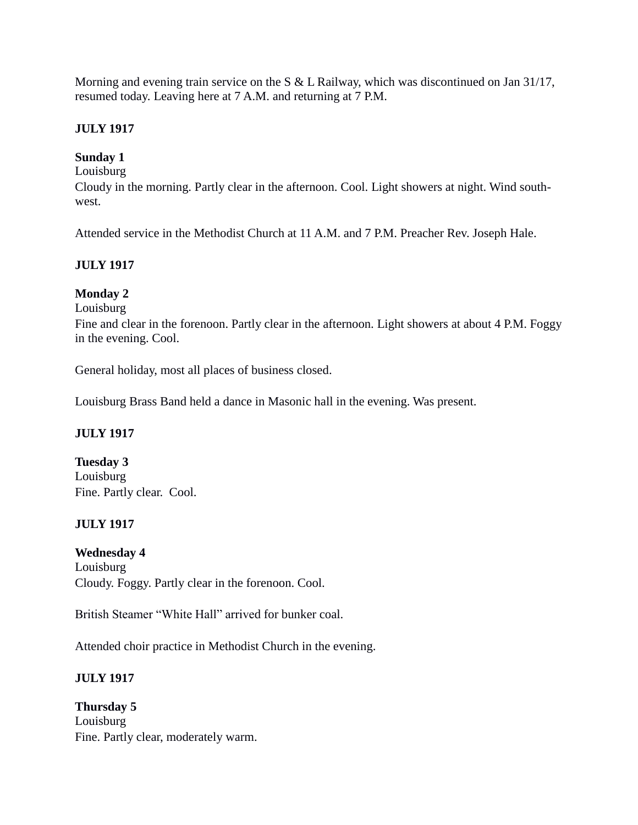Morning and evening train service on the S & L Railway, which was discontinued on Jan 31/17, resumed today. Leaving here at 7 A.M. and returning at 7 P.M.

# **JULY 1917**

# **Sunday 1**

Louisburg

Cloudy in the morning. Partly clear in the afternoon. Cool. Light showers at night. Wind southwest.

Attended service in the Methodist Church at 11 A.M. and 7 P.M. Preacher Rev. Joseph Hale.

# **JULY 1917**

# **Monday 2**

Louisburg

Fine and clear in the forenoon. Partly clear in the afternoon. Light showers at about 4 P.M. Foggy in the evening. Cool.

General holiday, most all places of business closed.

Louisburg Brass Band held a dance in Masonic hall in the evening. Was present.

### **JULY 1917**

**Tuesday 3** Louisburg Fine. Partly clear. Cool.

# **JULY 1917**

**Wednesday 4** Louisburg

Cloudy. Foggy. Partly clear in the forenoon. Cool.

British Steamer "White Hall" arrived for bunker coal.

Attended choir practice in Methodist Church in the evening.

### **JULY 1917**

**Thursday 5** Louisburg Fine. Partly clear, moderately warm.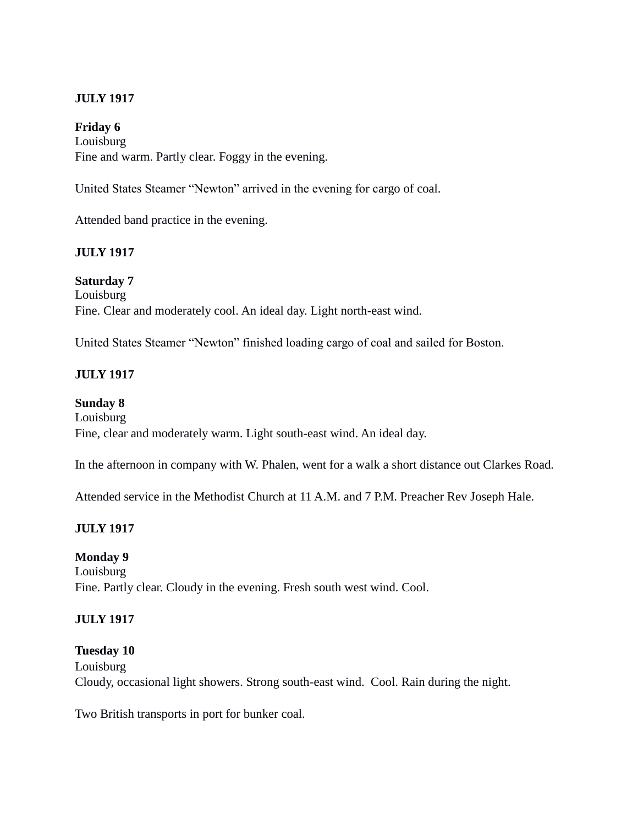#### **Friday 6**

Louisburg Fine and warm. Partly clear. Foggy in the evening.

United States Steamer "Newton" arrived in the evening for cargo of coal.

Attended band practice in the evening.

# **JULY 1917**

**Saturday 7** Louisburg Fine. Clear and moderately cool. An ideal day. Light north-east wind.

United States Steamer "Newton" finished loading cargo of coal and sailed for Boston.

### **JULY 1917**

#### **Sunday 8**

Louisburg Fine, clear and moderately warm. Light south-east wind. An ideal day.

In the afternoon in company with W. Phalen, went for a walk a short distance out Clarkes Road.

Attended service in the Methodist Church at 11 A.M. and 7 P.M. Preacher Rev Joseph Hale.

### **JULY 1917**

### **Monday 9**

Louisburg Fine. Partly clear. Cloudy in the evening. Fresh south west wind. Cool.

### **JULY 1917**

### **Tuesday 10**

Louisburg Cloudy, occasional light showers. Strong south-east wind. Cool. Rain during the night.

Two British transports in port for bunker coal.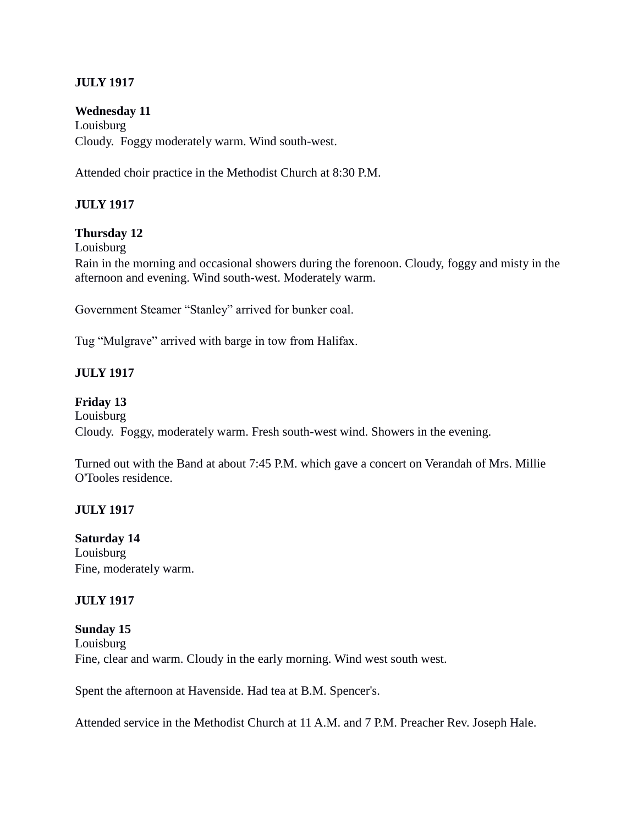**Wednesday 11** Louisburg Cloudy. Foggy moderately warm. Wind south-west.

Attended choir practice in the Methodist Church at 8:30 P.M.

### **JULY 1917**

#### **Thursday 12**

Louisburg

Rain in the morning and occasional showers during the forenoon. Cloudy, foggy and misty in the afternoon and evening. Wind south-west. Moderately warm.

Government Steamer "Stanley" arrived for bunker coal.

Tug "Mulgrave" arrived with barge in tow from Halifax.

#### **JULY 1917**

#### **Friday 13**

Louisburg

Cloudy. Foggy, moderately warm. Fresh south-west wind. Showers in the evening.

Turned out with the Band at about 7:45 P.M. which gave a concert on Verandah of Mrs. Millie O'Tooles residence.

#### **JULY 1917**

**Saturday 14**

Louisburg Fine, moderately warm.

#### **JULY 1917**

#### **Sunday 15**

Louisburg Fine, clear and warm. Cloudy in the early morning. Wind west south west.

Spent the afternoon at Havenside. Had tea at B.M. Spencer's.

Attended service in the Methodist Church at 11 A.M. and 7 P.M. Preacher Rev. Joseph Hale.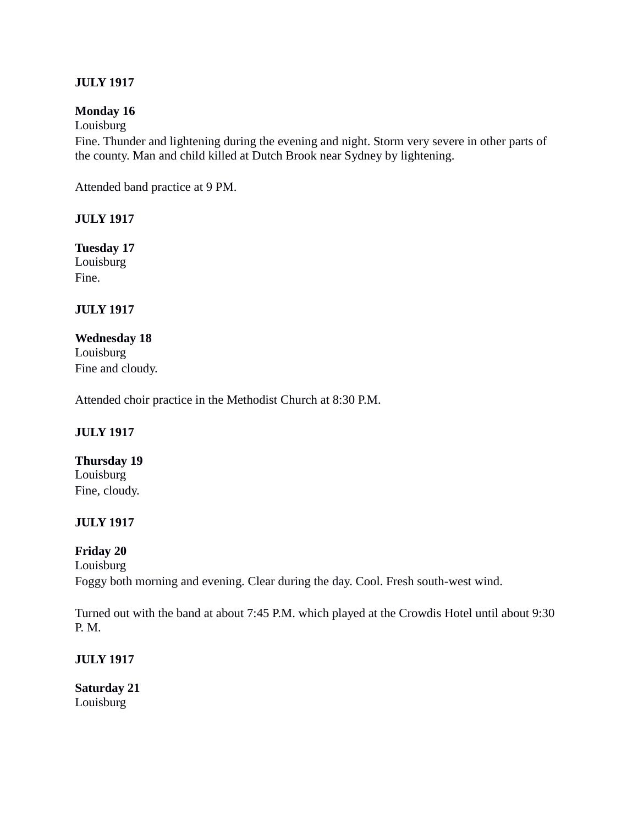## **Monday 16**

Louisburg

Fine. Thunder and lightening during the evening and night. Storm very severe in other parts of the county. Man and child killed at Dutch Brook near Sydney by lightening.

Attended band practice at 9 PM.

#### **JULY 1917**

**Tuesday 17** Louisburg Fine.

# **JULY 1917**

**Wednesday 18** Louisburg Fine and cloudy.

Attended choir practice in the Methodist Church at 8:30 P.M.

### **JULY 1917**

**Thursday 19** Louisburg Fine, cloudy.

### **JULY 1917**

# **Friday 20**

Louisburg

Foggy both morning and evening. Clear during the day. Cool. Fresh south-west wind.

Turned out with the band at about 7:45 P.M. which played at the Crowdis Hotel until about 9:30 P. M.

### **JULY 1917**

**Saturday 21** Louisburg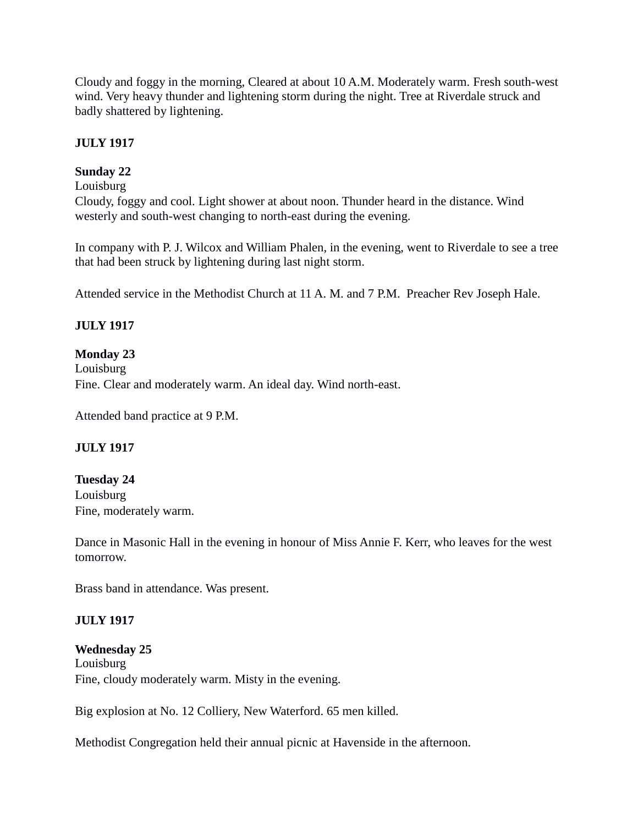Cloudy and foggy in the morning, Cleared at about 10 A.M. Moderately warm. Fresh south-west wind. Very heavy thunder and lightening storm during the night. Tree at Riverdale struck and badly shattered by lightening.

## **JULY 1917**

# **Sunday 22**

# Louisburg

Cloudy, foggy and cool. Light shower at about noon. Thunder heard in the distance. Wind westerly and south-west changing to north-east during the evening.

In company with P. J. Wilcox and William Phalen, in the evening, went to Riverdale to see a tree that had been struck by lightening during last night storm.

Attended service in the Methodist Church at 11 A. M. and 7 P.M. Preacher Rev Joseph Hale.

# **JULY 1917**

### **Monday 23**

Louisburg Fine. Clear and moderately warm. An ideal day. Wind north-east.

Attended band practice at 9 P.M.

# **JULY 1917**

### **Tuesday 24** Louisburg Fine, moderately warm.

Dance in Masonic Hall in the evening in honour of Miss Annie F. Kerr, who leaves for the west tomorrow.

Brass band in attendance. Was present.

### **JULY 1917**

### **Wednesday 25** Louisburg Fine, cloudy moderately warm. Misty in the evening.

Big explosion at No. 12 Colliery, New Waterford. 65 men killed.

Methodist Congregation held their annual picnic at Havenside in the afternoon.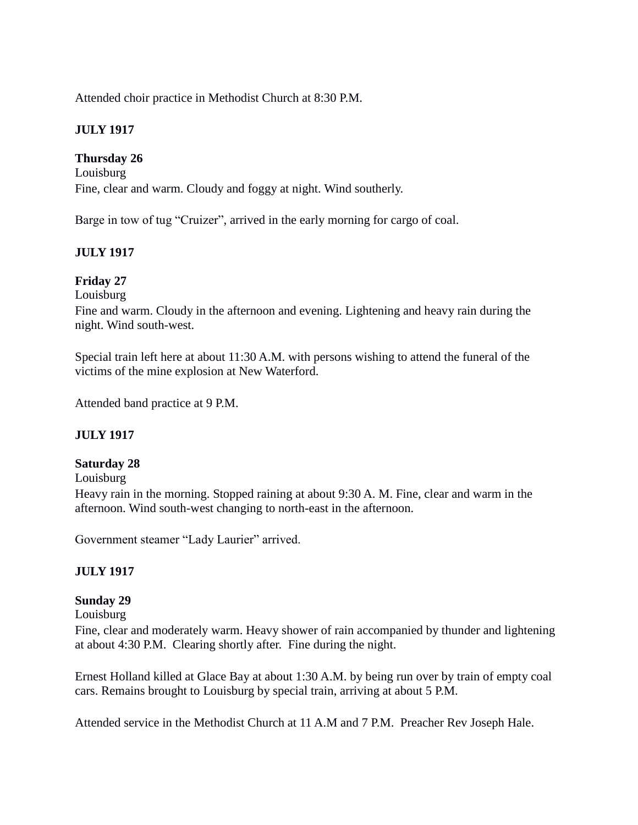Attended choir practice in Methodist Church at 8:30 P.M.

# **JULY 1917**

### **Thursday 26**

Louisburg Fine, clear and warm. Cloudy and foggy at night. Wind southerly.

Barge in tow of tug "Cruizer", arrived in the early morning for cargo of coal.

# **JULY 1917**

### **Friday 27**

Louisburg

Fine and warm. Cloudy in the afternoon and evening. Lightening and heavy rain during the night. Wind south-west.

Special train left here at about 11:30 A.M. with persons wishing to attend the funeral of the victims of the mine explosion at New Waterford.

Attended band practice at 9 P.M.

### **JULY 1917**

#### **Saturday 28**

Louisburg

Heavy rain in the morning. Stopped raining at about 9:30 A. M. Fine, clear and warm in the afternoon. Wind south-west changing to north-east in the afternoon.

Government steamer "Lady Laurier" arrived.

### **JULY 1917**

### **Sunday 29**

Louisburg

Fine, clear and moderately warm. Heavy shower of rain accompanied by thunder and lightening at about 4:30 P.M. Clearing shortly after. Fine during the night.

Ernest Holland killed at Glace Bay at about 1:30 A.M. by being run over by train of empty coal cars. Remains brought to Louisburg by special train, arriving at about 5 P.M.

Attended service in the Methodist Church at 11 A.M and 7 P.M. Preacher Rev Joseph Hale.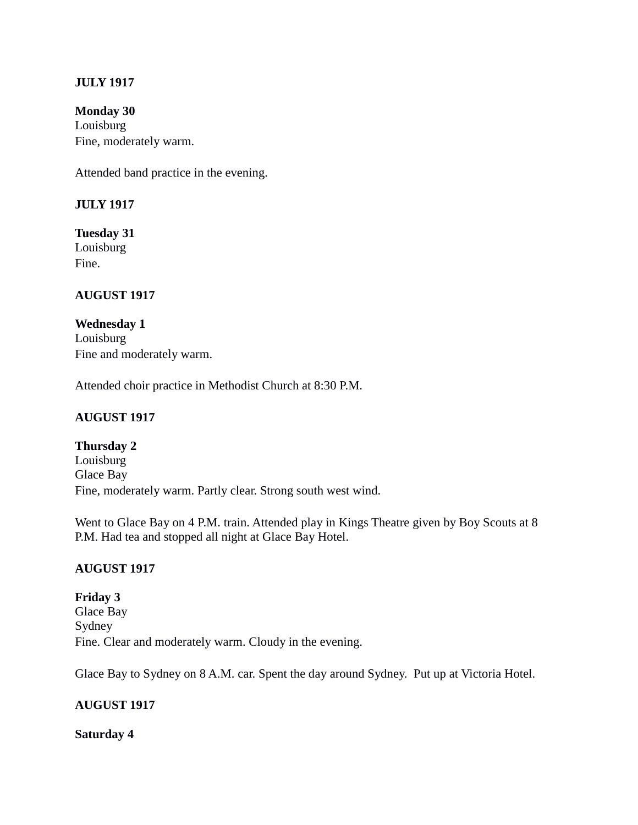**Monday 30** Louisburg Fine, moderately warm.

Attended band practice in the evening.

#### **JULY 1917**

**Tuesday 31** Louisburg Fine.

### **AUGUST 1917**

**Wednesday 1** Louisburg Fine and moderately warm.

Attended choir practice in Methodist Church at 8:30 P.M.

### **AUGUST 1917**

**Thursday 2** Louisburg Glace Bay Fine, moderately warm. Partly clear. Strong south west wind.

Went to Glace Bay on 4 P.M. train. Attended play in Kings Theatre given by Boy Scouts at 8 P.M. Had tea and stopped all night at Glace Bay Hotel.

### **AUGUST 1917**

**Friday 3** Glace Bay Sydney Fine. Clear and moderately warm. Cloudy in the evening.

Glace Bay to Sydney on 8 A.M. car. Spent the day around Sydney. Put up at Victoria Hotel.

#### **AUGUST 1917**

#### **Saturday 4**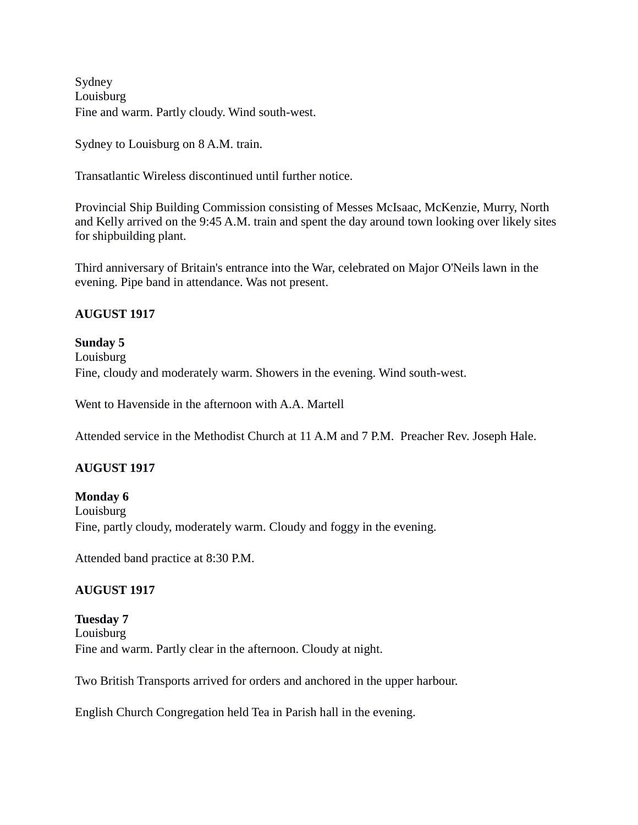Sydney Louisburg Fine and warm. Partly cloudy. Wind south-west.

Sydney to Louisburg on 8 A.M. train.

Transatlantic Wireless discontinued until further notice.

Provincial Ship Building Commission consisting of Messes McIsaac, McKenzie, Murry, North and Kelly arrived on the 9:45 A.M. train and spent the day around town looking over likely sites for shipbuilding plant.

Third anniversary of Britain's entrance into the War, celebrated on Major O'Neils lawn in the evening. Pipe band in attendance. Was not present.

#### **AUGUST 1917**

**Sunday 5** Louisburg Fine, cloudy and moderately warm. Showers in the evening. Wind south-west.

Went to Havenside in the afternoon with A.A. Martell

Attended service in the Methodist Church at 11 A.M and 7 P.M. Preacher Rev. Joseph Hale.

### **AUGUST 1917**

**Monday 6** Louisburg Fine, partly cloudy, moderately warm. Cloudy and foggy in the evening.

Attended band practice at 8:30 P.M.

### **AUGUST 1917**

**Tuesday 7** Louisburg Fine and warm. Partly clear in the afternoon. Cloudy at night.

Two British Transports arrived for orders and anchored in the upper harbour.

English Church Congregation held Tea in Parish hall in the evening.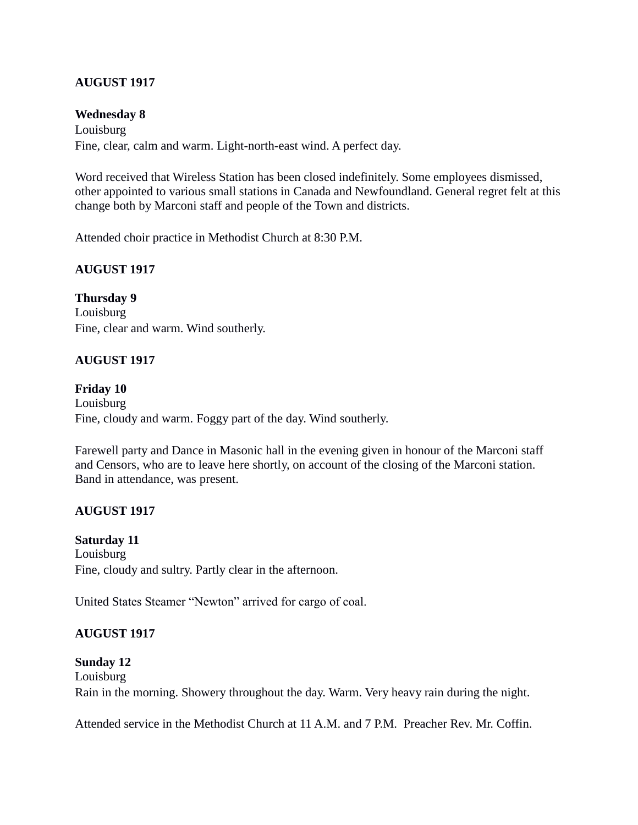#### **Wednesday 8**

Louisburg Fine, clear, calm and warm. Light-north-east wind. A perfect day.

Word received that Wireless Station has been closed indefinitely. Some employees dismissed, other appointed to various small stations in Canada and Newfoundland. General regret felt at this change both by Marconi staff and people of the Town and districts.

Attended choir practice in Methodist Church at 8:30 P.M.

### **AUGUST 1917**

**Thursday 9** Louisburg Fine, clear and warm. Wind southerly.

### **AUGUST 1917**

**Friday 10** Louisburg Fine, cloudy and warm. Foggy part of the day. Wind southerly.

Farewell party and Dance in Masonic hall in the evening given in honour of the Marconi staff and Censors, who are to leave here shortly, on account of the closing of the Marconi station. Band in attendance, was present.

### **AUGUST 1917**

**Saturday 11** Louisburg Fine, cloudy and sultry. Partly clear in the afternoon.

United States Steamer "Newton" arrived for cargo of coal.

### **AUGUST 1917**

#### **Sunday 12**

Louisburg Rain in the morning. Showery throughout the day. Warm. Very heavy rain during the night.

Attended service in the Methodist Church at 11 A.M. and 7 P.M. Preacher Rev. Mr. Coffin.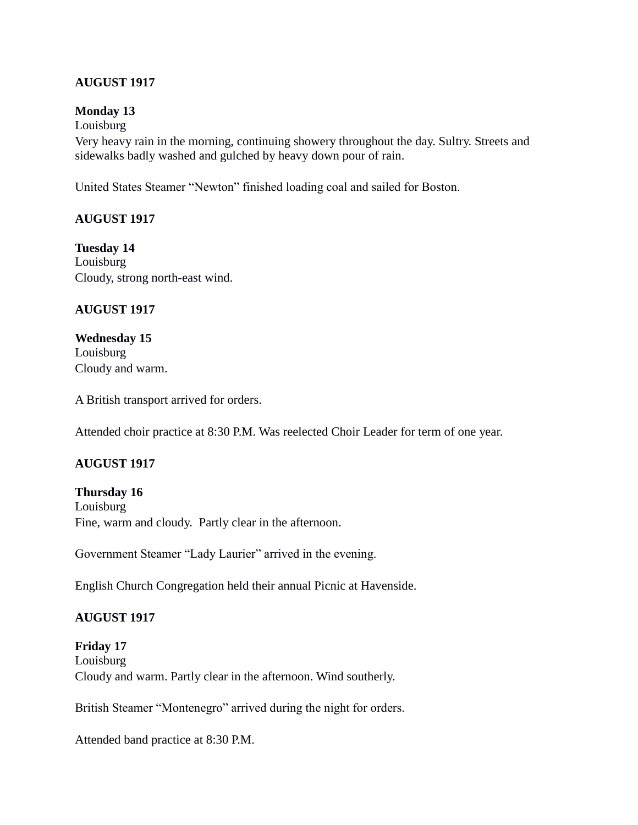#### **Monday 13**

Louisburg

Very heavy rain in the morning, continuing showery throughout the day. Sultry. Streets and sidewalks badly washed and gulched by heavy down pour of rain.

United States Steamer "Newton" finished loading coal and sailed for Boston.

### **AUGUST 1917**

**Tuesday 14** Louisburg Cloudy, strong north-east wind.

#### **AUGUST 1917**

**Wednesday 15** Louisburg Cloudy and warm.

A British transport arrived for orders.

Attended choir practice at 8:30 P.M. Was reelected Choir Leader for term of one year.

### **AUGUST 1917**

**Thursday 16** Louisburg Fine, warm and cloudy. Partly clear in the afternoon.

Government Steamer "Lady Laurier" arrived in the evening.

English Church Congregation held their annual Picnic at Havenside.

### **AUGUST 1917**

**Friday 17** Louisburg Cloudy and warm. Partly clear in the afternoon. Wind southerly.

British Steamer "Montenegro" arrived during the night for orders.

Attended band practice at 8:30 P.M.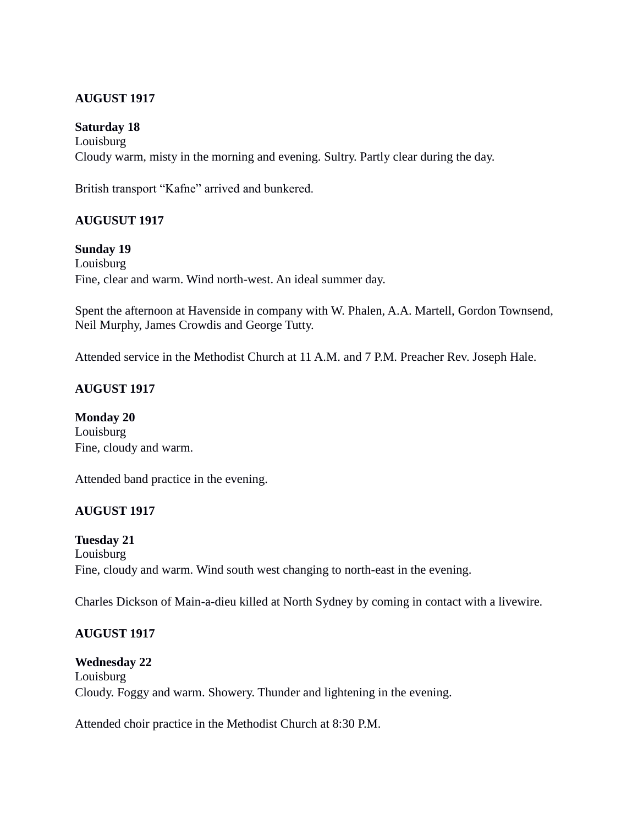### **Saturday 18**

Louisburg Cloudy warm, misty in the morning and evening. Sultry. Partly clear during the day.

British transport "Kafne" arrived and bunkered.

### **AUGUSUT 1917**

#### **Sunday 19**

Louisburg Fine, clear and warm. Wind north-west. An ideal summer day.

Spent the afternoon at Havenside in company with W. Phalen, A.A. Martell, Gordon Townsend, Neil Murphy, James Crowdis and George Tutty.

Attended service in the Methodist Church at 11 A.M. and 7 P.M. Preacher Rev. Joseph Hale.

# **AUGUST 1917**

**Monday 20** Louisburg Fine, cloudy and warm.

Attended band practice in the evening.

### **AUGUST 1917**

### **Tuesday 21**

Louisburg Fine, cloudy and warm. Wind south west changing to north-east in the evening.

Charles Dickson of Main-a-dieu killed at North Sydney by coming in contact with a livewire.

### **AUGUST 1917**

### **Wednesday 22**

Louisburg Cloudy. Foggy and warm. Showery. Thunder and lightening in the evening.

Attended choir practice in the Methodist Church at 8:30 P.M.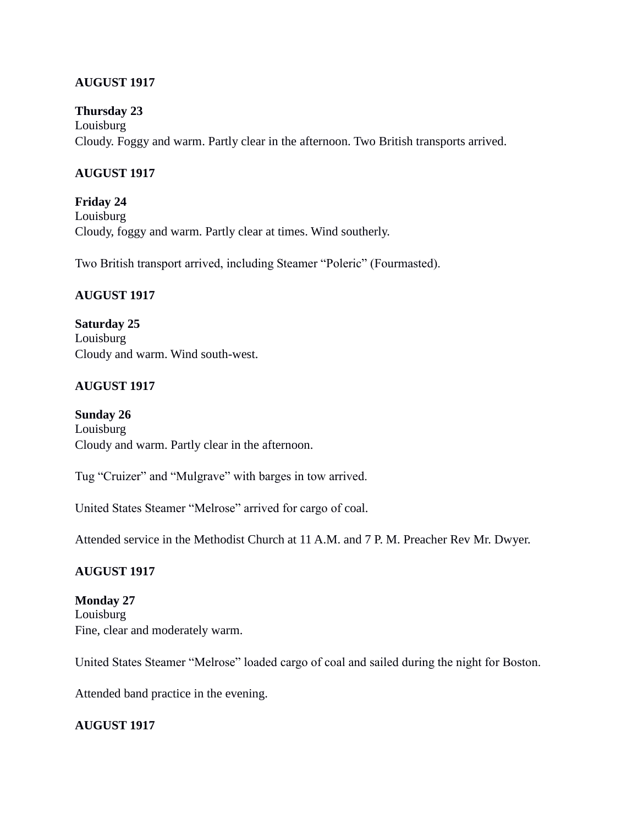#### **Thursday 23**

Louisburg Cloudy. Foggy and warm. Partly clear in the afternoon. Two British transports arrived.

## **AUGUST 1917**

**Friday 24** Louisburg Cloudy, foggy and warm. Partly clear at times. Wind southerly.

Two British transport arrived, including Steamer "Poleric" (Fourmasted).

### **AUGUST 1917**

**Saturday 25** Louisburg Cloudy and warm. Wind south-west.

# **AUGUST 1917**

**Sunday 26** Louisburg Cloudy and warm. Partly clear in the afternoon.

Tug "Cruizer" and "Mulgrave" with barges in tow arrived.

United States Steamer "Melrose" arrived for cargo of coal.

Attended service in the Methodist Church at 11 A.M. and 7 P. M. Preacher Rev Mr. Dwyer.

### **AUGUST 1917**

**Monday 27** Louisburg Fine, clear and moderately warm.

United States Steamer "Melrose" loaded cargo of coal and sailed during the night for Boston.

Attended band practice in the evening.

### **AUGUST 1917**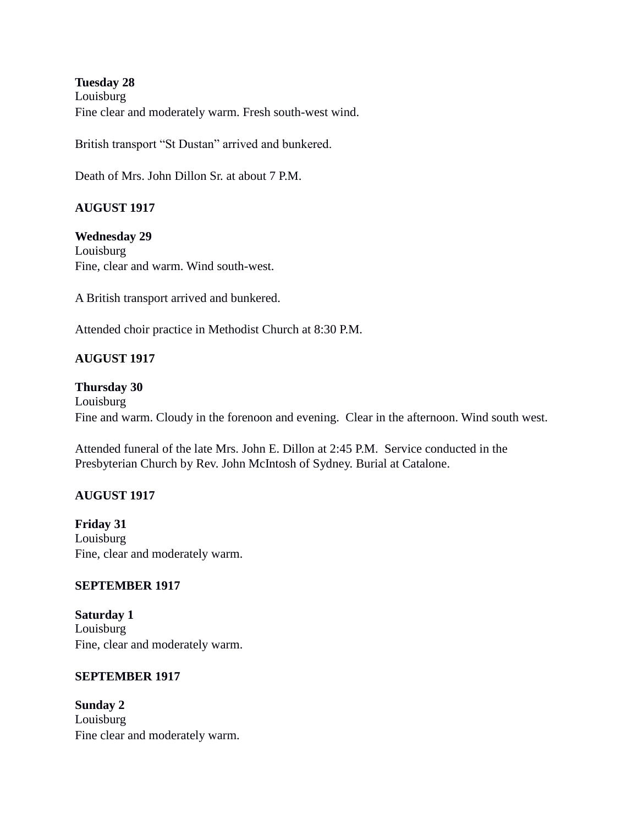**Tuesday 28** Louisburg Fine clear and moderately warm. Fresh south-west wind.

British transport "St Dustan" arrived and bunkered.

Death of Mrs. John Dillon Sr. at about 7 P.M.

# **AUGUST 1917**

**Wednesday 29** Louisburg Fine, clear and warm. Wind south-west.

A British transport arrived and bunkered.

Attended choir practice in Methodist Church at 8:30 P.M.

# **AUGUST 1917**

#### **Thursday 30**

Louisburg Fine and warm. Cloudy in the forenoon and evening. Clear in the afternoon. Wind south west.

Attended funeral of the late Mrs. John E. Dillon at 2:45 P.M. Service conducted in the Presbyterian Church by Rev. John McIntosh of Sydney. Burial at Catalone.

### **AUGUST 1917**

**Friday 31** Louisburg Fine, clear and moderately warm.

#### **SEPTEMBER 1917**

**Saturday 1** Louisburg Fine, clear and moderately warm.

#### **SEPTEMBER 1917**

**Sunday 2** Louisburg Fine clear and moderately warm.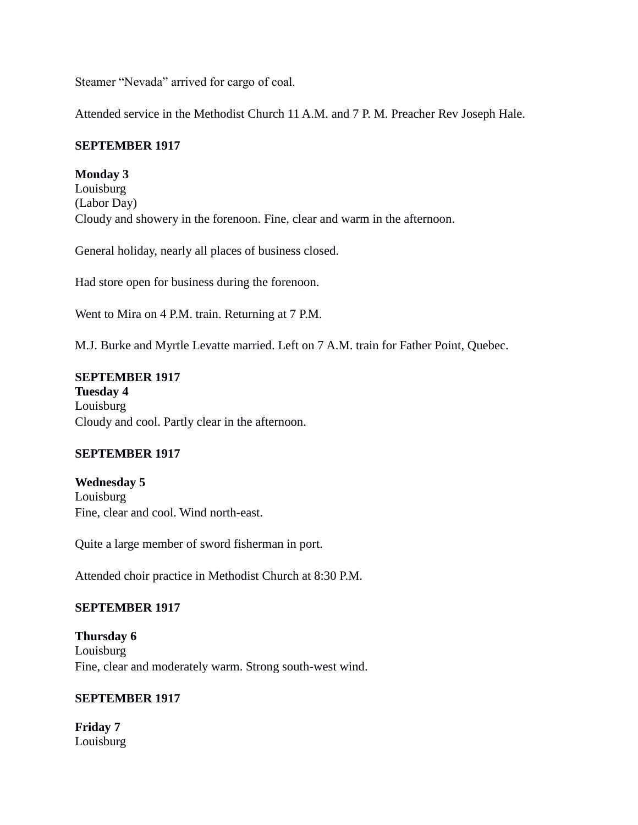Steamer "Nevada" arrived for cargo of coal.

Attended service in the Methodist Church 11 A.M. and 7 P. M. Preacher Rev Joseph Hale.

#### **SEPTEMBER 1917**

**Monday 3** Louisburg (Labor Day) Cloudy and showery in the forenoon. Fine, clear and warm in the afternoon.

General holiday, nearly all places of business closed.

Had store open for business during the forenoon.

Went to Mira on 4 P.M. train. Returning at 7 P.M.

M.J. Burke and Myrtle Levatte married. Left on 7 A.M. train for Father Point, Quebec.

#### **SEPTEMBER 1917 Tuesday 4** Louisburg Cloudy and cool. Partly clear in the afternoon.

### **SEPTEMBER 1917**

**Wednesday 5** Louisburg Fine, clear and cool. Wind north-east.

Quite a large member of sword fisherman in port.

Attended choir practice in Methodist Church at 8:30 P.M.

### **SEPTEMBER 1917**

**Thursday 6** Louisburg Fine, clear and moderately warm. Strong south-west wind.

#### **SEPTEMBER 1917**

**Friday 7** Louisburg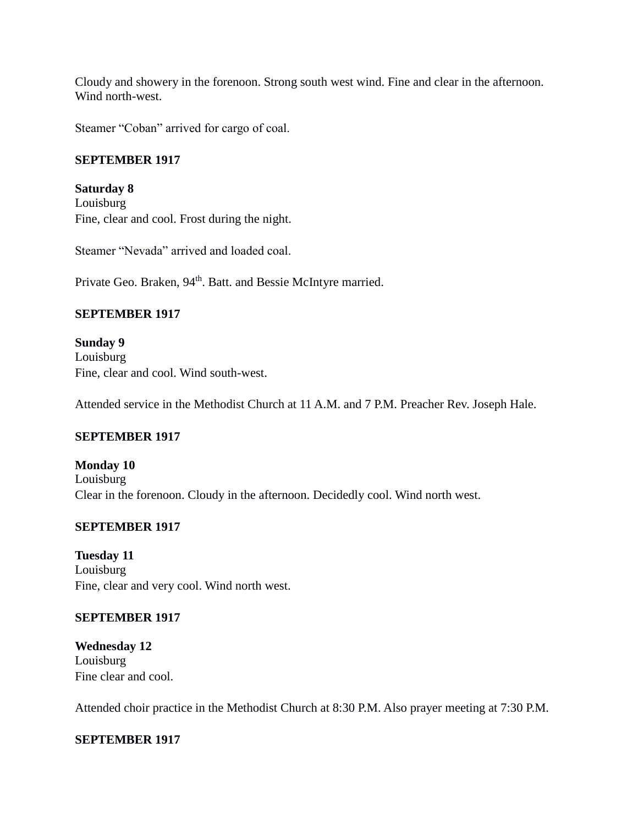Cloudy and showery in the forenoon. Strong south west wind. Fine and clear in the afternoon. Wind north-west.

Steamer "Coban" arrived for cargo of coal.

#### **SEPTEMBER 1917**

**Saturday 8** Louisburg Fine, clear and cool. Frost during the night.

Steamer "Nevada" arrived and loaded coal.

Private Geo. Braken, 94<sup>th</sup>. Batt. and Bessie McIntyre married.

#### **SEPTEMBER 1917**

**Sunday 9** Louisburg Fine, clear and cool. Wind south-west.

Attended service in the Methodist Church at 11 A.M. and 7 P.M. Preacher Rev. Joseph Hale.

### **SEPTEMBER 1917**

**Monday 10** Louisburg Clear in the forenoon. Cloudy in the afternoon. Decidedly cool. Wind north west.

#### **SEPTEMBER 1917**

**Tuesday 11** Louisburg Fine, clear and very cool. Wind north west.

### **SEPTEMBER 1917**

**Wednesday 12** Louisburg Fine clear and cool.

Attended choir practice in the Methodist Church at 8:30 P.M. Also prayer meeting at 7:30 P.M.

#### **SEPTEMBER 1917**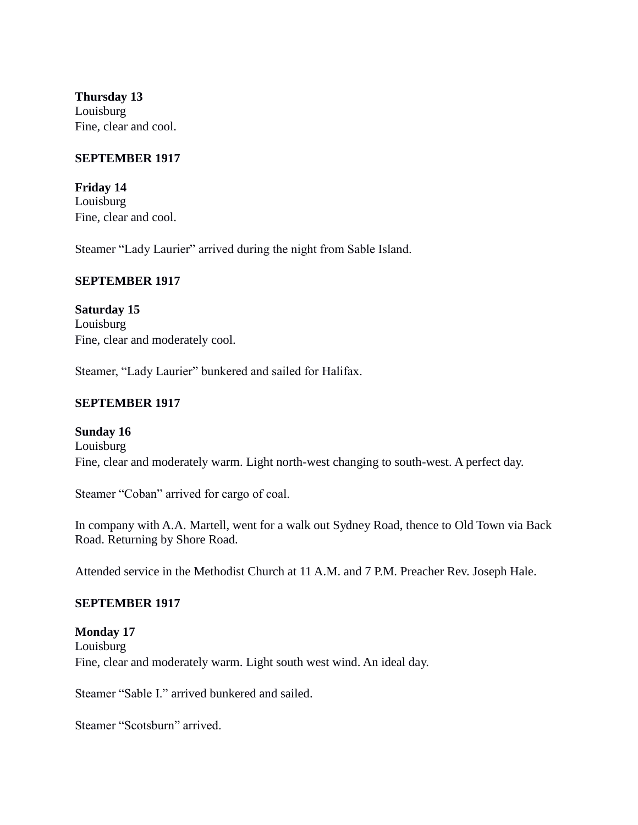**Thursday 13** Louisburg Fine, clear and cool.

#### **SEPTEMBER 1917**

**Friday 14** Louisburg Fine, clear and cool.

Steamer "Lady Laurier" arrived during the night from Sable Island.

#### **SEPTEMBER 1917**

**Saturday 15** Louisburg Fine, clear and moderately cool.

Steamer, "Lady Laurier" bunkered and sailed for Halifax.

#### **SEPTEMBER 1917**

#### **Sunday 16**

Louisburg Fine, clear and moderately warm. Light north-west changing to south-west. A perfect day.

Steamer "Coban" arrived for cargo of coal.

In company with A.A. Martell, went for a walk out Sydney Road, thence to Old Town via Back Road. Returning by Shore Road.

Attended service in the Methodist Church at 11 A.M. and 7 P.M. Preacher Rev. Joseph Hale.

#### **SEPTEMBER 1917**

**Monday 17** Louisburg Fine, clear and moderately warm. Light south west wind. An ideal day.

Steamer "Sable I." arrived bunkered and sailed.

Steamer "Scotsburn" arrived.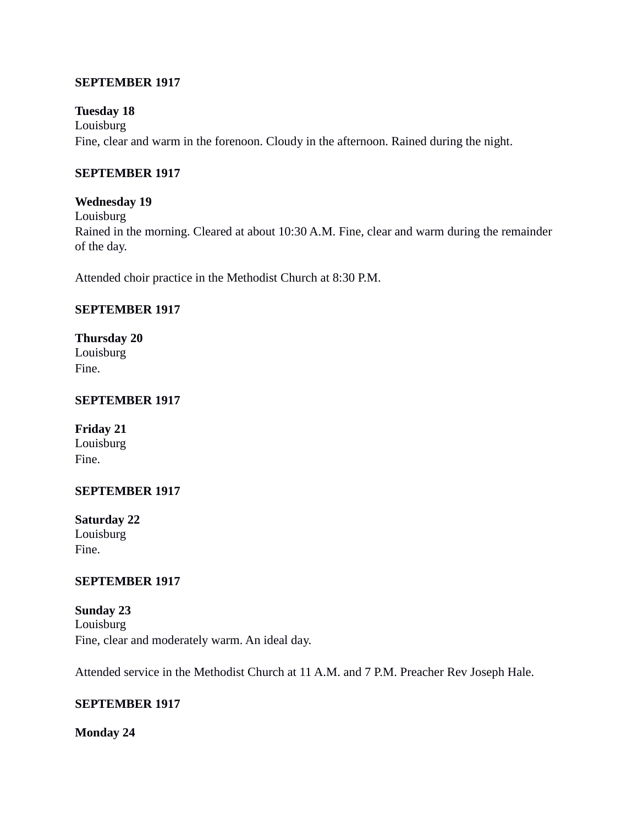#### **SEPTEMBER 1917**

#### **Tuesday 18**

Louisburg Fine, clear and warm in the forenoon. Cloudy in the afternoon. Rained during the night.

#### **SEPTEMBER 1917**

#### **Wednesday 19**

Louisburg Rained in the morning. Cleared at about 10:30 A.M. Fine, clear and warm during the remainder of the day.

Attended choir practice in the Methodist Church at 8:30 P.M.

# **SEPTEMBER 1917**

**Thursday 20** Louisburg Fine.

#### **SEPTEMBER 1917**

**Friday 21** Louisburg Fine.

#### **SEPTEMBER 1917**

**Saturday 22** Louisburg Fine.

#### **SEPTEMBER 1917**

**Sunday 23** Louisburg Fine, clear and moderately warm. An ideal day.

Attended service in the Methodist Church at 11 A.M. and 7 P.M. Preacher Rev Joseph Hale.

#### **SEPTEMBER 1917**

**Monday 24**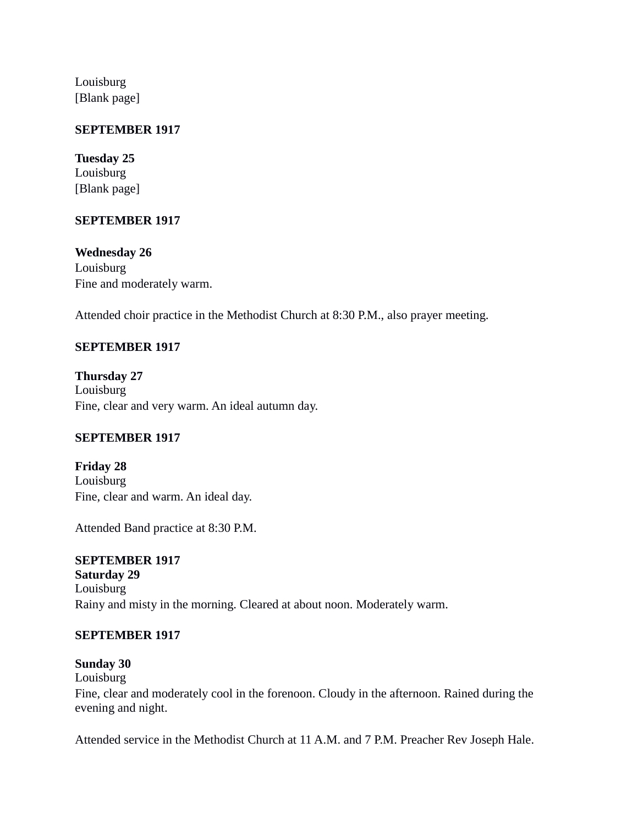Louisburg [Blank page]

#### **SEPTEMBER 1917**

**Tuesday 25** Louisburg [Blank page]

#### **SEPTEMBER 1917**

**Wednesday 26** Louisburg Fine and moderately warm.

Attended choir practice in the Methodist Church at 8:30 P.M., also prayer meeting.

### **SEPTEMBER 1917**

**Thursday 27** Louisburg Fine, clear and very warm. An ideal autumn day.

### **SEPTEMBER 1917**

**Friday 28** Louisburg Fine, clear and warm. An ideal day.

Attended Band practice at 8:30 P.M.

**SEPTEMBER 1917 Saturday 29** Louisburg Rainy and misty in the morning. Cleared at about noon. Moderately warm.

#### **SEPTEMBER 1917**

**Sunday 30** Louisburg Fine, clear and moderately cool in the forenoon. Cloudy in the afternoon. Rained during the evening and night.

Attended service in the Methodist Church at 11 A.M. and 7 P.M. Preacher Rev Joseph Hale.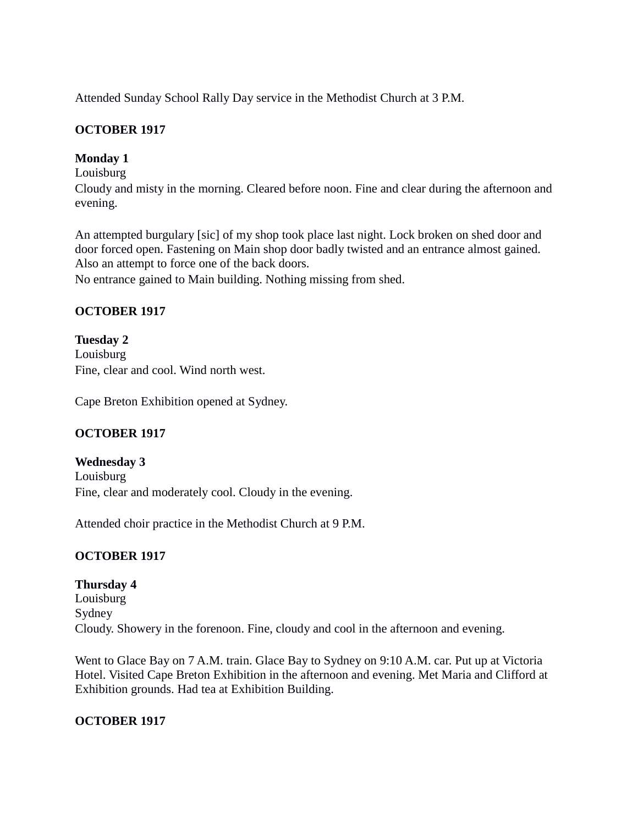Attended Sunday School Rally Day service in the Methodist Church at 3 P.M.

## **OCTOBER 1917**

### **Monday 1**

Louisburg

Cloudy and misty in the morning. Cleared before noon. Fine and clear during the afternoon and evening.

An attempted burgulary [sic] of my shop took place last night. Lock broken on shed door and door forced open. Fastening on Main shop door badly twisted and an entrance almost gained. Also an attempt to force one of the back doors.

No entrance gained to Main building. Nothing missing from shed.

# **OCTOBER 1917**

**Tuesday 2** Louisburg Fine, clear and cool. Wind north west.

Cape Breton Exhibition opened at Sydney.

# **OCTOBER 1917**

# **Wednesday 3**

Louisburg Fine, clear and moderately cool. Cloudy in the evening.

Attended choir practice in the Methodist Church at 9 P.M.

# **OCTOBER 1917**

# **Thursday 4** Louisburg Sydney Cloudy. Showery in the forenoon. Fine, cloudy and cool in the afternoon and evening.

Went to Glace Bay on 7 A.M. train. Glace Bay to Sydney on 9:10 A.M. car. Put up at Victoria Hotel. Visited Cape Breton Exhibition in the afternoon and evening. Met Maria and Clifford at Exhibition grounds. Had tea at Exhibition Building.

### **OCTOBER 1917**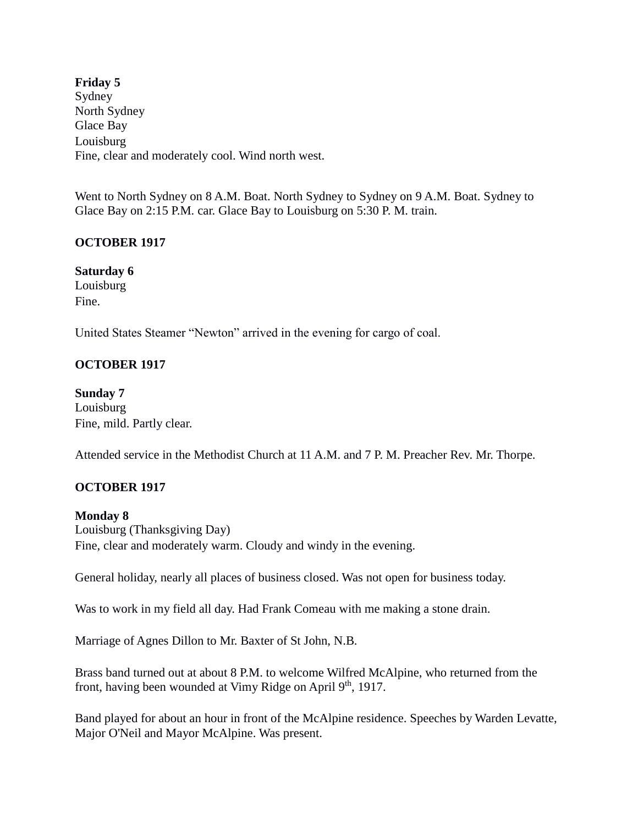**Friday 5** Sydney North Sydney Glace Bay Louisburg Fine, clear and moderately cool. Wind north west.

Went to North Sydney on 8 A.M. Boat. North Sydney to Sydney on 9 A.M. Boat. Sydney to Glace Bay on 2:15 P.M. car. Glace Bay to Louisburg on 5:30 P. M. train.

### **OCTOBER 1917**

**Saturday 6** Louisburg Fine.

United States Steamer "Newton" arrived in the evening for cargo of coal.

# **OCTOBER 1917**

**Sunday 7** Louisburg Fine, mild. Partly clear.

Attended service in the Methodist Church at 11 A.M. and 7 P. M. Preacher Rev. Mr. Thorpe.

# **OCTOBER 1917**

**Monday 8** Louisburg (Thanksgiving Day) Fine, clear and moderately warm. Cloudy and windy in the evening.

General holiday, nearly all places of business closed. Was not open for business today.

Was to work in my field all day. Had Frank Comeau with me making a stone drain.

Marriage of Agnes Dillon to Mr. Baxter of St John, N.B.

Brass band turned out at about 8 P.M. to welcome Wilfred McAlpine, who returned from the front, having been wounded at Vimy Ridge on April 9<sup>th</sup>, 1917.

Band played for about an hour in front of the McAlpine residence. Speeches by Warden Levatte, Major O'Neil and Mayor McAlpine. Was present.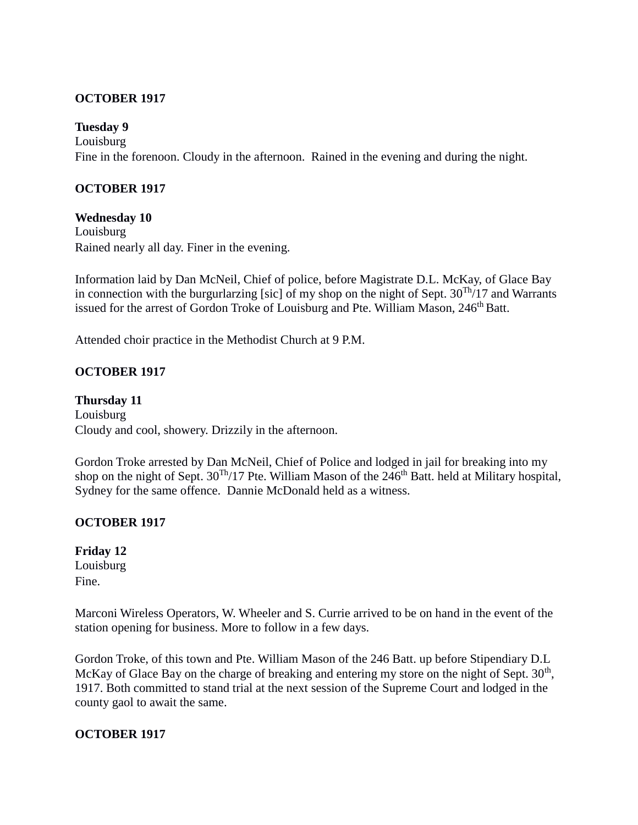#### **OCTOBER 1917**

#### **Tuesday 9**

Louisburg Fine in the forenoon. Cloudy in the afternoon. Rained in the evening and during the night.

#### **OCTOBER 1917**

#### **Wednesday 10**

Louisburg Rained nearly all day. Finer in the evening.

Information laid by Dan McNeil, Chief of police, before Magistrate D.L. McKay, of Glace Bay in connection with the burgurlarzing [sic] of my shop on the night of Sept.  $30^{Th}/17$  and Warrants issued for the arrest of Gordon Troke of Louisburg and Pte. William Mason, 246<sup>th</sup> Batt.

Attended choir practice in the Methodist Church at 9 P.M.

#### **OCTOBER 1917**

**Thursday 11** Louisburg Cloudy and cool, showery. Drizzily in the afternoon.

Gordon Troke arrested by Dan McNeil, Chief of Police and lodged in jail for breaking into my shop on the night of Sept.  $30^{Th}/17$  Pte. William Mason of the 246<sup>th</sup> Batt. held at Military hospital, Sydney for the same offence. Dannie McDonald held as a witness.

#### **OCTOBER 1917**

**Friday 12** Louisburg Fine.

Marconi Wireless Operators, W. Wheeler and S. Currie arrived to be on hand in the event of the station opening for business. More to follow in a few days.

Gordon Troke, of this town and Pte. William Mason of the 246 Batt. up before Stipendiary D.L McKay of Glace Bay on the charge of breaking and entering my store on the night of Sept. 30<sup>th</sup>, 1917. Both committed to stand trial at the next session of the Supreme Court and lodged in the county gaol to await the same.

#### **OCTOBER 1917**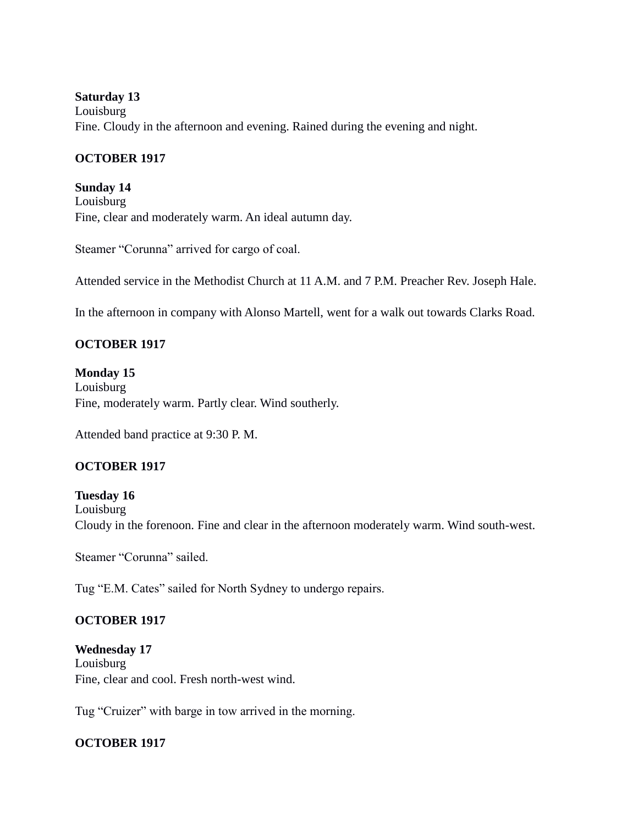#### **Saturday 13**

Louisburg Fine. Cloudy in the afternoon and evening. Rained during the evening and night.

#### **OCTOBER 1917**

**Sunday 14** Louisburg Fine, clear and moderately warm. An ideal autumn day.

Steamer "Corunna" arrived for cargo of coal.

Attended service in the Methodist Church at 11 A.M. and 7 P.M. Preacher Rev. Joseph Hale.

In the afternoon in company with Alonso Martell, went for a walk out towards Clarks Road.

# **OCTOBER 1917**

# **Monday 15**

Louisburg Fine, moderately warm. Partly clear. Wind southerly.

Attended band practice at 9:30 P. M.

### **OCTOBER 1917**

**Tuesday 16** Louisburg Cloudy in the forenoon. Fine and clear in the afternoon moderately warm. Wind south-west.

Steamer "Corunna" sailed.

Tug "E.M. Cates" sailed for North Sydney to undergo repairs.

### **OCTOBER 1917**

**Wednesday 17** Louisburg Fine, clear and cool. Fresh north-west wind.

Tug "Cruizer" with barge in tow arrived in the morning.

### **OCTOBER 1917**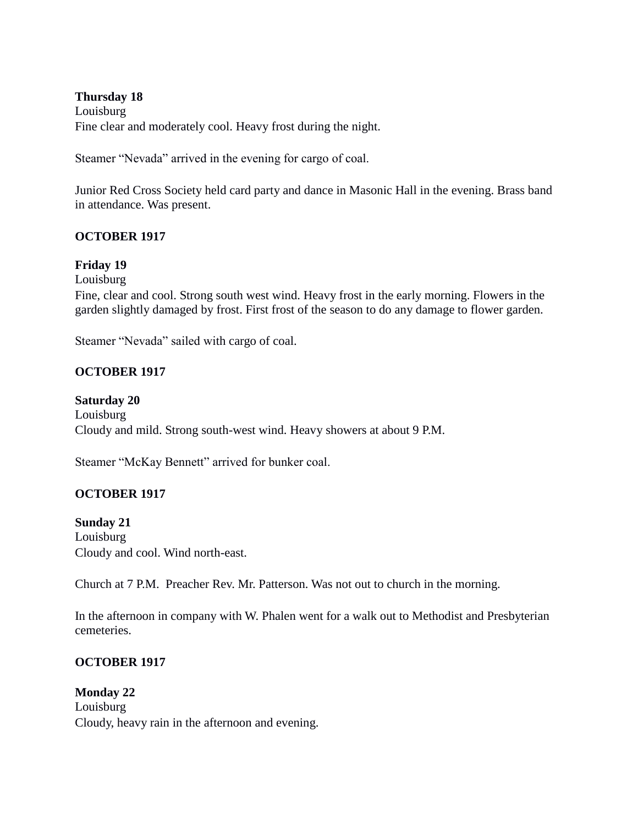#### **Thursday 18**

Louisburg Fine clear and moderately cool. Heavy frost during the night.

Steamer "Nevada" arrived in the evening for cargo of coal.

Junior Red Cross Society held card party and dance in Masonic Hall in the evening. Brass band in attendance. Was present.

#### **OCTOBER 1917**

#### **Friday 19**

Louisburg

Fine, clear and cool. Strong south west wind. Heavy frost in the early morning. Flowers in the garden slightly damaged by frost. First frost of the season to do any damage to flower garden.

Steamer "Nevada" sailed with cargo of coal.

### **OCTOBER 1917**

#### **Saturday 20**

Louisburg Cloudy and mild. Strong south-west wind. Heavy showers at about 9 P.M.

Steamer "McKay Bennett" arrived for bunker coal.

### **OCTOBER 1917**

#### **Sunday 21**

Louisburg Cloudy and cool. Wind north-east.

Church at 7 P.M. Preacher Rev. Mr. Patterson. Was not out to church in the morning.

In the afternoon in company with W. Phalen went for a walk out to Methodist and Presbyterian cemeteries.

### **OCTOBER 1917**

# **Monday 22** Louisburg Cloudy, heavy rain in the afternoon and evening.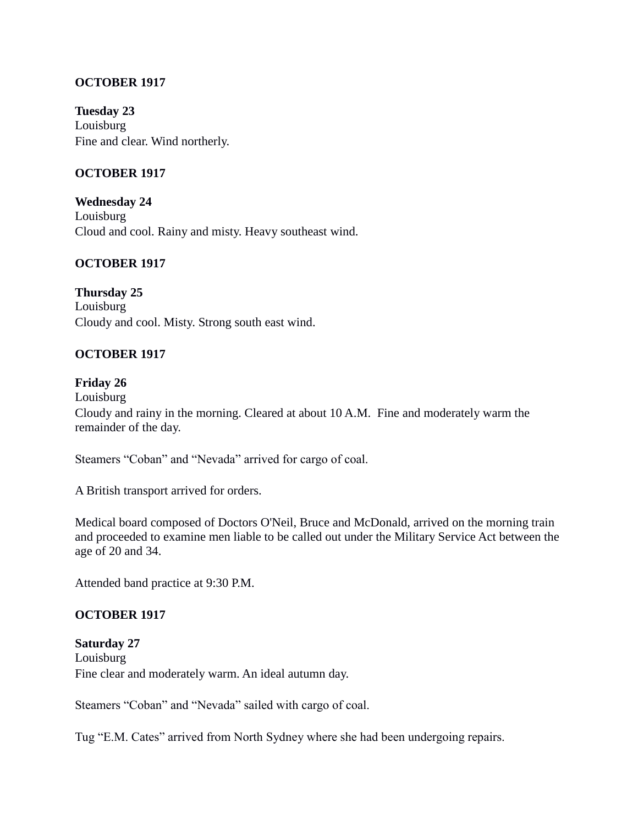### **OCTOBER 1917**

**Tuesday 23** Louisburg Fine and clear. Wind northerly.

#### **OCTOBER 1917**

**Wednesday 24** Louisburg Cloud and cool. Rainy and misty. Heavy southeast wind.

#### **OCTOBER 1917**

**Thursday 25** Louisburg Cloudy and cool. Misty. Strong south east wind.

#### **OCTOBER 1917**

#### **Friday 26**

Louisburg Cloudy and rainy in the morning. Cleared at about 10 A.M. Fine and moderately warm the remainder of the day.

Steamers "Coban" and "Nevada" arrived for cargo of coal.

A British transport arrived for orders.

Medical board composed of Doctors O'Neil, Bruce and McDonald, arrived on the morning train and proceeded to examine men liable to be called out under the Military Service Act between the age of 20 and 34.

Attended band practice at 9:30 P.M.

#### **OCTOBER 1917**

**Saturday 27** Louisburg Fine clear and moderately warm. An ideal autumn day.

Steamers "Coban" and "Nevada" sailed with cargo of coal.

Tug "E.M. Cates" arrived from North Sydney where she had been undergoing repairs.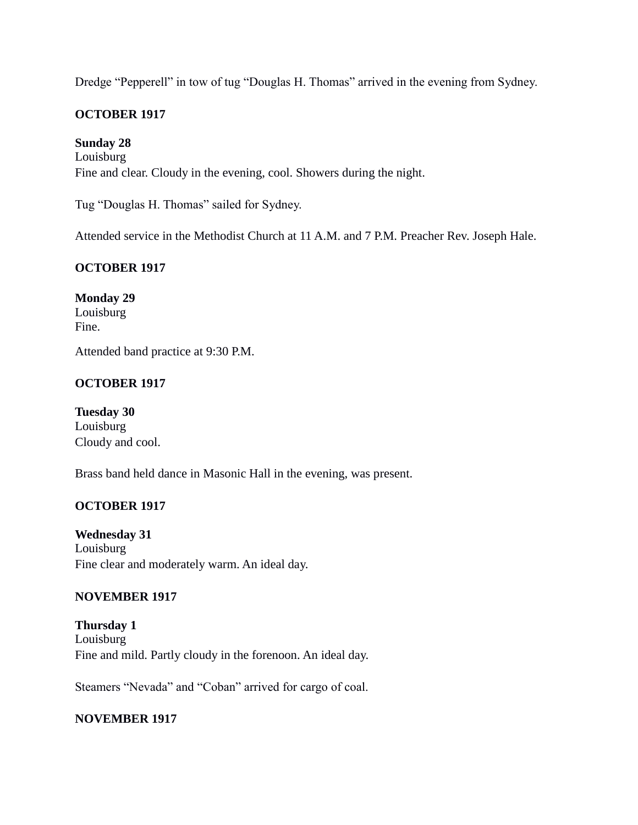Dredge "Pepperell" in tow of tug "Douglas H. Thomas" arrived in the evening from Sydney.

## **OCTOBER 1917**

#### **Sunday 28**

Louisburg Fine and clear. Cloudy in the evening, cool. Showers during the night.

Tug "Douglas H. Thomas" sailed for Sydney.

Attended service in the Methodist Church at 11 A.M. and 7 P.M. Preacher Rev. Joseph Hale.

#### **OCTOBER 1917**

**Monday 29** Louisburg Fine.

Attended band practice at 9:30 P.M.

# **OCTOBER 1917**

**Tuesday 30** Louisburg Cloudy and cool.

Brass band held dance in Masonic Hall in the evening, was present.

#### **OCTOBER 1917**

**Wednesday 31** Louisburg Fine clear and moderately warm. An ideal day.

#### **NOVEMBER 1917**

**Thursday 1** Louisburg Fine and mild. Partly cloudy in the forenoon. An ideal day.

Steamers "Nevada" and "Coban" arrived for cargo of coal.

### **NOVEMBER 1917**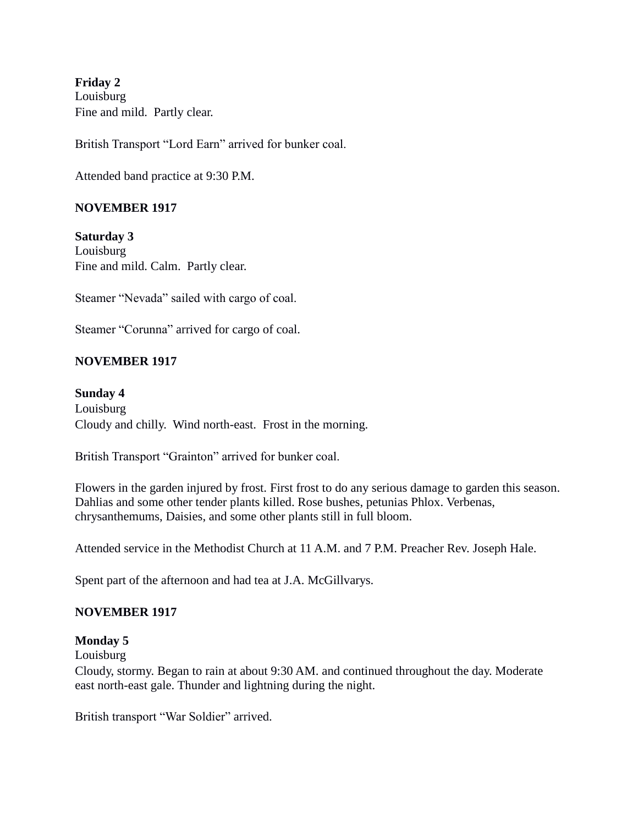**Friday 2** Louisburg Fine and mild. Partly clear.

British Transport "Lord Earn" arrived for bunker coal.

Attended band practice at 9:30 P.M.

#### **NOVEMBER 1917**

**Saturday 3** Louisburg Fine and mild. Calm. Partly clear.

Steamer "Nevada" sailed with cargo of coal.

Steamer "Corunna" arrived for cargo of coal.

#### **NOVEMBER 1917**

**Sunday 4** Louisburg

Cloudy and chilly. Wind north-east. Frost in the morning.

British Transport "Grainton" arrived for bunker coal.

Flowers in the garden injured by frost. First frost to do any serious damage to garden this season. Dahlias and some other tender plants killed. Rose bushes, petunias Phlox. Verbenas, chrysanthemums, Daisies, and some other plants still in full bloom.

Attended service in the Methodist Church at 11 A.M. and 7 P.M. Preacher Rev. Joseph Hale.

Spent part of the afternoon and had tea at J.A. McGillvarys.

#### **NOVEMBER 1917**

#### **Monday 5**

Louisburg

Cloudy, stormy. Began to rain at about 9:30 AM. and continued throughout the day. Moderate east north-east gale. Thunder and lightning during the night.

British transport "War Soldier" arrived.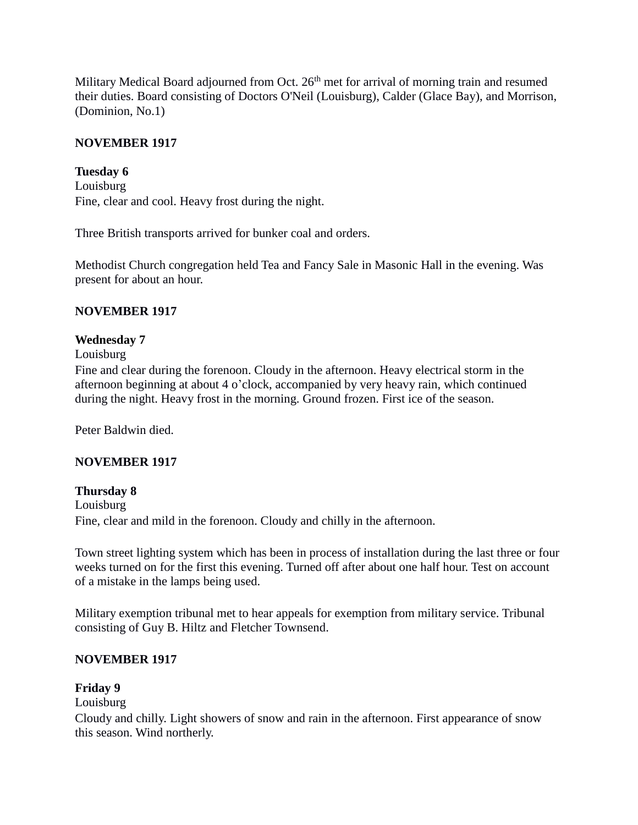Military Medical Board adjourned from Oct.  $26<sup>th</sup>$  met for arrival of morning train and resumed their duties. Board consisting of Doctors O'Neil (Louisburg), Calder (Glace Bay), and Morrison, (Dominion, No.1)

### **NOVEMBER 1917**

**Tuesday 6** Louisburg Fine, clear and cool. Heavy frost during the night.

Three British transports arrived for bunker coal and orders.

Methodist Church congregation held Tea and Fancy Sale in Masonic Hall in the evening. Was present for about an hour.

### **NOVEMBER 1917**

#### **Wednesday 7**

Louisburg

Fine and clear during the forenoon. Cloudy in the afternoon. Heavy electrical storm in the afternoon beginning at about 4 o'clock, accompanied by very heavy rain, which continued during the night. Heavy frost in the morning. Ground frozen. First ice of the season.

Peter Baldwin died.

### **NOVEMBER 1917**

#### **Thursday 8**

Louisburg Fine, clear and mild in the forenoon. Cloudy and chilly in the afternoon.

Town street lighting system which has been in process of installation during the last three or four weeks turned on for the first this evening. Turned off after about one half hour. Test on account of a mistake in the lamps being used.

Military exemption tribunal met to hear appeals for exemption from military service. Tribunal consisting of Guy B. Hiltz and Fletcher Townsend.

### **NOVEMBER 1917**

### **Friday 9**

### Louisburg

Cloudy and chilly. Light showers of snow and rain in the afternoon. First appearance of snow this season. Wind northerly.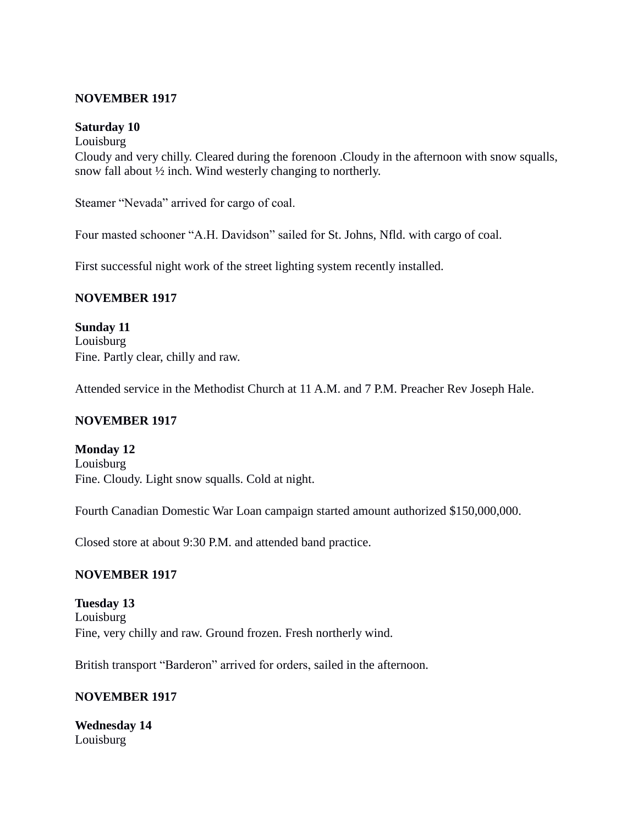#### **NOVEMBER 1917**

#### **Saturday 10**

Louisburg Cloudy and very chilly. Cleared during the forenoon .Cloudy in the afternoon with snow squalls, snow fall about  $\frac{1}{2}$  inch. Wind westerly changing to northerly.

Steamer "Nevada" arrived for cargo of coal.

Four masted schooner "A.H. Davidson" sailed for St. Johns, Nfld. with cargo of coal.

First successful night work of the street lighting system recently installed.

### **NOVEMBER 1917**

**Sunday 11** Louisburg Fine. Partly clear, chilly and raw.

Attended service in the Methodist Church at 11 A.M. and 7 P.M. Preacher Rev Joseph Hale.

### **NOVEMBER 1917**

**Monday 12** Louisburg Fine. Cloudy. Light snow squalls. Cold at night.

Fourth Canadian Domestic War Loan campaign started amount authorized \$150,000,000.

Closed store at about 9:30 P.M. and attended band practice.

### **NOVEMBER 1917**

**Tuesday 13** Louisburg Fine, very chilly and raw. Ground frozen. Fresh northerly wind.

British transport "Barderon" arrived for orders, sailed in the afternoon.

### **NOVEMBER 1917**

**Wednesday 14** Louisburg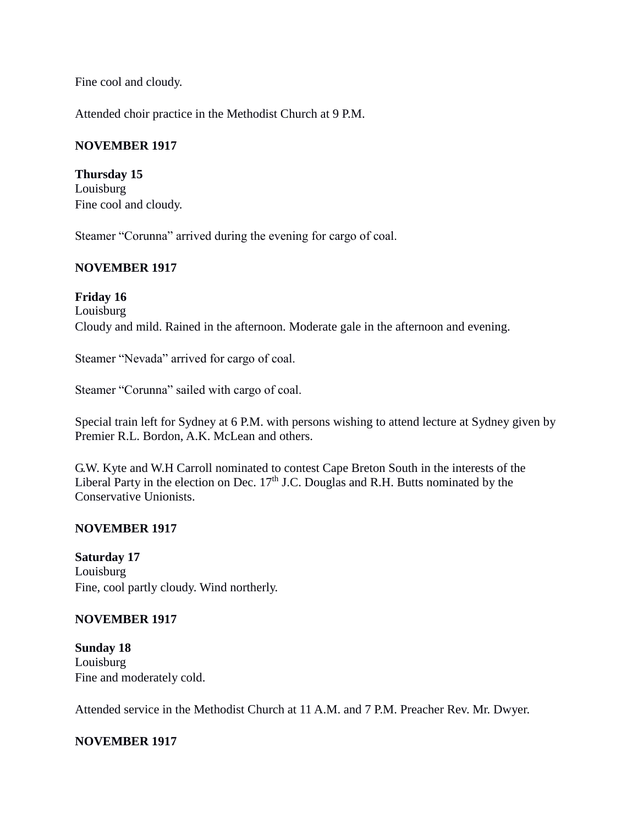Fine cool and cloudy.

Attended choir practice in the Methodist Church at 9 P.M.

# **NOVEMBER 1917**

**Thursday 15** Louisburg Fine cool and cloudy.

Steamer "Corunna" arrived during the evening for cargo of coal.

# **NOVEMBER 1917**

**Friday 16** Louisburg Cloudy and mild. Rained in the afternoon. Moderate gale in the afternoon and evening.

Steamer "Nevada" arrived for cargo of coal.

Steamer "Corunna" sailed with cargo of coal.

Special train left for Sydney at 6 P.M. with persons wishing to attend lecture at Sydney given by Premier R.L. Bordon, A.K. McLean and others.

G.W. Kyte and W.H Carroll nominated to contest Cape Breton South in the interests of the Liberal Party in the election on Dec.  $17<sup>th</sup>$  J.C. Douglas and R.H. Butts nominated by the Conservative Unionists.

# **NOVEMBER 1917**

**Saturday 17** Louisburg Fine, cool partly cloudy. Wind northerly.

# **NOVEMBER 1917**

**Sunday 18** Louisburg Fine and moderately cold.

Attended service in the Methodist Church at 11 A.M. and 7 P.M. Preacher Rev. Mr. Dwyer.

# **NOVEMBER 1917**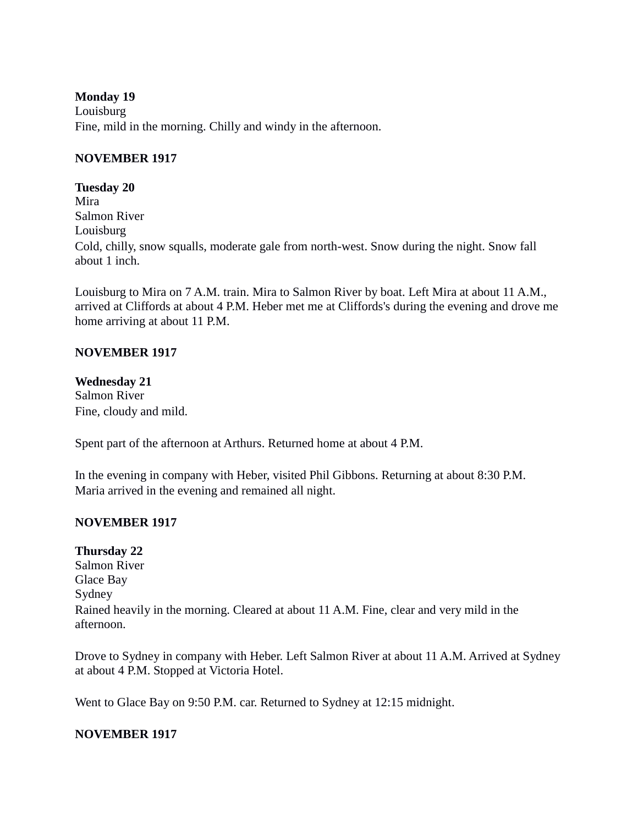#### **Monday 19**

Louisburg Fine, mild in the morning. Chilly and windy in the afternoon.

## **NOVEMBER 1917**

**Tuesday 20** Mira Salmon River Louisburg Cold, chilly, snow squalls, moderate gale from north-west. Snow during the night. Snow fall about 1 inch.

Louisburg to Mira on 7 A.M. train. Mira to Salmon River by boat. Left Mira at about 11 A.M., arrived at Cliffords at about 4 P.M. Heber met me at Cliffords's during the evening and drove me home arriving at about 11 P.M.

### **NOVEMBER 1917**

**Wednesday 21** Salmon River Fine, cloudy and mild.

Spent part of the afternoon at Arthurs. Returned home at about 4 P.M.

In the evening in company with Heber, visited Phil Gibbons. Returning at about 8:30 P.M. Maria arrived in the evening and remained all night.

# **NOVEMBER 1917**

# **Thursday 22**

Salmon River Glace Bay Sydney Rained heavily in the morning. Cleared at about 11 A.M. Fine, clear and very mild in the afternoon.

Drove to Sydney in company with Heber. Left Salmon River at about 11 A.M. Arrived at Sydney at about 4 P.M. Stopped at Victoria Hotel.

Went to Glace Bay on 9:50 P.M. car. Returned to Sydney at 12:15 midnight.

# **NOVEMBER 1917**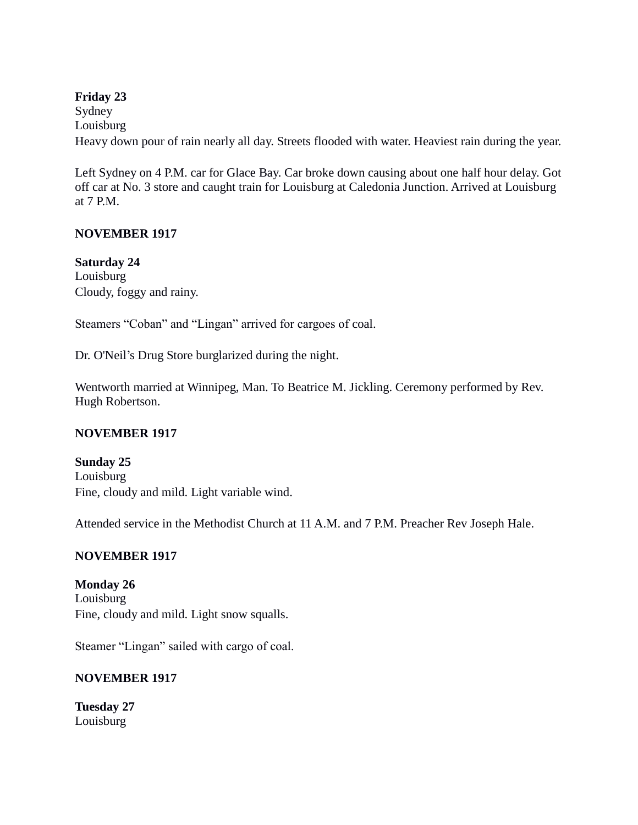# **Friday 23** Sydney Louisburg Heavy down pour of rain nearly all day. Streets flooded with water. Heaviest rain during the year.

Left Sydney on 4 P.M. car for Glace Bay. Car broke down causing about one half hour delay. Got off car at No. 3 store and caught train for Louisburg at Caledonia Junction. Arrived at Louisburg at 7 P.M.

# **NOVEMBER 1917**

# **Saturday 24**

Louisburg Cloudy, foggy and rainy.

Steamers "Coban" and "Lingan" arrived for cargoes of coal.

Dr. O'Neil's Drug Store burglarized during the night.

Wentworth married at Winnipeg, Man. To Beatrice M. Jickling. Ceremony performed by Rev. Hugh Robertson.

# **NOVEMBER 1917**

**Sunday 25** Louisburg Fine, cloudy and mild. Light variable wind.

Attended service in the Methodist Church at 11 A.M. and 7 P.M. Preacher Rev Joseph Hale.

# **NOVEMBER 1917**

**Monday 26** Louisburg Fine, cloudy and mild. Light snow squalls.

Steamer "Lingan" sailed with cargo of coal.

# **NOVEMBER 1917**

**Tuesday 27** Louisburg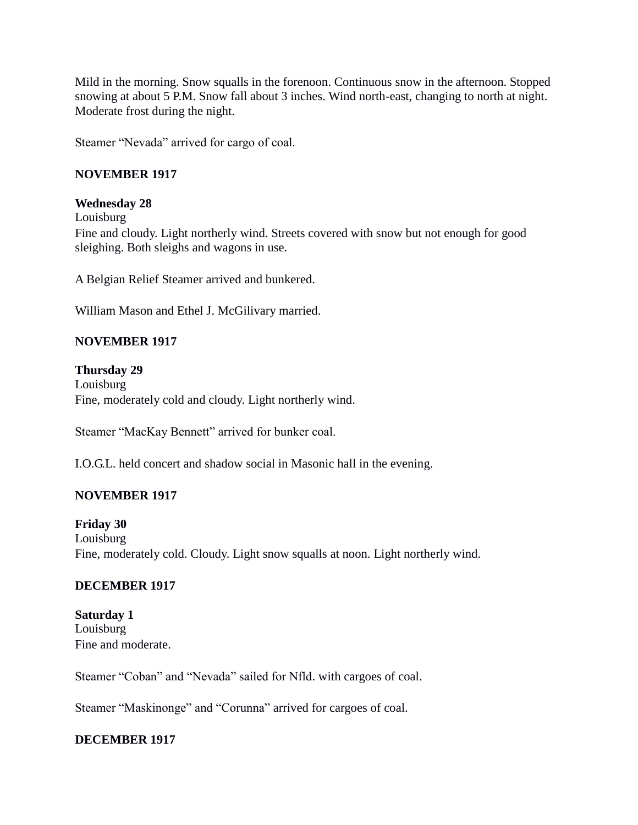Mild in the morning. Snow squalls in the forenoon. Continuous snow in the afternoon. Stopped snowing at about 5 P.M. Snow fall about 3 inches. Wind north-east, changing to north at night. Moderate frost during the night.

Steamer "Nevada" arrived for cargo of coal.

# **NOVEMBER 1917**

# **Wednesday 28**

Louisburg Fine and cloudy. Light northerly wind. Streets covered with snow but not enough for good sleighing. Both sleighs and wagons in use.

A Belgian Relief Steamer arrived and bunkered.

William Mason and Ethel J. McGilivary married.

# **NOVEMBER 1917**

#### **Thursday 29** Louisburg Fine, moderately cold and cloudy. Light northerly wind.

Steamer "MacKay Bennett" arrived for bunker coal.

I.O.G.L. held concert and shadow social in Masonic hall in the evening.

# **NOVEMBER 1917**

**Friday 30** Louisburg Fine, moderately cold. Cloudy. Light snow squalls at noon. Light northerly wind.

# **DECEMBER 1917**

**Saturday 1** Louisburg Fine and moderate.

Steamer "Coban" and "Nevada" sailed for Nfld. with cargoes of coal.

Steamer "Maskinonge" and "Corunna" arrived for cargoes of coal.

# **DECEMBER 1917**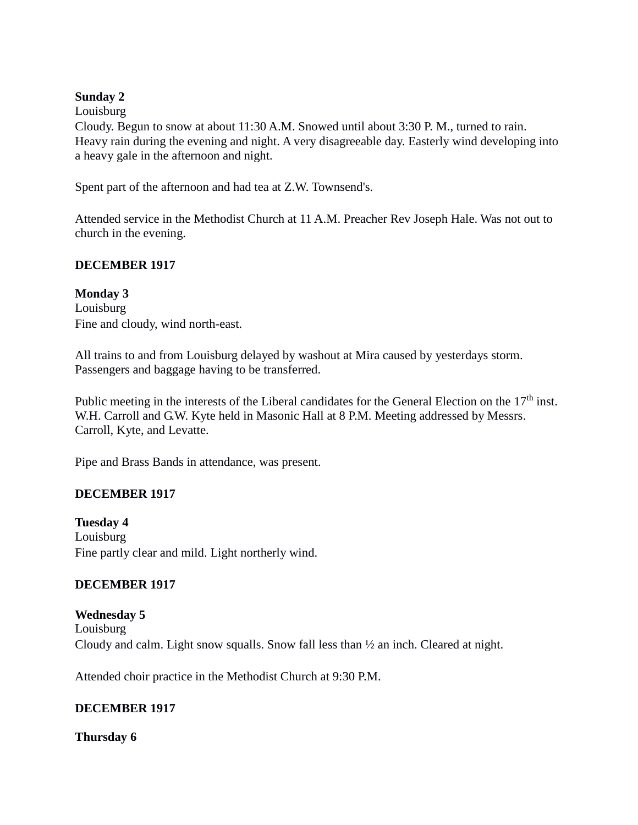### **Sunday 2**

Louisburg

Cloudy. Begun to snow at about 11:30 A.M. Snowed until about 3:30 P. M., turned to rain. Heavy rain during the evening and night. A very disagreeable day. Easterly wind developing into a heavy gale in the afternoon and night.

Spent part of the afternoon and had tea at Z.W. Townsend's.

Attended service in the Methodist Church at 11 A.M. Preacher Rev Joseph Hale. Was not out to church in the evening.

# **DECEMBER 1917**

**Monday 3** Louisburg Fine and cloudy, wind north-east.

All trains to and from Louisburg delayed by washout at Mira caused by yesterdays storm. Passengers and baggage having to be transferred.

Public meeting in the interests of the Liberal candidates for the General Election on the  $17<sup>th</sup>$  inst. W.H. Carroll and G.W. Kyte held in Masonic Hall at 8 P.M. Meeting addressed by Messrs. Carroll, Kyte, and Levatte.

Pipe and Brass Bands in attendance, was present.

# **DECEMBER 1917**

**Tuesday 4** Louisburg Fine partly clear and mild. Light northerly wind.

# **DECEMBER 1917**

**Wednesday 5** Louisburg Cloudy and calm. Light snow squalls. Snow fall less than ½ an inch. Cleared at night.

Attended choir practice in the Methodist Church at 9:30 P.M.

# **DECEMBER 1917**

**Thursday 6**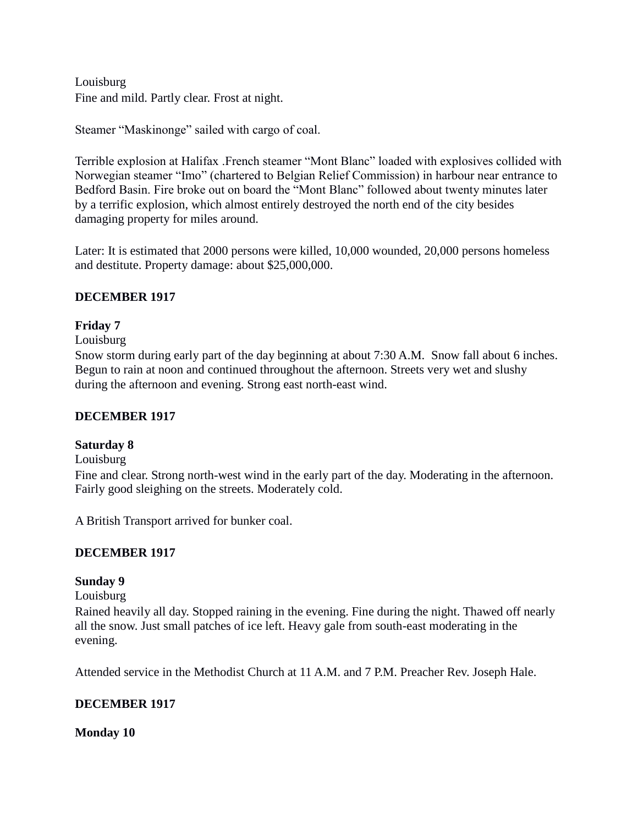Louisburg Fine and mild. Partly clear. Frost at night.

Steamer "Maskinonge" sailed with cargo of coal.

Terrible explosion at Halifax .French steamer "Mont Blanc" loaded with explosives collided with Norwegian steamer "Imo" (chartered to Belgian Relief Commission) in harbour near entrance to Bedford Basin. Fire broke out on board the "Mont Blanc" followed about twenty minutes later by a terrific explosion, which almost entirely destroyed the north end of the city besides damaging property for miles around.

Later: It is estimated that 2000 persons were killed, 10,000 wounded, 20,000 persons homeless and destitute. Property damage: about \$25,000,000.

# **DECEMBER 1917**

# **Friday 7**

### Louisburg

Snow storm during early part of the day beginning at about 7:30 A.M. Snow fall about 6 inches. Begun to rain at noon and continued throughout the afternoon. Streets very wet and slushy during the afternoon and evening. Strong east north-east wind.

# **DECEMBER 1917**

# **Saturday 8**

#### Louisburg

Fine and clear. Strong north-west wind in the early part of the day. Moderating in the afternoon. Fairly good sleighing on the streets. Moderately cold.

A British Transport arrived for bunker coal.

# **DECEMBER 1917**

# **Sunday 9**

Louisburg

Rained heavily all day. Stopped raining in the evening. Fine during the night. Thawed off nearly all the snow. Just small patches of ice left. Heavy gale from south-east moderating in the evening.

Attended service in the Methodist Church at 11 A.M. and 7 P.M. Preacher Rev. Joseph Hale.

# **DECEMBER 1917**

# **Monday 10**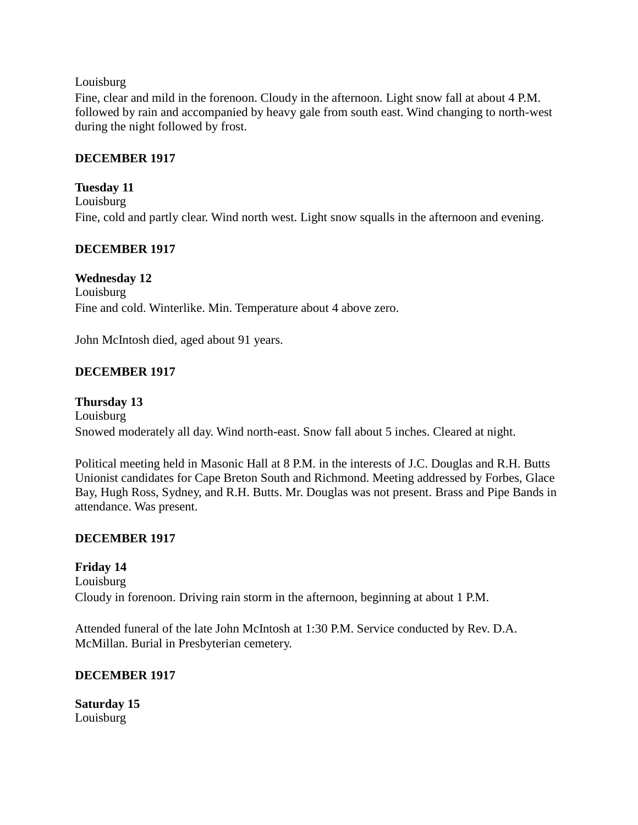#### Louisburg

Fine, clear and mild in the forenoon. Cloudy in the afternoon. Light snow fall at about 4 P.M. followed by rain and accompanied by heavy gale from south east. Wind changing to north-west during the night followed by frost.

## **DECEMBER 1917**

**Tuesday 11** Louisburg Fine, cold and partly clear. Wind north west. Light snow squalls in the afternoon and evening.

# **DECEMBER 1917**

**Wednesday 12** Louisburg Fine and cold. Winterlike. Min. Temperature about 4 above zero.

John McIntosh died, aged about 91 years.

# **DECEMBER 1917**

**Thursday 13** Louisburg Snowed moderately all day. Wind north-east. Snow fall about 5 inches. Cleared at night.

Political meeting held in Masonic Hall at 8 P.M. in the interests of J.C. Douglas and R.H. Butts Unionist candidates for Cape Breton South and Richmond. Meeting addressed by Forbes, Glace Bay, Hugh Ross, Sydney, and R.H. Butts. Mr. Douglas was not present. Brass and Pipe Bands in attendance. Was present.

# **DECEMBER 1917**

**Friday 14** Louisburg Cloudy in forenoon. Driving rain storm in the afternoon, beginning at about 1 P.M.

Attended funeral of the late John McIntosh at 1:30 P.M. Service conducted by Rev. D.A. McMillan. Burial in Presbyterian cemetery.

# **DECEMBER 1917**

**Saturday 15** Louisburg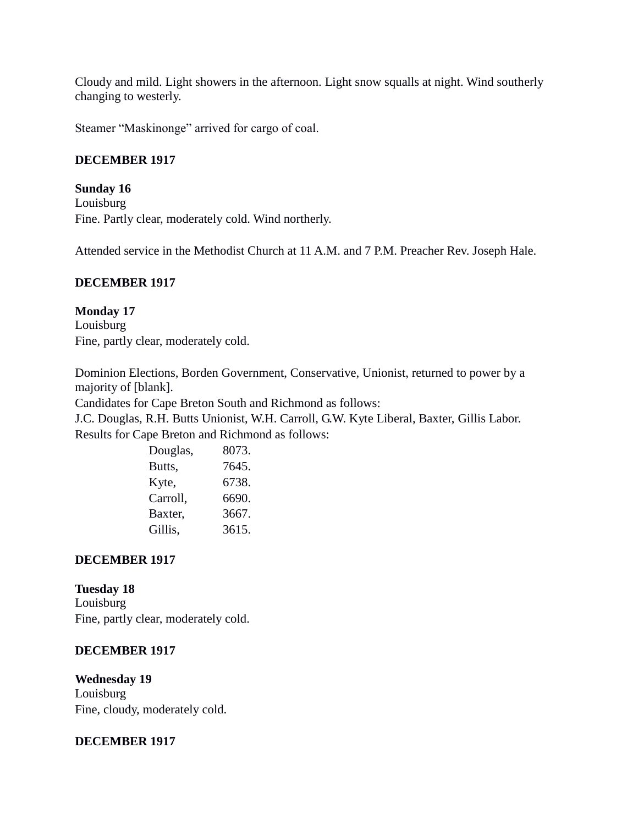Cloudy and mild. Light showers in the afternoon. Light snow squalls at night. Wind southerly changing to westerly.

Steamer "Maskinonge" arrived for cargo of coal.

## **DECEMBER 1917**

## **Sunday 16**

Louisburg Fine. Partly clear, moderately cold. Wind northerly.

Attended service in the Methodist Church at 11 A.M. and 7 P.M. Preacher Rev. Joseph Hale.

### **DECEMBER 1917**

# **Monday 17**

Louisburg Fine, partly clear, moderately cold.

Dominion Elections, Borden Government, Conservative, Unionist, returned to power by a majority of [blank].

Candidates for Cape Breton South and Richmond as follows:

J.C. Douglas, R.H. Butts Unionist, W.H. Carroll, G.W. Kyte Liberal, Baxter, Gillis Labor. Results for Cape Breton and Richmond as follows:

| Douglas, | 8073. |
|----------|-------|
| Butts,   | 7645. |
| Kyte,    | 6738. |
| Carroll, | 6690. |
| Baxter,  | 3667. |
| Gillis,  | 3615. |

# **DECEMBER 1917**

# **Tuesday 18**

Louisburg Fine, partly clear, moderately cold.

# **DECEMBER 1917**

**Wednesday 19** Louisburg Fine, cloudy, moderately cold.

#### **DECEMBER 1917**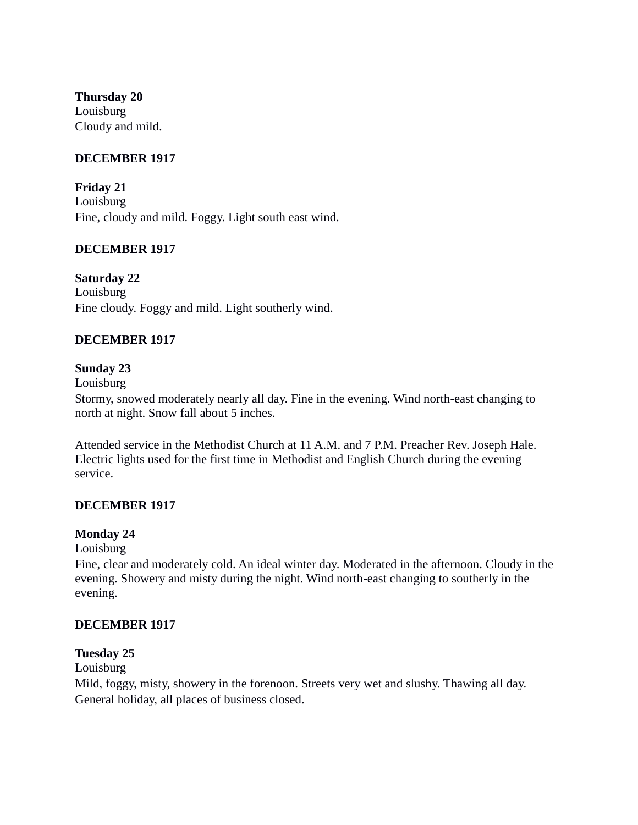**Thursday 20** Louisburg Cloudy and mild.

## **DECEMBER 1917**

**Friday 21** Louisburg Fine, cloudy and mild. Foggy. Light south east wind.

### **DECEMBER 1917**

# **Saturday 22**

Louisburg Fine cloudy. Foggy and mild. Light southerly wind.

### **DECEMBER 1917**

### **Sunday 23**

Louisburg

Stormy, snowed moderately nearly all day. Fine in the evening. Wind north-east changing to north at night. Snow fall about 5 inches.

Attended service in the Methodist Church at 11 A.M. and 7 P.M. Preacher Rev. Joseph Hale. Electric lights used for the first time in Methodist and English Church during the evening service.

#### **DECEMBER 1917**

#### **Monday 24**

Louisburg

Fine, clear and moderately cold. An ideal winter day. Moderated in the afternoon. Cloudy in the evening. Showery and misty during the night. Wind north-east changing to southerly in the evening.

#### **DECEMBER 1917**

### **Tuesday 25**

Louisburg

Mild, foggy, misty, showery in the forenoon. Streets very wet and slushy. Thawing all day. General holiday, all places of business closed.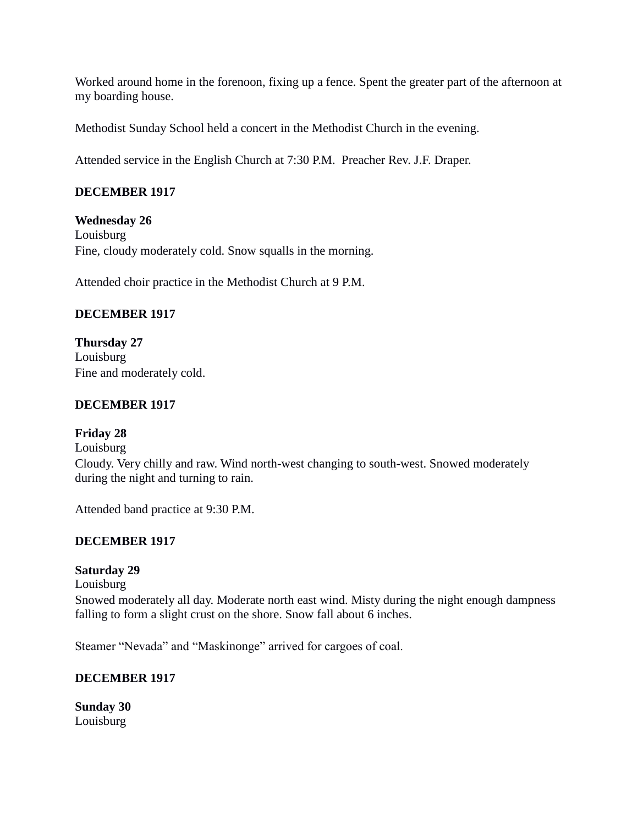Worked around home in the forenoon, fixing up a fence. Spent the greater part of the afternoon at my boarding house.

Methodist Sunday School held a concert in the Methodist Church in the evening.

Attended service in the English Church at 7:30 P.M. Preacher Rev. J.F. Draper.

# **DECEMBER 1917**

**Wednesday 26** Louisburg Fine, cloudy moderately cold. Snow squalls in the morning.

Attended choir practice in the Methodist Church at 9 P.M.

# **DECEMBER 1917**

**Thursday 27** Louisburg Fine and moderately cold.

# **DECEMBER 1917**

# **Friday 28**

Louisburg Cloudy. Very chilly and raw. Wind north-west changing to south-west. Snowed moderately during the night and turning to rain.

Attended band practice at 9:30 P.M.

# **DECEMBER 1917**

# **Saturday 29**

Louisburg Snowed moderately all day. Moderate north east wind. Misty during the night enough dampness falling to form a slight crust on the shore. Snow fall about 6 inches.

Steamer "Nevada" and "Maskinonge" arrived for cargoes of coal.

# **DECEMBER 1917**

**Sunday 30** Louisburg